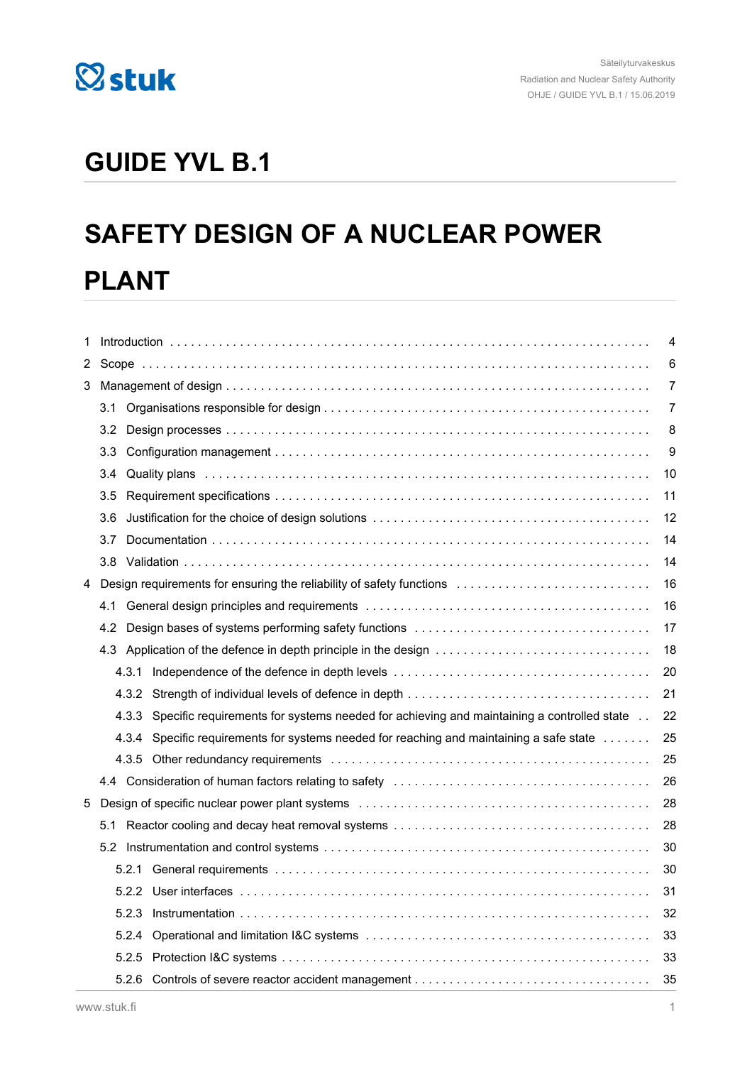

# **GUIDE YVL B.1**

# **SAFETY DESIGN OF A NUCLEAR POWER PLANT**

| 1   |               | 4                                                                                                                                                                                                                             |                |  |
|-----|---------------|-------------------------------------------------------------------------------------------------------------------------------------------------------------------------------------------------------------------------------|----------------|--|
| 2   |               |                                                                                                                                                                                                                               |                |  |
| 3   |               |                                                                                                                                                                                                                               | 7              |  |
|     | 3.1           |                                                                                                                                                                                                                               | $\overline{7}$ |  |
|     | $3.2^{\circ}$ |                                                                                                                                                                                                                               | 8              |  |
|     | 3.3           |                                                                                                                                                                                                                               | 9              |  |
|     | $3.4^{\circ}$ | Quality plans in the contract of the contract of the contract of the contract of the contract of the contract of the contract of the contract of the contract of the contract of the contract of the contract of the contract | 10             |  |
|     | 3.5           |                                                                                                                                                                                                                               | 11             |  |
| 3.6 |               |                                                                                                                                                                                                                               | 12             |  |
|     | 3.7           |                                                                                                                                                                                                                               | 14             |  |
|     |               |                                                                                                                                                                                                                               | 14             |  |
| 4   |               | Design requirements for ensuring the reliability of safety functions                                                                                                                                                          | 16             |  |
|     | 4.1           |                                                                                                                                                                                                                               | 16             |  |
|     | 4.2           |                                                                                                                                                                                                                               | 17             |  |
|     |               | 4.3 Application of the defence in depth principle in the design                                                                                                                                                               | 18             |  |
|     |               |                                                                                                                                                                                                                               | 20             |  |
|     |               |                                                                                                                                                                                                                               | 21             |  |
|     | 4.3.3         | Specific requirements for systems needed for achieving and maintaining a controlled state                                                                                                                                     | 22             |  |
|     |               | 4.3.4 Specific requirements for systems needed for reaching and maintaining a safe state                                                                                                                                      | 25             |  |
|     |               |                                                                                                                                                                                                                               | 25             |  |
|     |               |                                                                                                                                                                                                                               | 26             |  |
| 5   |               |                                                                                                                                                                                                                               | 28             |  |
|     |               |                                                                                                                                                                                                                               | 28             |  |
|     | 5.2           |                                                                                                                                                                                                                               | 30             |  |
|     |               |                                                                                                                                                                                                                               | 30             |  |
|     |               |                                                                                                                                                                                                                               | 31             |  |
|     | 5.2.3         |                                                                                                                                                                                                                               | 32             |  |
|     | 5.2.4         |                                                                                                                                                                                                                               | 33             |  |
|     |               |                                                                                                                                                                                                                               | 33             |  |
|     |               |                                                                                                                                                                                                                               | 35             |  |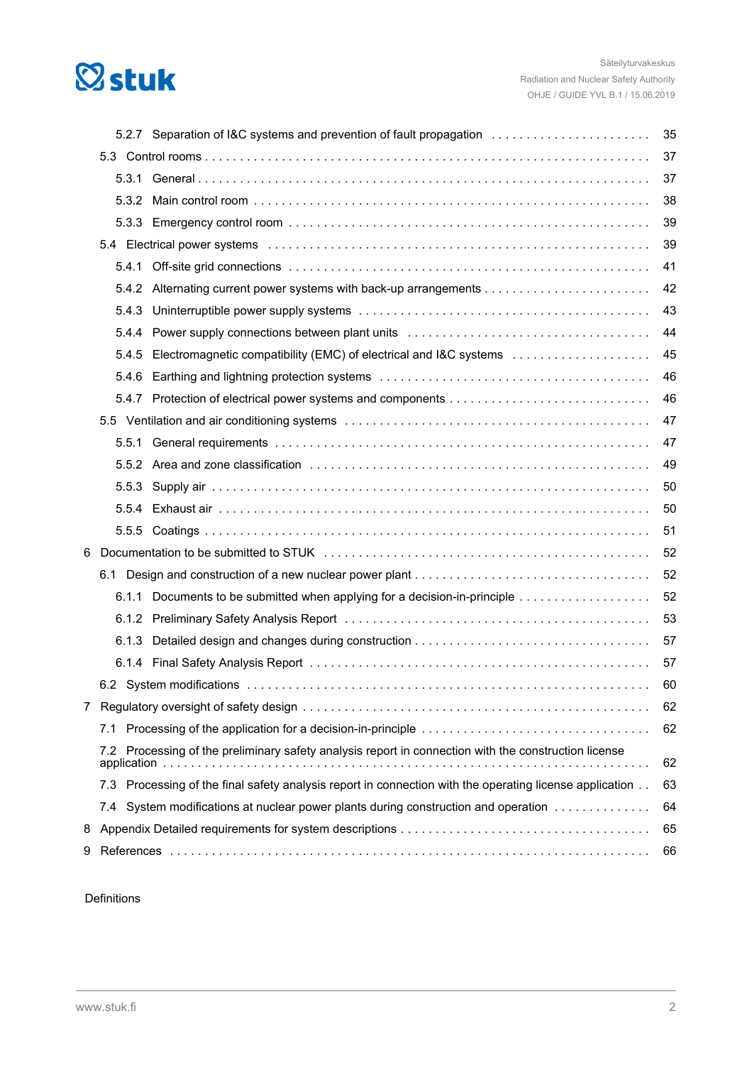# **Østuk**

|   |       | 5.2.7 Separation of I&C systems and prevention of fault propagation                                                                                                                                                            | 35 |  |
|---|-------|--------------------------------------------------------------------------------------------------------------------------------------------------------------------------------------------------------------------------------|----|--|
|   |       |                                                                                                                                                                                                                                | 37 |  |
|   | 5.3.1 |                                                                                                                                                                                                                                | 37 |  |
|   | 5.3.2 |                                                                                                                                                                                                                                | 38 |  |
|   |       |                                                                                                                                                                                                                                | 39 |  |
|   |       | 5.4 Electrical power systems (all contained all contained all contained all contained all contained and stated all contained all contained all contained all contained all contained all contained all contained all contained | 39 |  |
|   | 5.4.1 |                                                                                                                                                                                                                                | 41 |  |
|   |       |                                                                                                                                                                                                                                | 42 |  |
|   | 5.4.3 |                                                                                                                                                                                                                                | 43 |  |
|   | 5.4.4 |                                                                                                                                                                                                                                | 44 |  |
|   | 5.4.5 |                                                                                                                                                                                                                                | 45 |  |
|   | 5.4.6 |                                                                                                                                                                                                                                | 46 |  |
|   |       |                                                                                                                                                                                                                                | 46 |  |
|   |       |                                                                                                                                                                                                                                | 47 |  |
|   | 5.5.1 |                                                                                                                                                                                                                                | 47 |  |
|   |       |                                                                                                                                                                                                                                | 49 |  |
|   | 5.5.3 |                                                                                                                                                                                                                                | 50 |  |
|   |       |                                                                                                                                                                                                                                | 50 |  |
|   | 5.5.5 |                                                                                                                                                                                                                                | 51 |  |
| 6 |       |                                                                                                                                                                                                                                | 52 |  |
|   |       |                                                                                                                                                                                                                                | 52 |  |
|   |       | 6.1.1 Documents to be submitted when applying for a decision-in-principle                                                                                                                                                      | 52 |  |
|   |       |                                                                                                                                                                                                                                | 53 |  |
|   | 6.1.3 |                                                                                                                                                                                                                                | 57 |  |
|   |       |                                                                                                                                                                                                                                | 57 |  |
|   |       |                                                                                                                                                                                                                                | 60 |  |
|   |       |                                                                                                                                                                                                                                | 62 |  |
|   |       |                                                                                                                                                                                                                                | 62 |  |
|   | 7.2   | Processing of the preliminary safety analysis report in connection with the construction license                                                                                                                               | 62 |  |
|   |       | 7.3 Processing of the final safety analysis report in connection with the operating license application                                                                                                                        | 63 |  |
|   | 7.4   | System modifications at nuclear power plants during construction and operation                                                                                                                                                 | 64 |  |
| 8 |       |                                                                                                                                                                                                                                | 65 |  |
| 9 |       | 66                                                                                                                                                                                                                             |    |  |

#### Definitions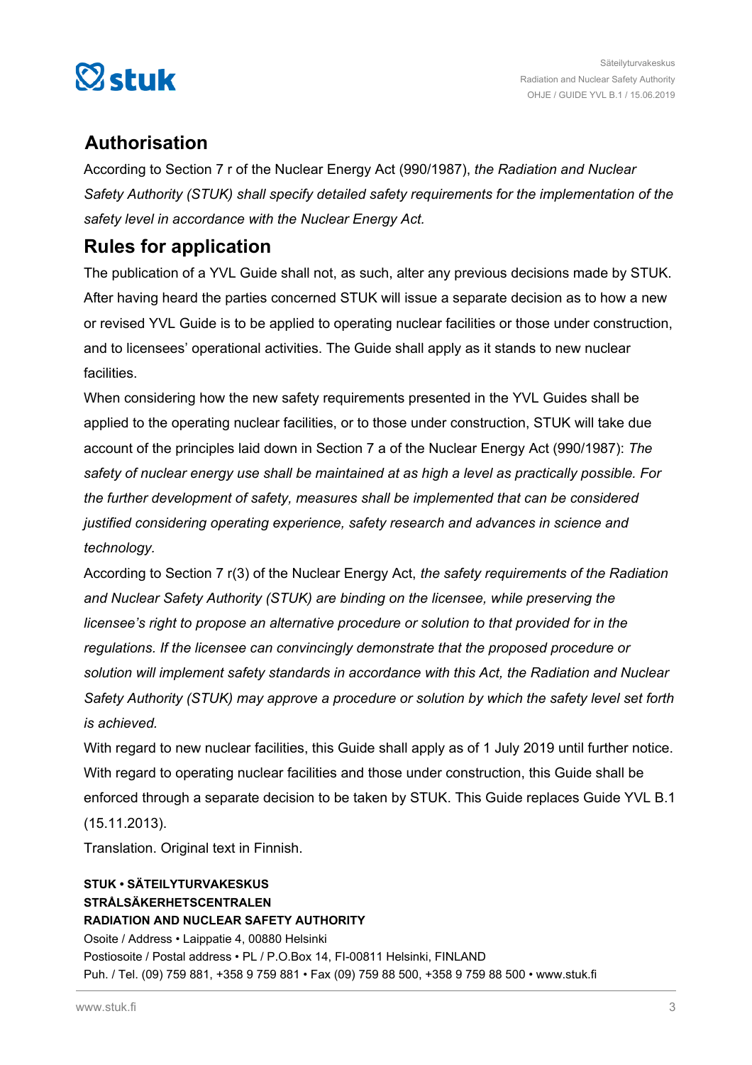

# **Authorisation**

According to Section 7 r of the Nuclear Energy Act (990/1987), *the Radiation and Nuclear Safety Authority (STUK) shall specify detailed safety requirements for the implementation of the safety level in accordance with the Nuclear Energy Act.*

# **Rules for application**

The publication of a YVL Guide shall not, as such, alter any previous decisions made by STUK. After having heard the parties concerned STUK will issue a separate decision as to how a new or revised YVL Guide is to be applied to operating nuclear facilities or those under construction, and to licensees' operational activities. The Guide shall apply as it stands to new nuclear facilities.

When considering how the new safety requirements presented in the YVL Guides shall be applied to the operating nuclear facilities, or to those under construction, STUK will take due account of the principles laid down in Section 7 a of the Nuclear Energy Act (990/1987): *The safety of nuclear energy use shall be maintained at as high a level as practically possible. For the further development of safety, measures shall be implemented that can be considered justified considering operating experience, safety research and advances in science and technology.*

According to Section 7 r(3) of the Nuclear Energy Act, *the safety requirements of the Radiation and Nuclear Safety Authority (STUK) are binding on the licensee, while preserving the licensee's right to propose an alternative procedure or solution to that provided for in the regulations. If the licensee can convincingly demonstrate that the proposed procedure or solution will implement safety standards in accordance with this Act, the Radiation and Nuclear Safety Authority (STUK) may approve a procedure or solution by which the safety level set forth is achieved.*

With regard to new nuclear facilities, this Guide shall apply as of 1 July 2019 until further notice. With regard to operating nuclear facilities and those under construction, this Guide shall be enforced through a separate decision to be taken by STUK. This Guide replaces Guide YVL B.1 (15.11.2013).

Translation. Original text in Finnish.

#### **STUK • SÄTEILYTURVAKESKUS STRÅLSÄKERHETSCENTRALEN RADIATION AND NUCLEAR SAFETY AUTHORITY** Osoite / Address • Laippatie 4, 00880 Helsinki Postiosoite / Postal address • PL / P.O.Box 14, FI-00811 Helsinki, FINLAND Puh. / Tel. (09) 759 881, +358 9 759 881 • Fax (09) 759 88 500, +358 9 759 88 500 • www.stuk.fi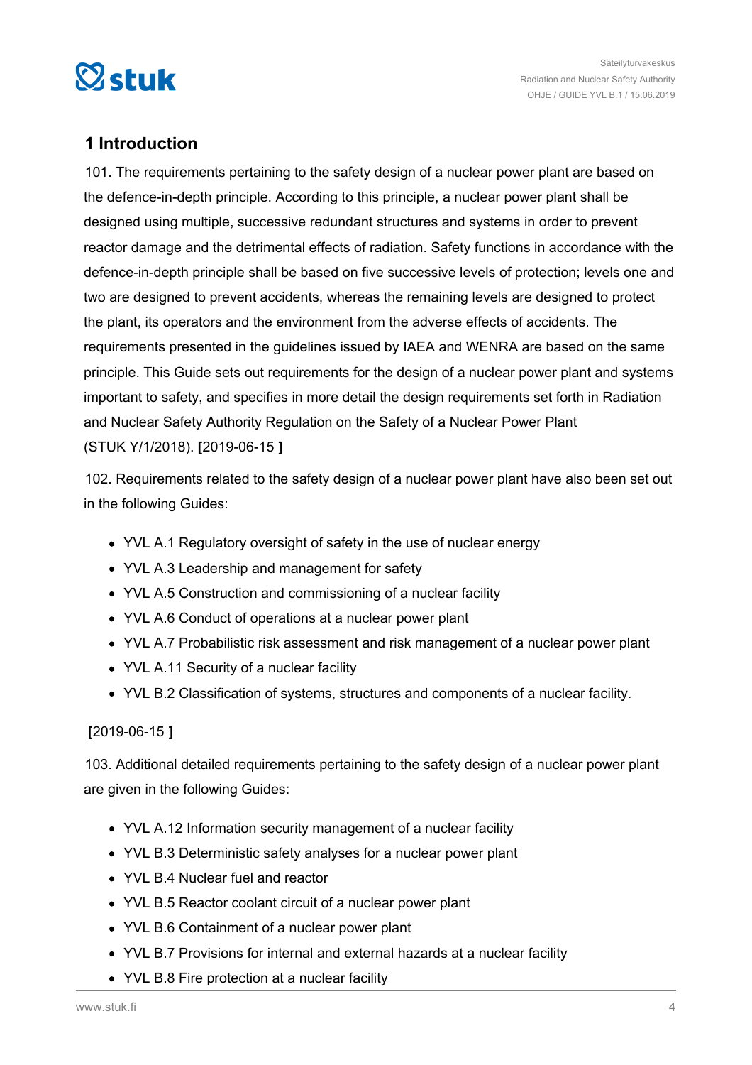<span id="page-3-0"></span>

# **1 Introduction**

101. The requirements pertaining to the safety design of a nuclear power plant are based on the defence-in-depth principle. According to this principle, a nuclear power plant shall be designed using multiple, successive redundant structures and systems in order to prevent reactor damage and the detrimental effects of radiation. Safety functions in accordance with the defence-in-depth principle shall be based on five successive levels of protection; levels one and two are designed to prevent accidents, whereas the remaining levels are designed to protect the plant, its operators and the environment from the adverse effects of accidents. The requirements presented in the guidelines issued by IAEA and WENRA are based on the same principle. This Guide sets out requirements for the design of a nuclear power plant and systems important to safety, and specifies in more detail the design requirements set forth in Radiation and Nuclear Safety Authority Regulation on the Safety of a Nuclear Power Plant (STUK Y/1/2018). **[**2019-06-15 **]**

102. Requirements related to the safety design of a nuclear power plant have also been set out in the following Guides:

- YVL A.1 Regulatory oversight of safety in the use of nuclear energy
- YVL A.3 Leadership and management for safety
- YVL A.5 Construction and commissioning of a nuclear facility
- YVL A.6 Conduct of operations at a nuclear power plant
- YVL A.7 Probabilistic risk assessment and risk management of a nuclear power plant
- YVL A.11 Security of a nuclear facility
- YVL B.2 Classification of systems, structures and components of a nuclear facility.

#### **[**2019-06-15 **]**

103. Additional detailed requirements pertaining to the safety design of a nuclear power plant are given in the following Guides:

- YVL A.12 Information security management of a nuclear facility
- YVL B.3 Deterministic safety analyses for a nuclear power plant
- YVL B.4 Nuclear fuel and reactor
- YVL B.5 Reactor coolant circuit of a nuclear power plant
- YVL B.6 Containment of a nuclear power plant
- YVL B.7 Provisions for internal and external hazards at a nuclear facility
- YVL B.8 Fire protection at a nuclear facility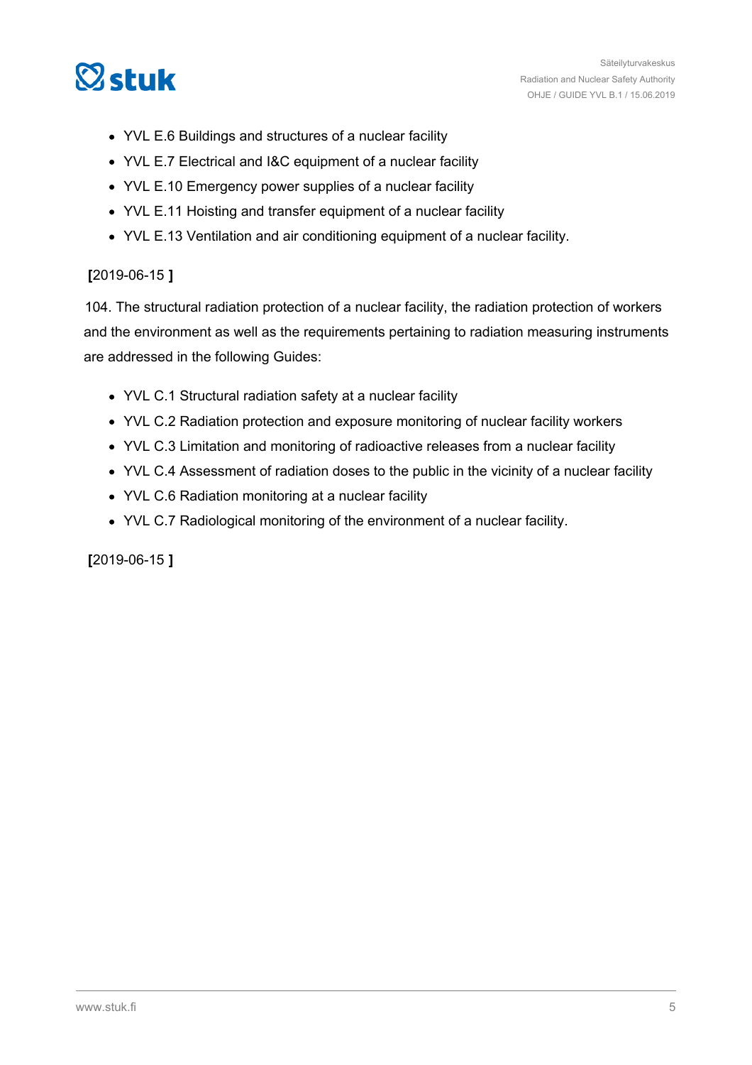

- YVL E.6 Buildings and structures of a nuclear facility
- YVL E.7 Electrical and I&C equipment of a nuclear facility
- YVL E.10 Emergency power supplies of a nuclear facility
- YVL E.11 Hoisting and transfer equipment of a nuclear facility
- YVL E.13 Ventilation and air conditioning equipment of a nuclear facility.

#### **[**2019-06-15 **]**

104. The structural radiation protection of a nuclear facility, the radiation protection of workers and the environment as well as the requirements pertaining to radiation measuring instruments are addressed in the following Guides:

- YVL C.1 Structural radiation safety at a nuclear facility
- YVL C.2 Radiation protection and exposure monitoring of nuclear facility workers
- YVL C.3 Limitation and monitoring of radioactive releases from a nuclear facility
- YVL C.4 Assessment of radiation doses to the public in the vicinity of a nuclear facility
- YVL C.6 Radiation monitoring at a nuclear facility
- YVL C.7 Radiological monitoring of the environment of a nuclear facility.

**[**2019-06-15 **]**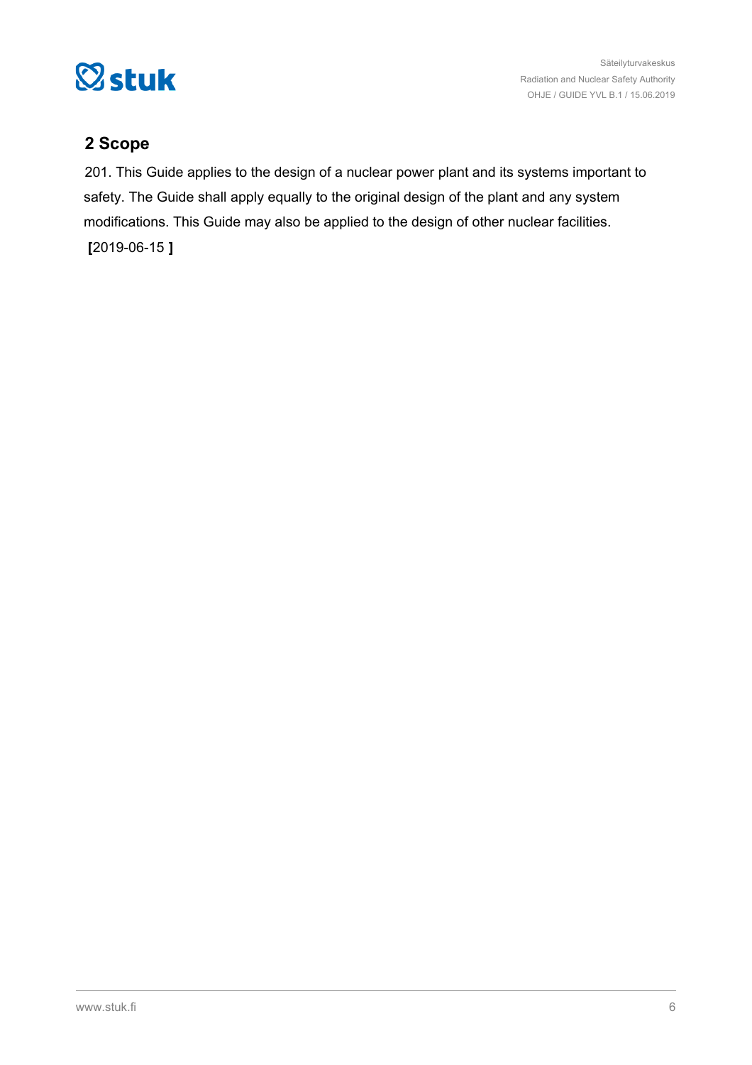<span id="page-5-0"></span>

# **2 Scope**

201. This Guide applies to the design of a nuclear power plant and its systems important to safety. The Guide shall apply equally to the original design of the plant and any system modifications. This Guide may also be applied to the design of other nuclear facilities.

**[**2019-06-15 **]**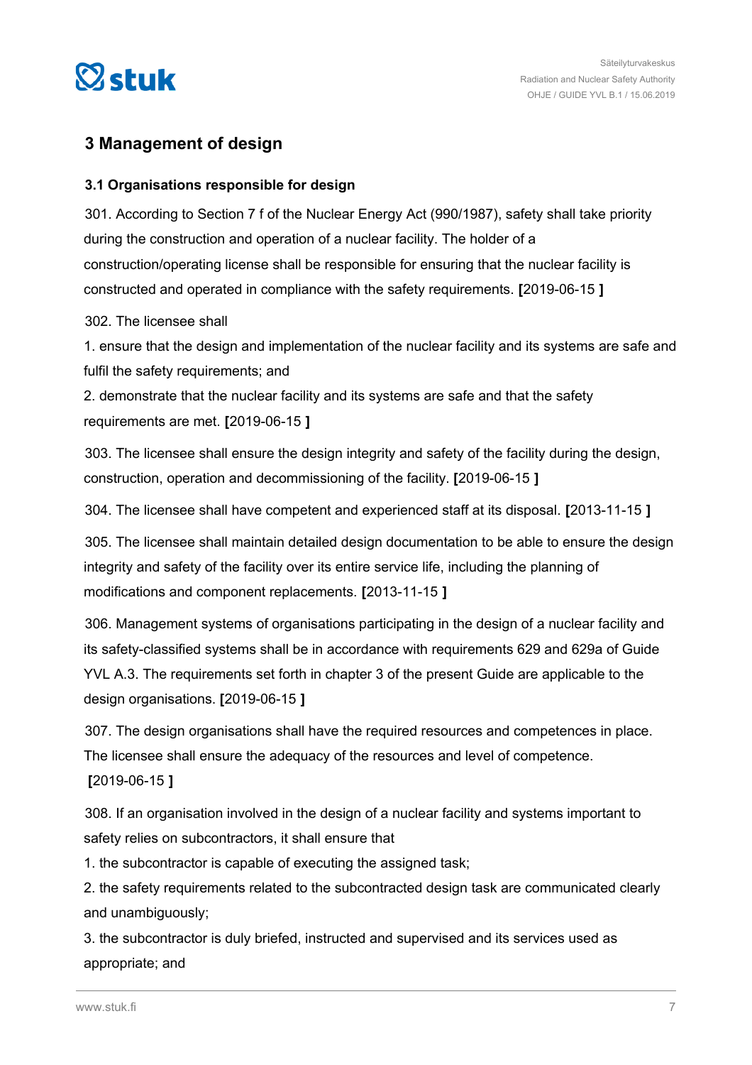<span id="page-6-0"></span>

## **3 Management of design**

#### **3.1 Organisations responsible for design**

301. According to Section 7 f of the Nuclear Energy Act (990/1987), safety shall take priority during the construction and operation of a nuclear facility. The holder of a construction/operating license shall be responsible for ensuring that the nuclear facility is constructed and operated in compliance with the safety requirements. **[**2019-06-15 **]**

302. The licensee shall

1. ensure that the design and implementation of the nuclear facility and its systems are safe and fulfil the safety requirements; and

2. demonstrate that the nuclear facility and its systems are safe and that the safety requirements are met. **[**2019-06-15 **]**

303. The licensee shall ensure the design integrity and safety of the facility during the design, construction, operation and decommissioning of the facility. **[**2019-06-15 **]**

304. The licensee shall have competent and experienced staff at its disposal. **[**2013-11-15 **]**

305. The licensee shall maintain detailed design documentation to be able to ensure the design integrity and safety of the facility over its entire service life, including the planning of modifications and component replacements. **[**2013-11-15 **]**

306. Management systems of organisations participating in the design of a nuclear facility and its safety-classified systems shall be in accordance with requirements 629 and 629a of Guide YVL A.3. The requirements set forth in chapter 3 of the present Guide are applicable to the design organisations. **[**2019-06-15 **]**

307. The design organisations shall have the required resources and competences in place. The licensee shall ensure the adequacy of the resources and level of competence.

**[**2019-06-15 **]**

308. If an organisation involved in the design of a nuclear facility and systems important to safety relies on subcontractors, it shall ensure that

1. the subcontractor is capable of executing the assigned task;

2. the safety requirements related to the subcontracted design task are communicated clearly and unambiguously;

3. the subcontractor is duly briefed, instructed and supervised and its services used as appropriate; and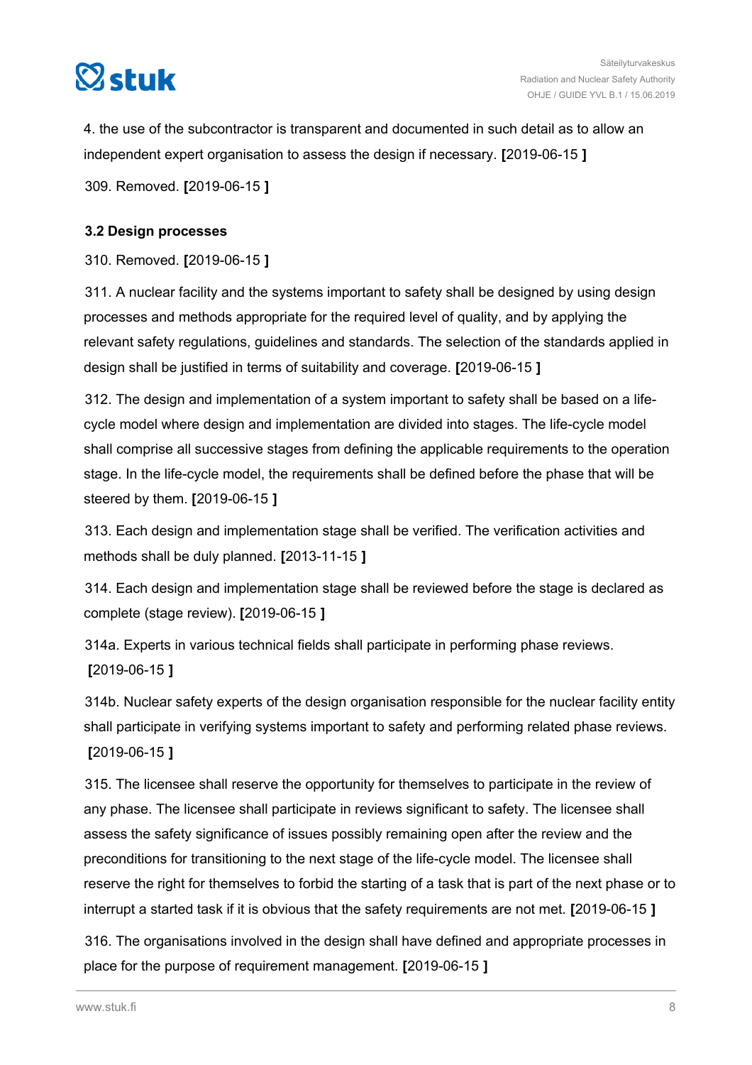<span id="page-7-0"></span>

4. the use of the subcontractor is transparent and documented in such detail as to allow an independent expert organisation to assess the design if necessary. **[**2019-06-15 **]**

309. Removed. **[**2019-06-15 **]**

#### **3.2 Design processes**

310. Removed. **[**2019-06-15 **]**

311. A nuclear facility and the systems important to safety shall be designed by using design processes and methods appropriate for the required level of quality, and by applying the relevant safety regulations, guidelines and standards. The selection of the standards applied in design shall be justified in terms of suitability and coverage. **[**2019-06-15 **]**

312. The design and implementation of a system important to safety shall be based on a lifecycle model where design and implementation are divided into stages. The life-cycle model shall comprise all successive stages from defining the applicable requirements to the operation stage. In the life-cycle model, the requirements shall be defined before the phase that will be steered by them. **[**2019-06-15 **]**

313. Each design and implementation stage shall be verified. The verification activities and methods shall be duly planned. **[**2013-11-15 **]**

314. Each design and implementation stage shall be reviewed before the stage is declared as complete (stage review). **[**2019-06-15 **]**

314a. Experts in various technical fields shall participate in performing phase reviews. **[**2019-06-15 **]**

314b. Nuclear safety experts of the design organisation responsible for the nuclear facility entity shall participate in verifying systems important to safety and performing related phase reviews. **[**2019-06-15 **]**

315. The licensee shall reserve the opportunity for themselves to participate in the review of any phase. The licensee shall participate in reviews significant to safety. The licensee shall assess the safety significance of issues possibly remaining open after the review and the preconditions for transitioning to the next stage of the life-cycle model. The licensee shall reserve the right for themselves to forbid the starting of a task that is part of the next phase or to interrupt a started task if it is obvious that the safety requirements are not met. **[**2019-06-15 **]**

316. The organisations involved in the design shall have defined and appropriate processes in place for the purpose of requirement management. **[**2019-06-15 **]**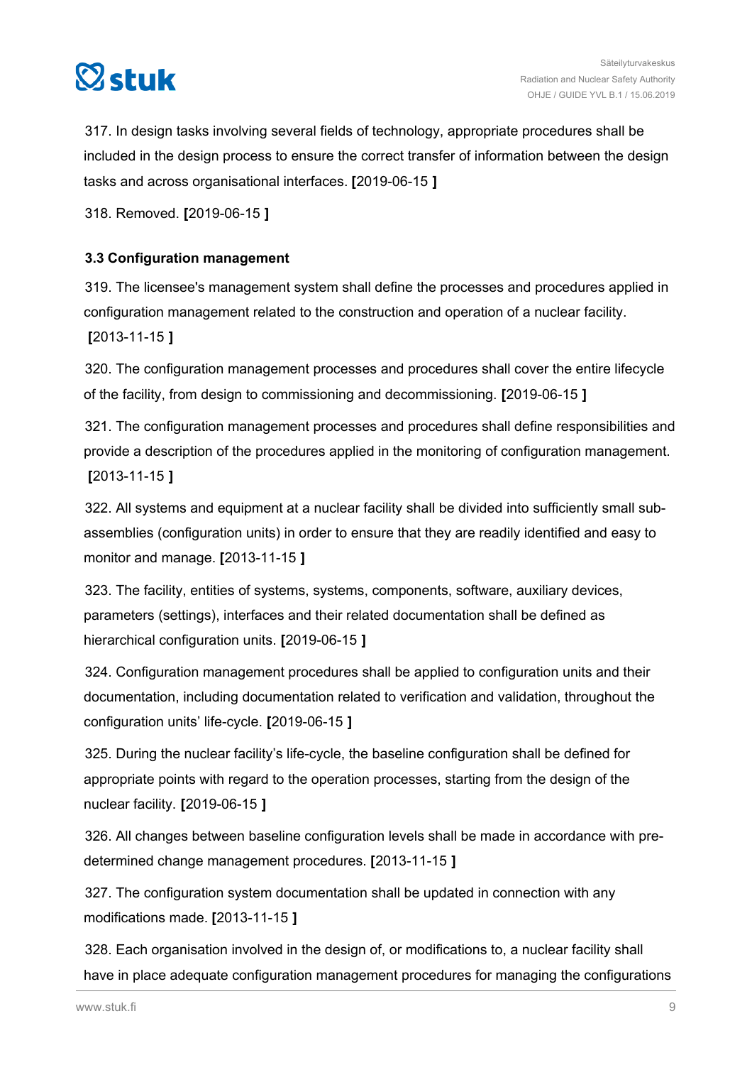<span id="page-8-0"></span>

317. In design tasks involving several fields of technology, appropriate procedures shall be included in the design process to ensure the correct transfer of information between the design tasks and across organisational interfaces. **[**2019-06-15 **]**

318. Removed. **[**2019-06-15 **]**

#### **3.3 Configuration management**

319. The licensee's management system shall define the processes and procedures applied in configuration management related to the construction and operation of a nuclear facility. **[**2013-11-15 **]**

320. The configuration management processes and procedures shall cover the entire lifecycle of the facility, from design to commissioning and decommissioning. **[**2019-06-15 **]**

321. The configuration management processes and procedures shall define responsibilities and provide a description of the procedures applied in the monitoring of configuration management. **[**2013-11-15 **]**

322. All systems and equipment at a nuclear facility shall be divided into sufficiently small subassemblies (configuration units) in order to ensure that they are readily identified and easy to monitor and manage. **[**2013-11-15 **]**

323. The facility, entities of systems, systems, components, software, auxiliary devices, parameters (settings), interfaces and their related documentation shall be defined as hierarchical configuration units. **[**2019-06-15 **]**

324. Configuration management procedures shall be applied to configuration units and their documentation, including documentation related to verification and validation, throughout the configuration units' life-cycle. **[**2019-06-15 **]**

325. During the nuclear facility's life-cycle, the baseline configuration shall be defined for appropriate points with regard to the operation processes, starting from the design of the nuclear facility. **[**2019-06-15 **]**

326. All changes between baseline configuration levels shall be made in accordance with predetermined change management procedures. **[**2013-11-15 **]**

327. The configuration system documentation shall be updated in connection with any modifications made. **[**2013-11-15 **]**

328. Each organisation involved in the design of, or modifications to, a nuclear facility shall have in place adequate configuration management procedures for managing the configurations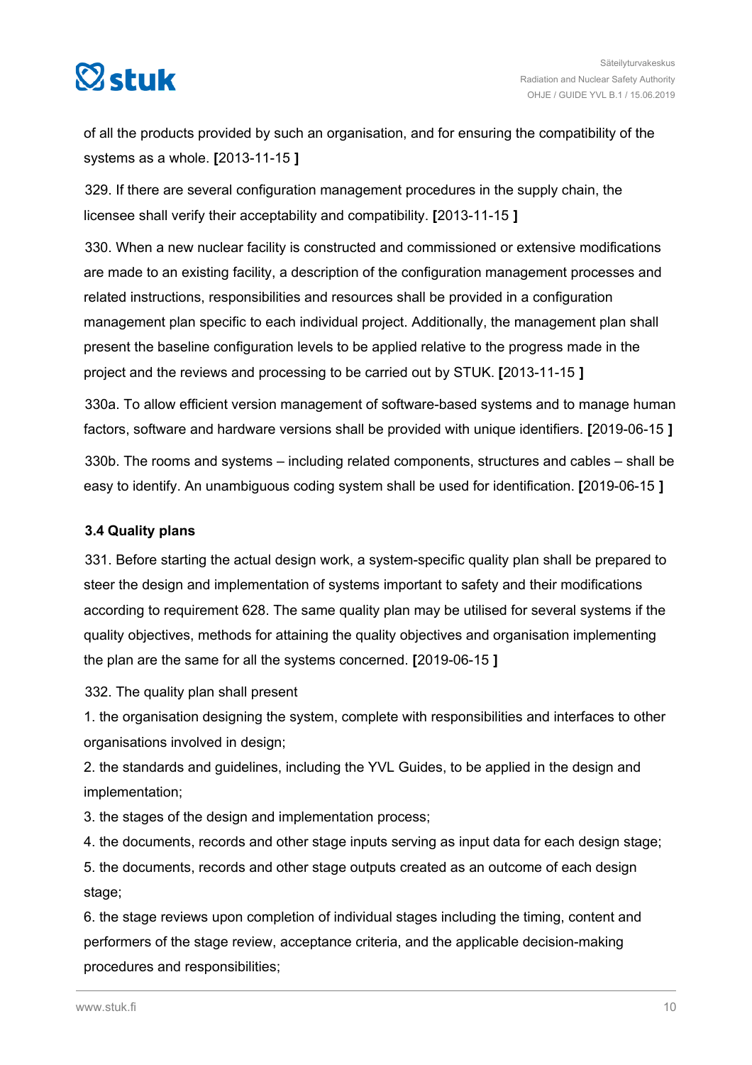<span id="page-9-0"></span>

of all the products provided by such an organisation, and for ensuring the compatibility of the systems as a whole. **[**2013-11-15 **]**

329. If there are several configuration management procedures in the supply chain, the licensee shall verify their acceptability and compatibility. **[**2013-11-15 **]**

330. When a new nuclear facility is constructed and commissioned or extensive modifications are made to an existing facility, a description of the configuration management processes and related instructions, responsibilities and resources shall be provided in a configuration management plan specific to each individual project. Additionally, the management plan shall present the baseline configuration levels to be applied relative to the progress made in the project and the reviews and processing to be carried out by STUK. **[**2013-11-15 **]**

330a. To allow efficient version management of software-based systems and to manage human factors, software and hardware versions shall be provided with unique identifiers. **[**2019-06-15 **]**

330b. The rooms and systems – including related components, structures and cables – shall be easy to identify. An unambiguous coding system shall be used for identification. **[**2019-06-15 **]**

#### **3.4 Quality plans**

331. Before starting the actual design work, a system-specific quality plan shall be prepared to steer the design and implementation of systems important to safety and their modifications according to requirement 628. The same quality plan may be utilised for several systems if the quality objectives, methods for attaining the quality objectives and organisation implementing the plan are the same for all the systems concerned. **[**2019-06-15 **]**

332. The quality plan shall present

1. the organisation designing the system, complete with responsibilities and interfaces to other organisations involved in design;

2. the standards and guidelines, including the YVL Guides, to be applied in the design and implementation;

3. the stages of the design and implementation process;

4. the documents, records and other stage inputs serving as input data for each design stage;

5. the documents, records and other stage outputs created as an outcome of each design stage;

6. the stage reviews upon completion of individual stages including the timing, content and performers of the stage review, acceptance criteria, and the applicable decision-making procedures and responsibilities;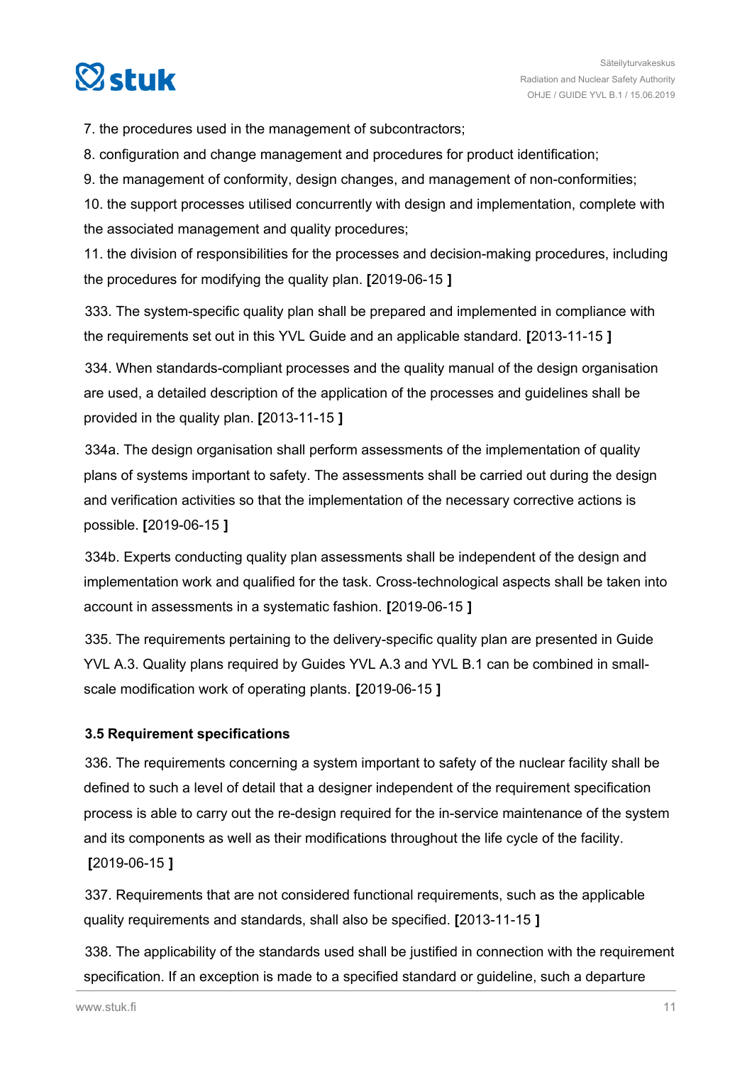<span id="page-10-0"></span>

7. the procedures used in the management of subcontractors;

8. configuration and change management and procedures for product identification;

9. the management of conformity, design changes, and management of non-conformities;

10. the support processes utilised concurrently with design and implementation, complete with the associated management and quality procedures;

11. the division of responsibilities for the processes and decision-making procedures, including the procedures for modifying the quality plan. **[**2019-06-15 **]**

333. The system-specific quality plan shall be prepared and implemented in compliance with the requirements set out in this YVL Guide and an applicable standard. **[**2013-11-15 **]**

334. When standards-compliant processes and the quality manual of the design organisation are used, a detailed description of the application of the processes and guidelines shall be provided in the quality plan. **[**2013-11-15 **]**

334a. The design organisation shall perform assessments of the implementation of quality plans of systems important to safety. The assessments shall be carried out during the design and verification activities so that the implementation of the necessary corrective actions is possible. **[**2019-06-15 **]**

334b. Experts conducting quality plan assessments shall be independent of the design and implementation work and qualified for the task. Cross-technological aspects shall be taken into account in assessments in a systematic fashion. **[**2019-06-15 **]**

335. The requirements pertaining to the delivery-specific quality plan are presented in Guide YVL A.3. Quality plans required by Guides YVL A.3 and YVL B.1 can be combined in smallscale modification work of operating plants. **[**2019-06-15 **]**

#### **3.5 Requirement specifications**

336. The requirements concerning a system important to safety of the nuclear facility shall be defined to such a level of detail that a designer independent of the requirement specification process is able to carry out the re-design required for the in-service maintenance of the system and its components as well as their modifications throughout the life cycle of the facility. **[**2019-06-15 **]**

337. Requirements that are not considered functional requirements, such as the applicable quality requirements and standards, shall also be specified. **[**2013-11-15 **]**

338. The applicability of the standards used shall be justified in connection with the requirement specification. If an exception is made to a specified standard or guideline, such a departure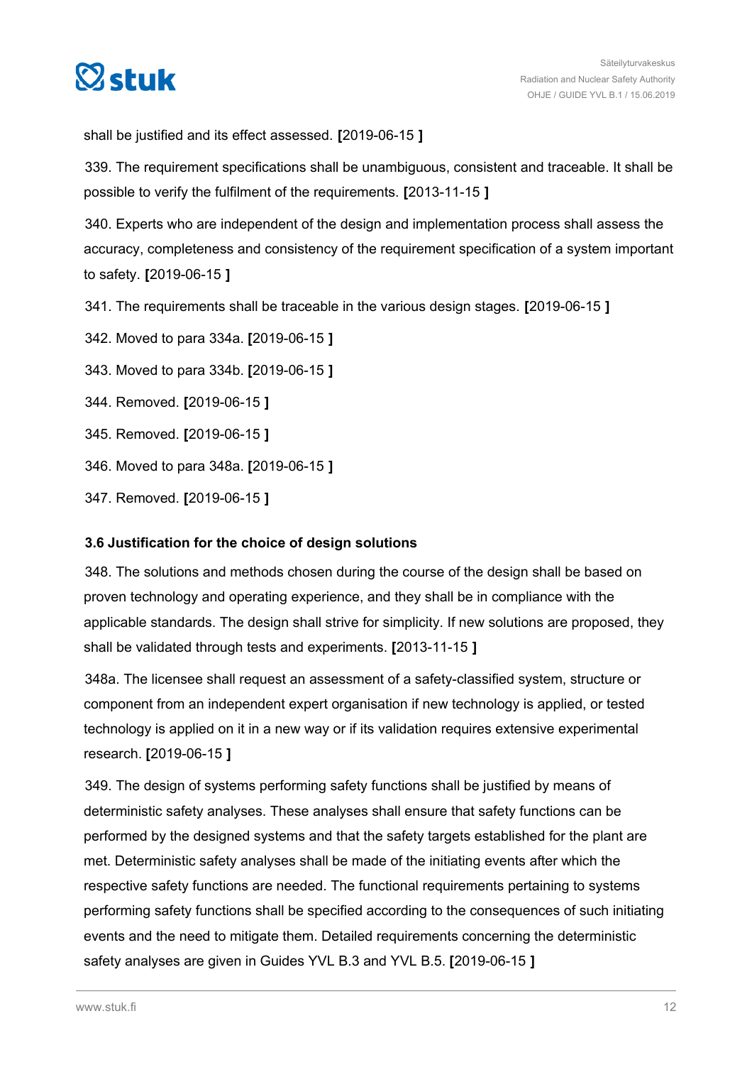<span id="page-11-0"></span>

shall be justified and its effect assessed. **[**2019-06-15 **]**

339. The requirement specifications shall be unambiguous, consistent and traceable. It shall be possible to verify the fulfilment of the requirements. **[**2013-11-15 **]**

340. Experts who are independent of the design and implementation process shall assess the accuracy, completeness and consistency of the requirement specification of a system important to safety. **[**2019-06-15 **]**

- 341. The requirements shall be traceable in the various design stages. **[**2019-06-15 **]**
- 342. Moved to para 334a. **[**2019-06-15 **]**
- 343. Moved to para 334b. **[**2019-06-15 **]**
- 344. Removed. **[**2019-06-15 **]**
- 345. Removed. **[**2019-06-15 **]**
- 346. Moved to para 348a. **[**2019-06-15 **]**
- 347. Removed. **[**2019-06-15 **]**

#### **3.6 Justification for the choice of design solutions**

348. The solutions and methods chosen during the course of the design shall be based on proven technology and operating experience, and they shall be in compliance with the applicable standards. The design shall strive for simplicity. If new solutions are proposed, they shall be validated through tests and experiments. **[**2013-11-15 **]**

348a. The licensee shall request an assessment of a safety-classified system, structure or component from an independent expert organisation if new technology is applied, or tested technology is applied on it in a new way or if its validation requires extensive experimental research. **[**2019-06-15 **]**

349. The design of systems performing safety functions shall be justified by means of deterministic safety analyses. These analyses shall ensure that safety functions can be performed by the designed systems and that the safety targets established for the plant are met. Deterministic safety analyses shall be made of the initiating events after which the respective safety functions are needed. The functional requirements pertaining to systems performing safety functions shall be specified according to the consequences of such initiating events and the need to mitigate them. Detailed requirements concerning the deterministic safety analyses are given in Guides YVL B.3 and YVL B.5. **[**2019-06-15 **]**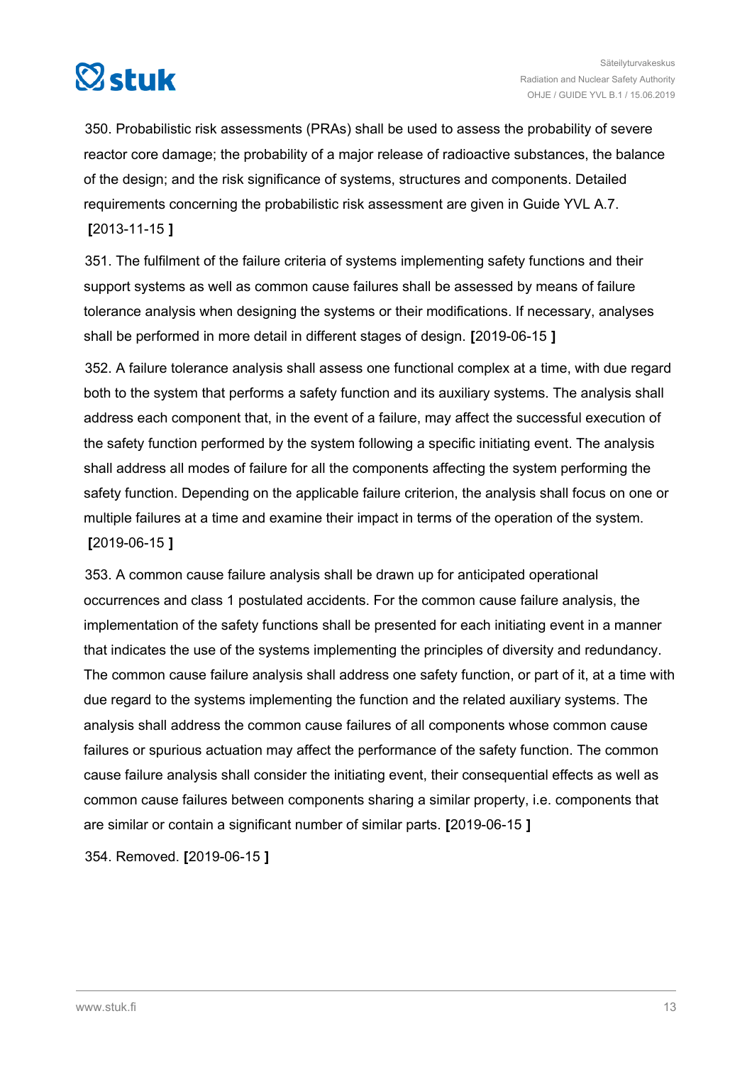

350. Probabilistic risk assessments (PRAs) shall be used to assess the probability of severe reactor core damage; the probability of a major release of radioactive substances, the balance of the design; and the risk significance of systems, structures and components. Detailed requirements concerning the probabilistic risk assessment are given in Guide YVL A.7. **[**2013-11-15 **]**

351. The fulfilment of the failure criteria of systems implementing safety functions and their support systems as well as common cause failures shall be assessed by means of failure tolerance analysis when designing the systems or their modifications. If necessary, analyses shall be performed in more detail in different stages of design. **[**2019-06-15 **]**

352. A failure tolerance analysis shall assess one functional complex at a time, with due regard both to the system that performs a safety function and its auxiliary systems. The analysis shall address each component that, in the event of a failure, may affect the successful execution of the safety function performed by the system following a specific initiating event. The analysis shall address all modes of failure for all the components affecting the system performing the safety function. Depending on the applicable failure criterion, the analysis shall focus on one or multiple failures at a time and examine their impact in terms of the operation of the system. **[**2019-06-15 **]**

353. A common cause failure analysis shall be drawn up for anticipated operational occurrences and class 1 postulated accidents. For the common cause failure analysis, the implementation of the safety functions shall be presented for each initiating event in a manner that indicates the use of the systems implementing the principles of diversity and redundancy. The common cause failure analysis shall address one safety function, or part of it, at a time with due regard to the systems implementing the function and the related auxiliary systems. The analysis shall address the common cause failures of all components whose common cause failures or spurious actuation may affect the performance of the safety function. The common cause failure analysis shall consider the initiating event, their consequential effects as well as common cause failures between components sharing a similar property, i.e. components that are similar or contain a significant number of similar parts. **[**2019-06-15 **]**

354. Removed. **[**2019-06-15 **]**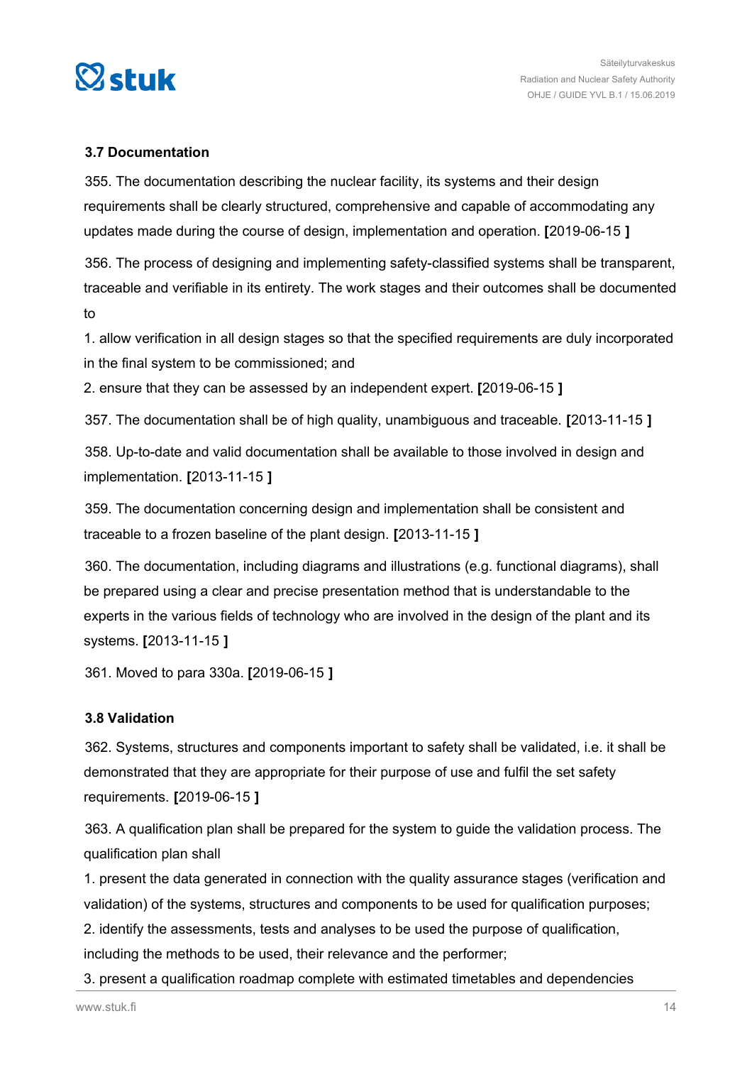<span id="page-13-0"></span>

#### **3.7 Documentation**

355. The documentation describing the nuclear facility, its systems and their design requirements shall be clearly structured, comprehensive and capable of accommodating any updates made during the course of design, implementation and operation. **[**2019-06-15 **]**

356. The process of designing and implementing safety-classified systems shall be transparent, traceable and verifiable in its entirety. The work stages and their outcomes shall be documented to

1. allow verification in all design stages so that the specified requirements are duly incorporated in the final system to be commissioned; and

2. ensure that they can be assessed by an independent expert. **[**2019-06-15 **]**

357. The documentation shall be of high quality, unambiguous and traceable. **[**2013-11-15 **]**

358. Up-to-date and valid documentation shall be available to those involved in design and implementation. **[**2013-11-15 **]**

359. The documentation concerning design and implementation shall be consistent and traceable to a frozen baseline of the plant design. **[**2013-11-15 **]**

360. The documentation, including diagrams and illustrations (e.g. functional diagrams), shall be prepared using a clear and precise presentation method that is understandable to the experts in the various fields of technology who are involved in the design of the plant and its systems. **[**2013-11-15 **]**

361. Moved to para 330a. **[**2019-06-15 **]**

#### **3.8 Validation**

362. Systems, structures and components important to safety shall be validated, i.e. it shall be demonstrated that they are appropriate for their purpose of use and fulfil the set safety requirements. **[**2019-06-15 **]**

363. A qualification plan shall be prepared for the system to guide the validation process. The qualification plan shall

1. present the data generated in connection with the quality assurance stages (verification and validation) of the systems, structures and components to be used for qualification purposes;

2. identify the assessments, tests and analyses to be used the purpose of qualification,

including the methods to be used, their relevance and the performer;

3. present a qualification roadmap complete with estimated timetables and dependencies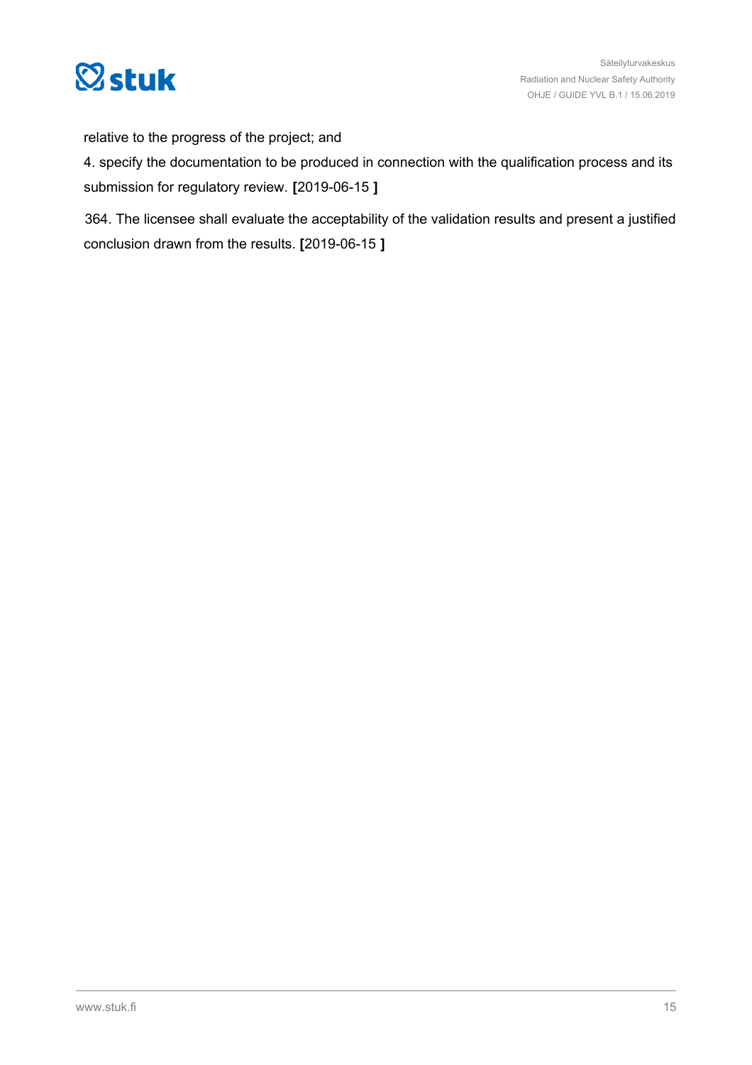

relative to the progress of the project; and

4. specify the documentation to be produced in connection with the qualification process and its submission for regulatory review. **[**2019-06-15 **]**

364. The licensee shall evaluate the acceptability of the validation results and present a justified conclusion drawn from the results. **[**2019-06-15 **]**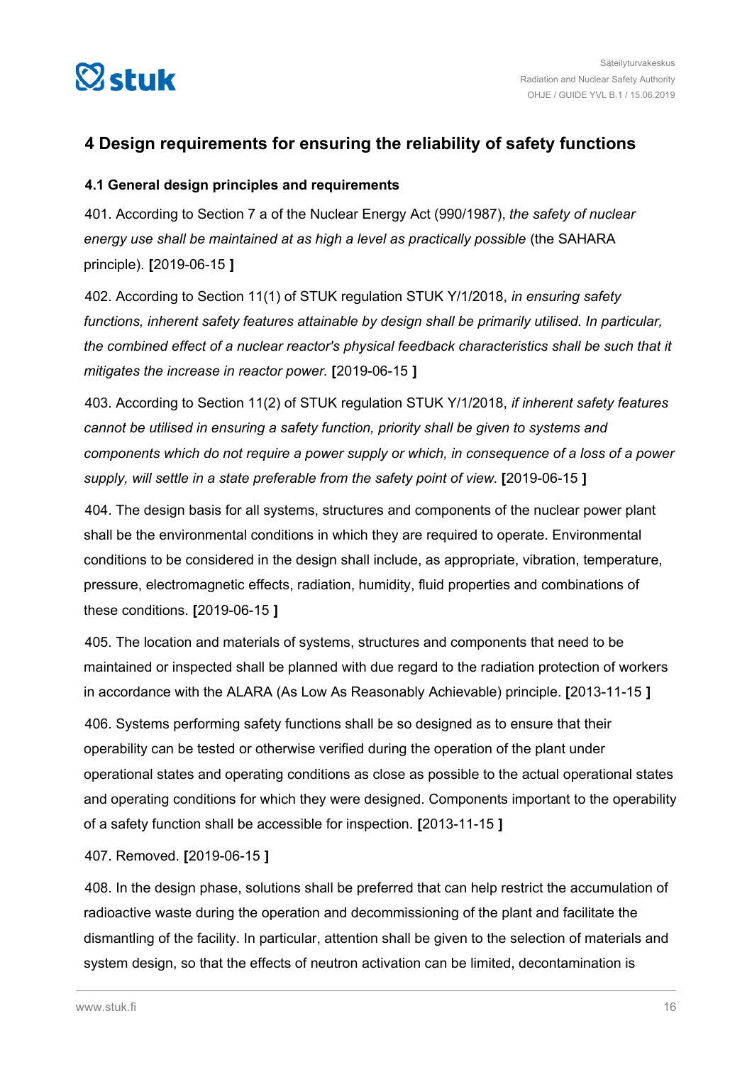<span id="page-15-0"></span>

# **4 Design requirements for ensuring the reliability of safety functions**

#### **4.1 General design principles and requirements**

401. According to Section 7 a of the Nuclear Energy Act (990/1987), *the safety of nuclear energy use shall be maintained at as high a level as practically possible* (the SAHARA principle). **[**2019-06-15 **]**

402. According to Section 11(1) of STUK regulation STUK Y/1/2018, *in ensuring safety functions, inherent safety features attainable by design shall be primarily utilised. In particular, the combined effect of a nuclear reactor's physical feedback characteristics shall be such that it mitigates the increase in reactor power.* **[**2019-06-15 **]**

403. According to Section 11(2) of STUK regulation STUK Y/1/2018, *if inherent safety features cannot be utilised in ensuring a safety function, priority shall be given to systems and components which do not require a power supply or which, in consequence of a loss of a power supply, will settle in a state preferable from the safety point of view.* **[**2019-06-15 **]**

404. The design basis for all systems, structures and components of the nuclear power plant shall be the environmental conditions in which they are required to operate. Environmental conditions to be considered in the design shall include, as appropriate, vibration, temperature, pressure, electromagnetic effects, radiation, humidity, fluid properties and combinations of these conditions. **[**2019-06-15 **]**

405. The location and materials of systems, structures and components that need to be maintained or inspected shall be planned with due regard to the radiation protection of workers in accordance with the ALARA (As Low As Reasonably Achievable) principle. **[**2013-11-15 **]**

406. Systems performing safety functions shall be so designed as to ensure that their operability can be tested or otherwise verified during the operation of the plant under operational states and operating conditions as close as possible to the actual operational states and operating conditions for which they were designed. Components important to the operability of a safety function shall be accessible for inspection. **[**2013-11-15 **]**

#### 407. Removed. **[**2019-06-15 **]**

408. In the design phase, solutions shall be preferred that can help restrict the accumulation of radioactive waste during the operation and decommissioning of the plant and facilitate the dismantling of the facility. In particular, attention shall be given to the selection of materials and system design, so that the effects of neutron activation can be limited, decontamination is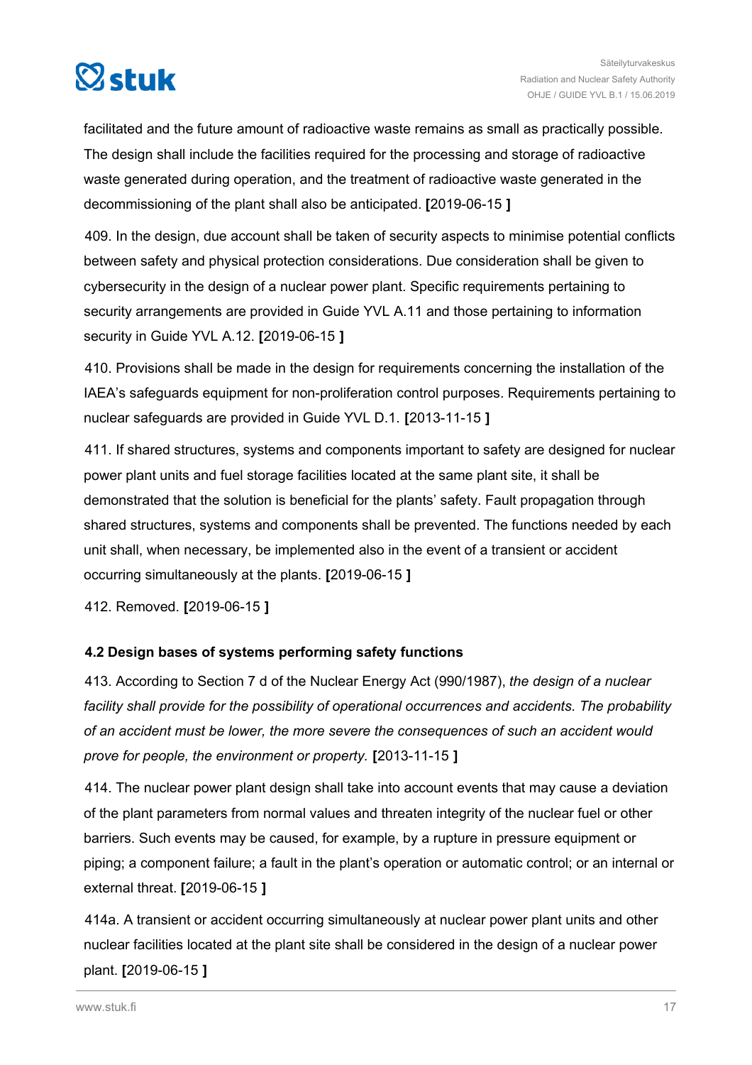<span id="page-16-0"></span>

facilitated and the future amount of radioactive waste remains as small as practically possible. The design shall include the facilities required for the processing and storage of radioactive waste generated during operation, and the treatment of radioactive waste generated in the decommissioning of the plant shall also be anticipated. **[**2019-06-15 **]**

409. In the design, due account shall be taken of security aspects to minimise potential conflicts between safety and physical protection considerations. Due consideration shall be given to cybersecurity in the design of a nuclear power plant. Specific requirements pertaining to security arrangements are provided in Guide YVL A.11 and those pertaining to information security in Guide YVL A.12. **[**2019-06-15 **]**

410. Provisions shall be made in the design for requirements concerning the installation of the IAEA's safeguards equipment for non-proliferation control purposes. Requirements pertaining to nuclear safeguards are provided in Guide YVL D.1. **[**2013-11-15 **]**

411. If shared structures, systems and components important to safety are designed for nuclear power plant units and fuel storage facilities located at the same plant site, it shall be demonstrated that the solution is beneficial for the plants' safety. Fault propagation through shared structures, systems and components shall be prevented. The functions needed by each unit shall, when necessary, be implemented also in the event of a transient or accident occurring simultaneously at the plants. **[**2019-06-15 **]**

412. Removed. **[**2019-06-15 **]**

#### **4.2 Design bases of systems performing safety functions**

413. According to Section 7 d of the Nuclear Energy Act (990/1987), *the design of a nuclear facility shall provide for the possibility of operational occurrences and accidents. The probability of an accident must be lower, the more severe the consequences of such an accident would prove for people, the environment or property.* **[**2013-11-15 **]**

414. The nuclear power plant design shall take into account events that may cause a deviation of the plant parameters from normal values and threaten integrity of the nuclear fuel or other barriers. Such events may be caused, for example, by a rupture in pressure equipment or piping; a component failure; a fault in the plant's operation or automatic control; or an internal or external threat. **[**2019-06-15 **]**

414a. A transient or accident occurring simultaneously at nuclear power plant units and other nuclear facilities located at the plant site shall be considered in the design of a nuclear power plant. **[**2019-06-15 **]**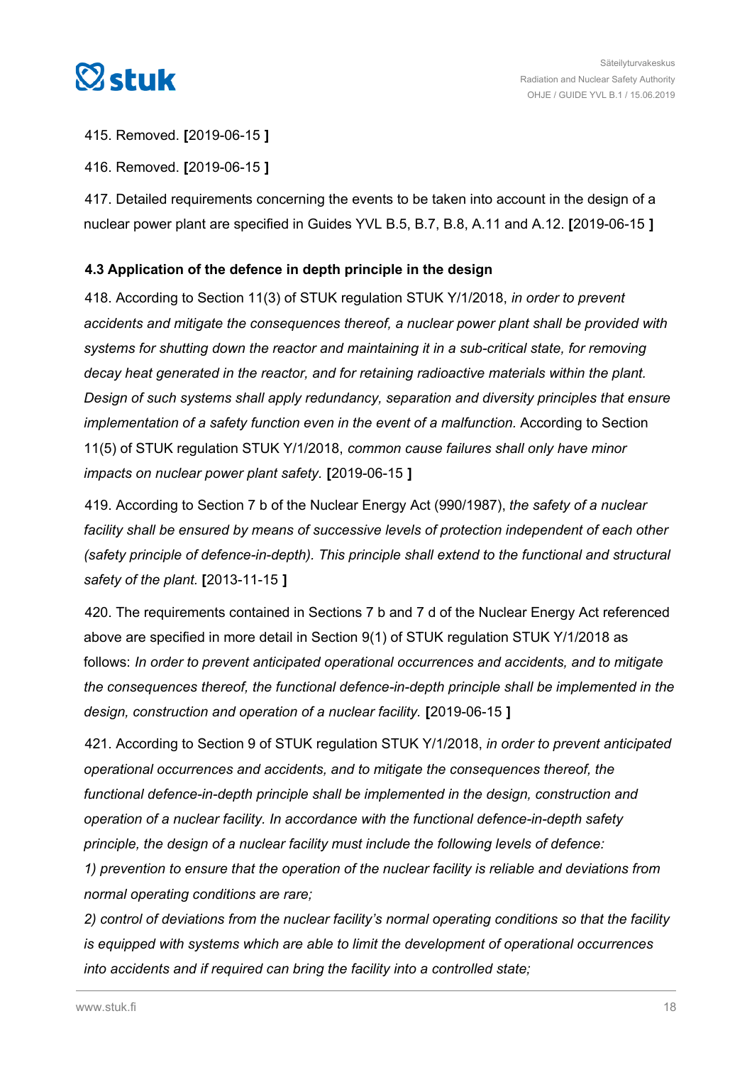<span id="page-17-0"></span>

415. Removed. **[**2019-06-15 **]**

416. Removed. **[**2019-06-15 **]**

417. Detailed requirements concerning the events to be taken into account in the design of a nuclear power plant are specified in Guides YVL B.5, B.7, B.8, A.11 and A.12. **[**2019-06-15 **]**

#### **4.3 Application of the defence in depth principle in the design**

418. According to Section 11(3) of STUK regulation STUK Y/1/2018, *in order to prevent accidents and mitigate the consequences thereof, a nuclear power plant shall be provided with systems for shutting down the reactor and maintaining it in a sub-critical state, for removing decay heat generated in the reactor, and for retaining radioactive materials within the plant. Design of such systems shall apply redundancy, separation and diversity principles that ensure implementation of a safety function even in the event of a malfunction.* According to Section 11(5) of STUK regulation STUK Y/1/2018, *common cause failures shall only have minor impacts on nuclear power plant safety.* **[**2019-06-15 **]**

419. According to Section 7 b of the Nuclear Energy Act (990/1987), *the safety of a nuclear facility shall be ensured by means of successive levels of protection independent of each other (safety principle of defence-in-depth). This principle shall extend to the functional and structural safety of the plant.* **[**2013-11-15 **]**

420. The requirements contained in Sections 7 b and 7 d of the Nuclear Energy Act referenced above are specified in more detail in Section 9(1) of STUK regulation STUK Y/1/2018 as follows: *In order to prevent anticipated operational occurrences and accidents, and to mitigate the consequences thereof, the functional defence-in-depth principle shall be implemented in the design, construction and operation of a nuclear facility.* **[**2019-06-15 **]**

421. According to Section 9 of STUK regulation STUK Y/1/2018, *in order to prevent anticipated operational occurrences and accidents, and to mitigate the consequences thereof, the functional defence-in-depth principle shall be implemented in the design, construction and operation of a nuclear facility. In accordance with the functional defence-in-depth safety principle, the design of a nuclear facility must include the following levels of defence:*

*1) prevention to ensure that the operation of the nuclear facility is reliable and deviations from normal operating conditions are rare;*

*2) control of deviations from the nuclear facility's normal operating conditions so that the facility is equipped with systems which are able to limit the development of operational occurrences into accidents and if required can bring the facility into a controlled state;*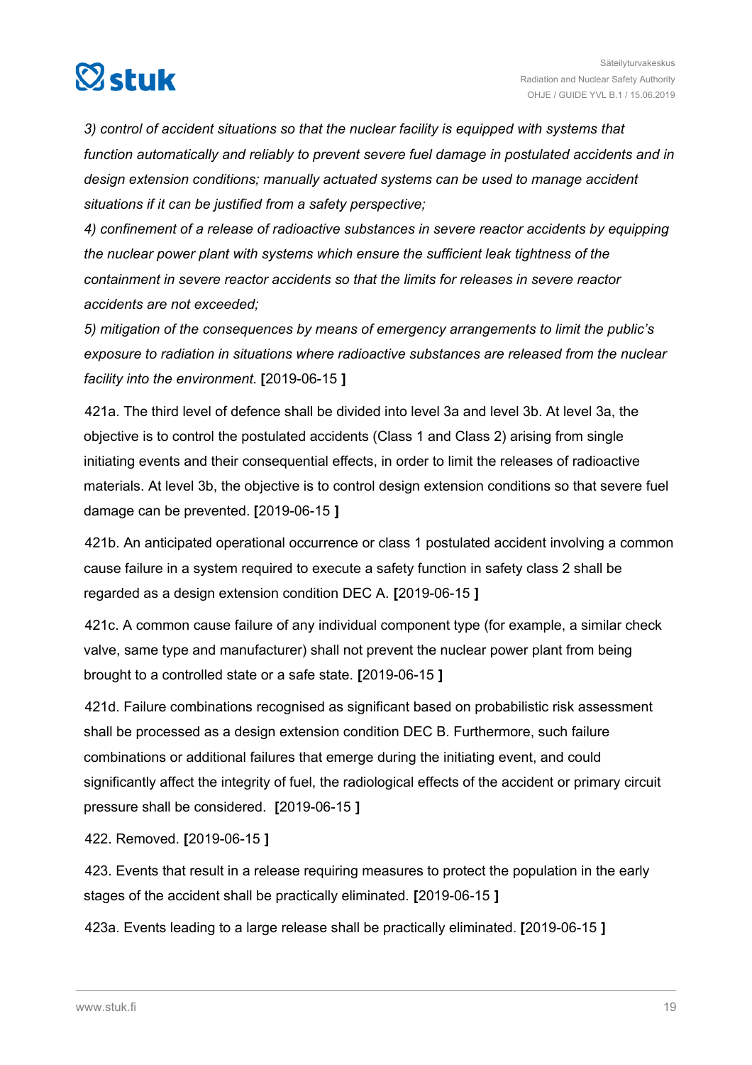

*3) control of accident situations so that the nuclear facility is equipped with systems that function automatically and reliably to prevent severe fuel damage in postulated accidents and in design extension conditions; manually actuated systems can be used to manage accident situations if it can be justified from a safety perspective;*

*4) confinement of a release of radioactive substances in severe reactor accidents by equipping the nuclear power plant with systems which ensure the sufficient leak tightness of the containment in severe reactor accidents so that the limits for releases in severe reactor accidents are not exceeded;*

*5) mitigation of the consequences by means of emergency arrangements to limit the public's exposure to radiation in situations where radioactive substances are released from the nuclear facility into the environment.* **[**2019-06-15 **]**

421a. The third level of defence shall be divided into level 3a and level 3b. At level 3a, the objective is to control the postulated accidents (Class 1 and Class 2) arising from single initiating events and their consequential effects, in order to limit the releases of radioactive materials. At level 3b, the objective is to control design extension conditions so that severe fuel damage can be prevented. **[**2019-06-15 **]**

421b. An anticipated operational occurrence or class 1 postulated accident involving a common cause failure in a system required to execute a safety function in safety class 2 shall be regarded as a design extension condition DEC A. **[**2019-06-15 **]**

421c. A common cause failure of any individual component type (for example, a similar check valve, same type and manufacturer) shall not prevent the nuclear power plant from being brought to a controlled state or a safe state. **[**2019-06-15 **]**

421d. Failure combinations recognised as significant based on probabilistic risk assessment shall be processed as a design extension condition DEC B. Furthermore, such failure combinations or additional failures that emerge during the initiating event, and could significantly affect the integrity of fuel, the radiological effects of the accident or primary circuit pressure shall be considered. **[**2019-06-15 **]**

422. Removed. **[**2019-06-15 **]**

423. Events that result in a release requiring measures to protect the population in the early stages of the accident shall be practically eliminated. **[**2019-06-15 **]**

423a. Events leading to a large release shall be practically eliminated. **[**2019-06-15 **]**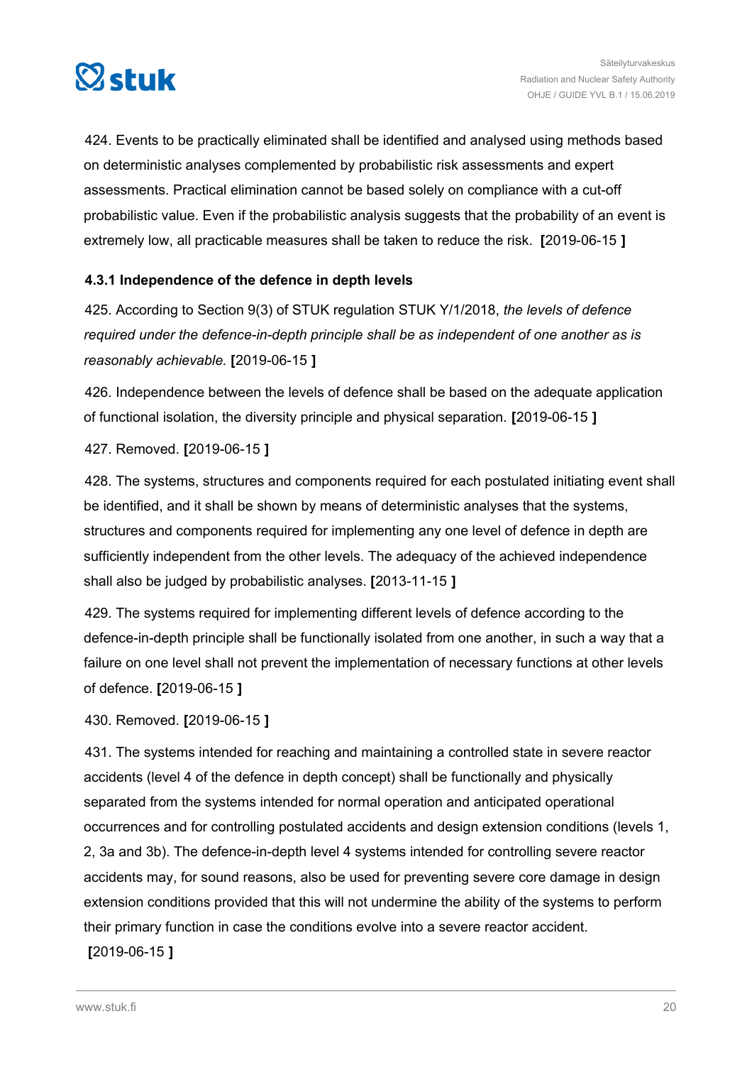<span id="page-19-0"></span>

424. Events to be practically eliminated shall be identified and analysed using methods based on deterministic analyses complemented by probabilistic risk assessments and expert assessments. Practical elimination cannot be based solely on compliance with a cut-off probabilistic value. Even if the probabilistic analysis suggests that the probability of an event is extremely low, all practicable measures shall be taken to reduce the risk. **[**2019-06-15 **]**

#### **4.3.1 Independence of the defence in depth levels**

425. According to Section 9(3) of STUK regulation STUK Y/1/2018, *the levels of defence required under the defence-in-depth principle shall be as independent of one another as is reasonably achievable.* **[**2019-06-15 **]**

426. Independence between the levels of defence shall be based on the adequate application of functional isolation, the diversity principle and physical separation. **[**2019-06-15 **]**

427. Removed. **[**2019-06-15 **]**

428. The systems, structures and components required for each postulated initiating event shall be identified, and it shall be shown by means of deterministic analyses that the systems, structures and components required for implementing any one level of defence in depth are sufficiently independent from the other levels. The adequacy of the achieved independence shall also be judged by probabilistic analyses. **[**2013-11-15 **]**

429. The systems required for implementing different levels of defence according to the defence-in-depth principle shall be functionally isolated from one another, in such a way that a failure on one level shall not prevent the implementation of necessary functions at other levels of defence. **[**2019-06-15 **]**

430. Removed. **[**2019-06-15 **]**

431. The systems intended for reaching and maintaining a controlled state in severe reactor accidents (level 4 of the defence in depth concept) shall be functionally and physically separated from the systems intended for normal operation and anticipated operational occurrences and for controlling postulated accidents and design extension conditions (levels 1, 2, 3a and 3b). The defence-in-depth level 4 systems intended for controlling severe reactor accidents may, for sound reasons, also be used for preventing severe core damage in design extension conditions provided that this will not undermine the ability of the systems to perform their primary function in case the conditions evolve into a severe reactor accident. **[**2019-06-15 **]**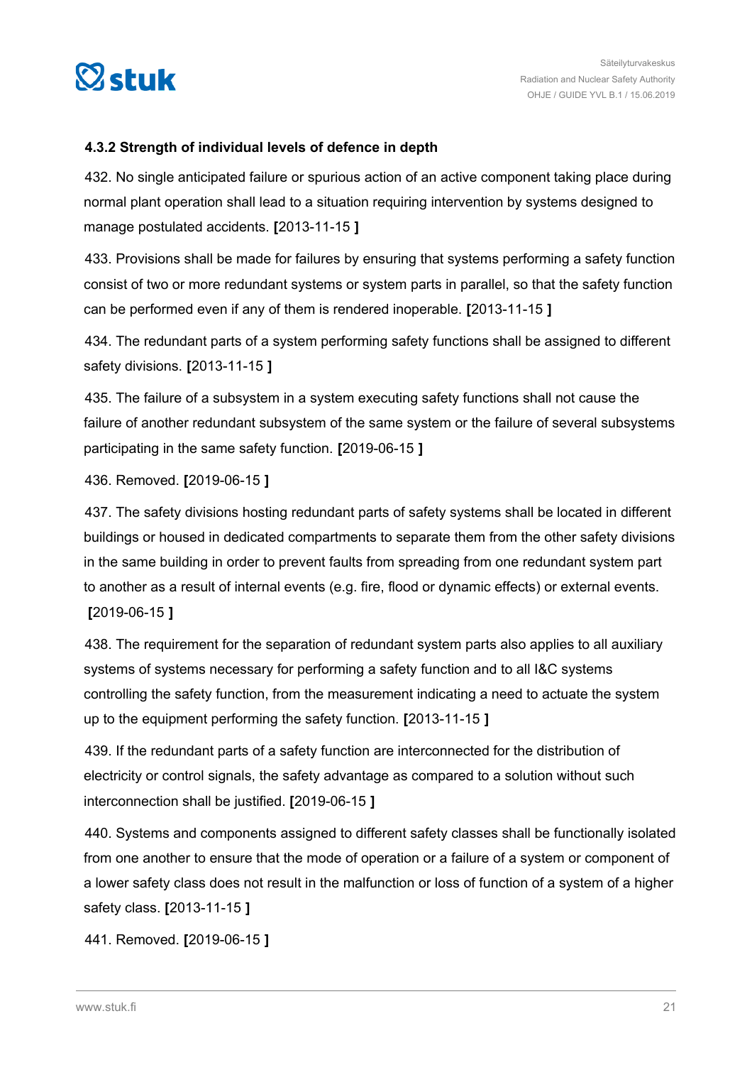<span id="page-20-0"></span>

#### **4.3.2 Strength of individual levels of defence in depth**

432. No single anticipated failure or spurious action of an active component taking place during normal plant operation shall lead to a situation requiring intervention by systems designed to manage postulated accidents. **[**2013-11-15 **]**

433. Provisions shall be made for failures by ensuring that systems performing a safety function consist of two or more redundant systems or system parts in parallel, so that the safety function can be performed even if any of them is rendered inoperable. **[**2013-11-15 **]**

434. The redundant parts of a system performing safety functions shall be assigned to different safety divisions. **[**2013-11-15 **]**

435. The failure of a subsystem in a system executing safety functions shall not cause the failure of another redundant subsystem of the same system or the failure of several subsystems participating in the same safety function. **[**2019-06-15 **]**

436. Removed. **[**2019-06-15 **]**

437. The safety divisions hosting redundant parts of safety systems shall be located in different buildings or housed in dedicated compartments to separate them from the other safety divisions in the same building in order to prevent faults from spreading from one redundant system part to another as a result of internal events (e.g. fire, flood or dynamic effects) or external events. **[**2019-06-15 **]**

438. The requirement for the separation of redundant system parts also applies to all auxiliary systems of systems necessary for performing a safety function and to all I&C systems controlling the safety function, from the measurement indicating a need to actuate the system up to the equipment performing the safety function. **[**2013-11-15 **]**

439. If the redundant parts of a safety function are interconnected for the distribution of electricity or control signals, the safety advantage as compared to a solution without such interconnection shall be justified. **[**2019-06-15 **]**

440. Systems and components assigned to different safety classes shall be functionally isolated from one another to ensure that the mode of operation or a failure of a system or component of a lower safety class does not result in the malfunction or loss of function of a system of a higher safety class. **[**2013-11-15 **]**

441. Removed. **[**2019-06-15 **]**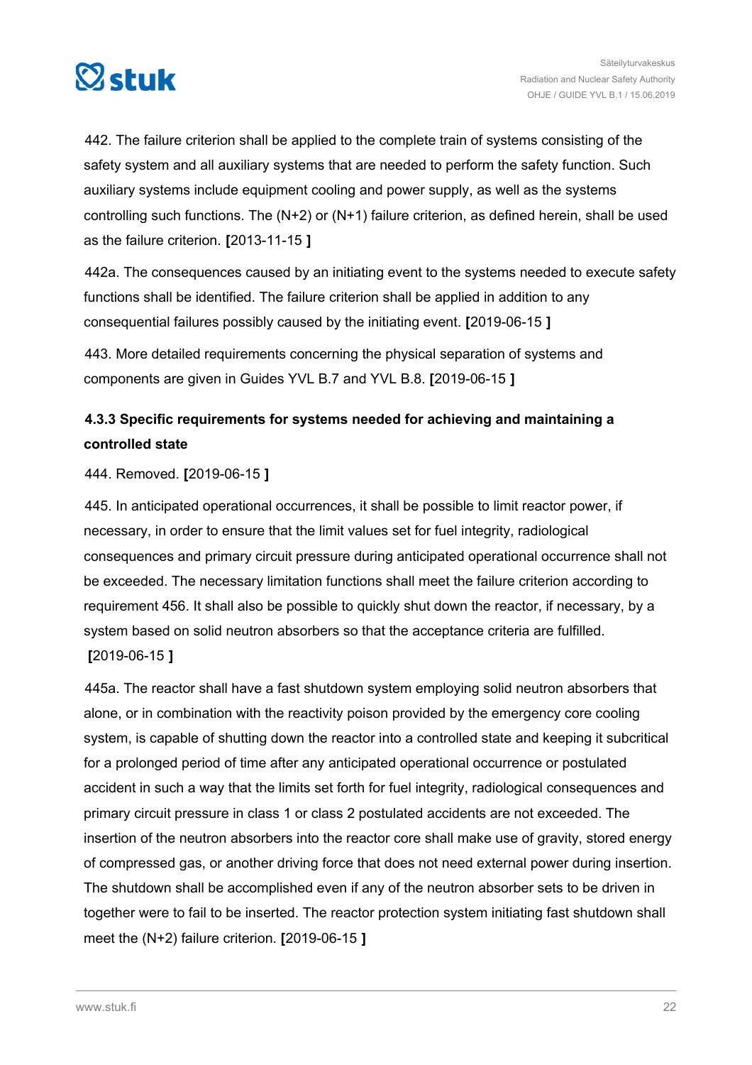<span id="page-21-0"></span>

442. The failure criterion shall be applied to the complete train of systems consisting of the safety system and all auxiliary systems that are needed to perform the safety function. Such auxiliary systems include equipment cooling and power supply, as well as the systems controlling such functions. The (N+2) or (N+1) failure criterion, as defined herein, shall be used as the failure criterion. **[**2013-11-15 **]**

442a. The consequences caused by an initiating event to the systems needed to execute safety functions shall be identified. The failure criterion shall be applied in addition to any consequential failures possibly caused by the initiating event. **[**2019-06-15 **]**

443. More detailed requirements concerning the physical separation of systems and components are given in Guides YVL B.7 and YVL B.8. **[**2019-06-15 **]**

# **4.3.3 Specific requirements for systems needed for achieving and maintaining a controlled state**

444. Removed. **[**2019-06-15 **]**

445. In anticipated operational occurrences, it shall be possible to limit reactor power, if necessary, in order to ensure that the limit values set for fuel integrity, radiological consequences and primary circuit pressure during anticipated operational occurrence shall not be exceeded. The necessary limitation functions shall meet the failure criterion according to requirement 456. It shall also be possible to quickly shut down the reactor, if necessary, by a system based on solid neutron absorbers so that the acceptance criteria are fulfilled. **[**2019-06-15 **]**

445a. The reactor shall have a fast shutdown system employing solid neutron absorbers that alone, or in combination with the reactivity poison provided by the emergency core cooling system, is capable of shutting down the reactor into a controlled state and keeping it subcritical for a prolonged period of time after any anticipated operational occurrence or postulated accident in such a way that the limits set forth for fuel integrity, radiological consequences and primary circuit pressure in class 1 or class 2 postulated accidents are not exceeded. The insertion of the neutron absorbers into the reactor core shall make use of gravity, stored energy of compressed gas, or another driving force that does not need external power during insertion. The shutdown shall be accomplished even if any of the neutron absorber sets to be driven in together were to fail to be inserted. The reactor protection system initiating fast shutdown shall meet the (N+2) failure criterion. **[**2019-06-15 **]**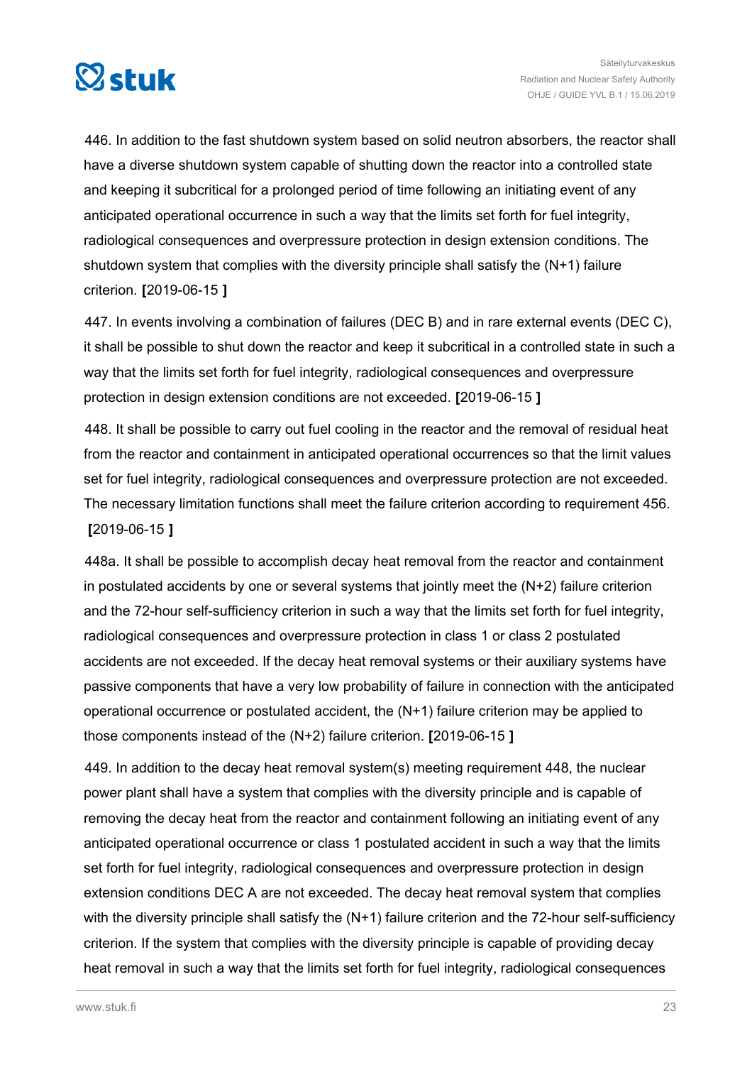

446. In addition to the fast shutdown system based on solid neutron absorbers, the reactor shall have a diverse shutdown system capable of shutting down the reactor into a controlled state and keeping it subcritical for a prolonged period of time following an initiating event of any anticipated operational occurrence in such a way that the limits set forth for fuel integrity, radiological consequences and overpressure protection in design extension conditions. The shutdown system that complies with the diversity principle shall satisfy the (N+1) failure criterion. **[**2019-06-15 **]**

447. In events involving a combination of failures (DEC B) and in rare external events (DEC C), it shall be possible to shut down the reactor and keep it subcritical in a controlled state in such a way that the limits set forth for fuel integrity, radiological consequences and overpressure protection in design extension conditions are not exceeded. **[**2019-06-15 **]**

448. It shall be possible to carry out fuel cooling in the reactor and the removal of residual heat from the reactor and containment in anticipated operational occurrences so that the limit values set for fuel integrity, radiological consequences and overpressure protection are not exceeded. The necessary limitation functions shall meet the failure criterion according to requirement 456. **[**2019-06-15 **]**

448a. It shall be possible to accomplish decay heat removal from the reactor and containment in postulated accidents by one or several systems that jointly meet the  $(N+2)$  failure criterion and the 72-hour self-sufficiency criterion in such a way that the limits set forth for fuel integrity, radiological consequences and overpressure protection in class 1 or class 2 postulated accidents are not exceeded. If the decay heat removal systems or their auxiliary systems have passive components that have a very low probability of failure in connection with the anticipated operational occurrence or postulated accident, the (N+1) failure criterion may be applied to those components instead of the (N+2) failure criterion. **[**2019-06-15 **]**

449. In addition to the decay heat removal system(s) meeting requirement 448, the nuclear power plant shall have a system that complies with the diversity principle and is capable of removing the decay heat from the reactor and containment following an initiating event of any anticipated operational occurrence or class 1 postulated accident in such a way that the limits set forth for fuel integrity, radiological consequences and overpressure protection in design extension conditions DEC A are not exceeded. The decay heat removal system that complies with the diversity principle shall satisfy the (N+1) failure criterion and the 72-hour self-sufficiency criterion. If the system that complies with the diversity principle is capable of providing decay heat removal in such a way that the limits set forth for fuel integrity, radiological consequences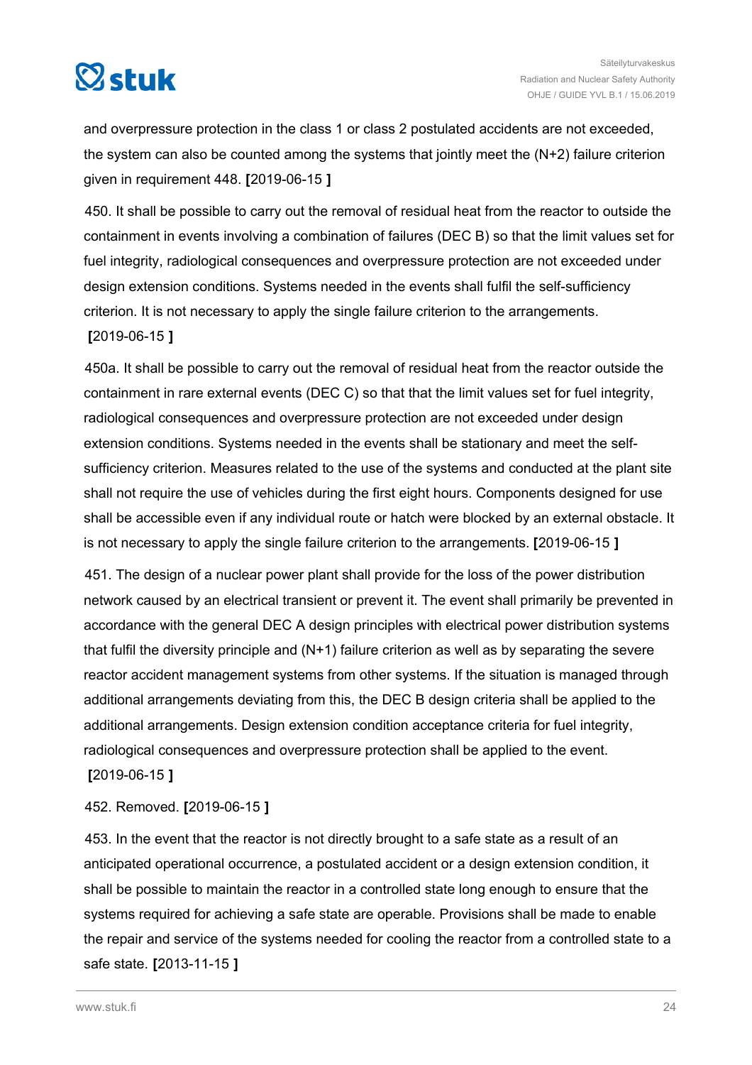

and overpressure protection in the class 1 or class 2 postulated accidents are not exceeded, the system can also be counted among the systems that jointly meet the  $(N+2)$  failure criterion given in requirement 448. **[**2019-06-15 **]**

450. It shall be possible to carry out the removal of residual heat from the reactor to outside the containment in events involving a combination of failures (DEC B) so that the limit values set for fuel integrity, radiological consequences and overpressure protection are not exceeded under design extension conditions. Systems needed in the events shall fulfil the self-sufficiency criterion. It is not necessary to apply the single failure criterion to the arrangements.

**[**2019-06-15 **]**

450a. It shall be possible to carry out the removal of residual heat from the reactor outside the containment in rare external events (DEC C) so that that the limit values set for fuel integrity, radiological consequences and overpressure protection are not exceeded under design extension conditions. Systems needed in the events shall be stationary and meet the selfsufficiency criterion. Measures related to the use of the systems and conducted at the plant site shall not require the use of vehicles during the first eight hours. Components designed for use shall be accessible even if any individual route or hatch were blocked by an external obstacle. It is not necessary to apply the single failure criterion to the arrangements. **[**2019-06-15 **]**

451. The design of a nuclear power plant shall provide for the loss of the power distribution network caused by an electrical transient or prevent it. The event shall primarily be prevented in accordance with the general DEC A design principles with electrical power distribution systems that fulfil the diversity principle and (N+1) failure criterion as well as by separating the severe reactor accident management systems from other systems. If the situation is managed through additional arrangements deviating from this, the DEC B design criteria shall be applied to the additional arrangements. Design extension condition acceptance criteria for fuel integrity, radiological consequences and overpressure protection shall be applied to the event. **[**2019-06-15 **]**

452. Removed. **[**2019-06-15 **]**

453. In the event that the reactor is not directly brought to a safe state as a result of an anticipated operational occurrence, a postulated accident or a design extension condition, it shall be possible to maintain the reactor in a controlled state long enough to ensure that the systems required for achieving a safe state are operable. Provisions shall be made to enable the repair and service of the systems needed for cooling the reactor from a controlled state to a safe state. **[**2013-11-15 **]**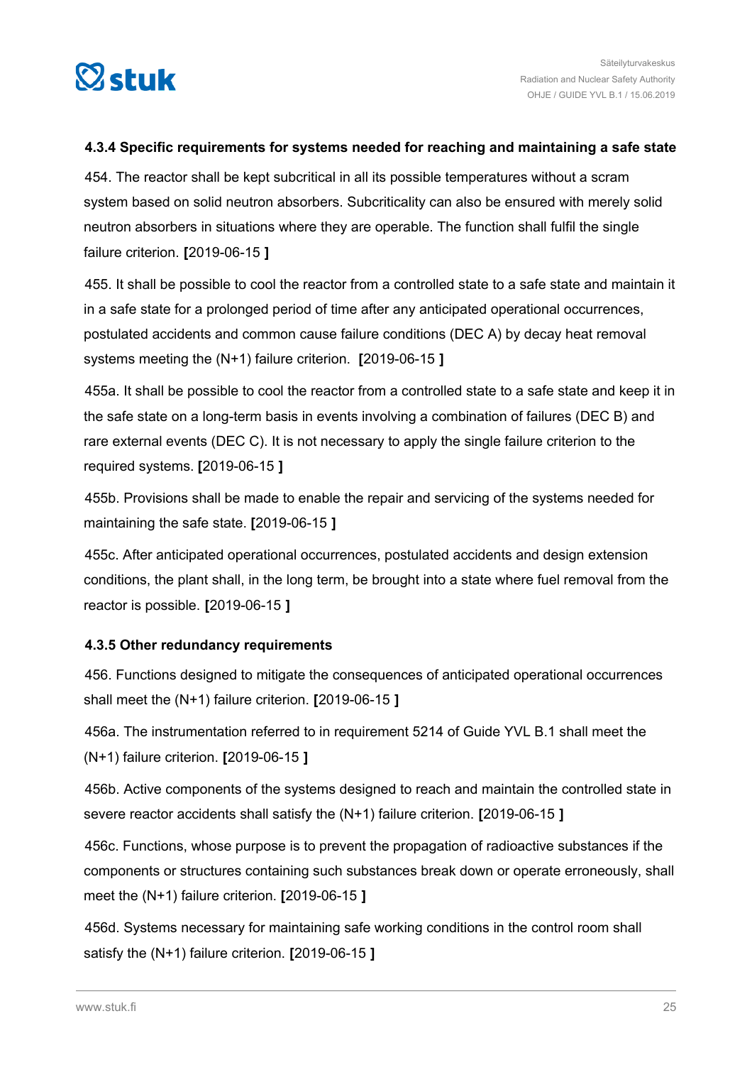<span id="page-24-0"></span>

#### **4.3.4 Specific requirements for systems needed for reaching and maintaining a safe state**

454. The reactor shall be kept subcritical in all its possible temperatures without a scram system based on solid neutron absorbers. Subcriticality can also be ensured with merely solid neutron absorbers in situations where they are operable. The function shall fulfil the single failure criterion. **[**2019-06-15 **]**

455. It shall be possible to cool the reactor from a controlled state to a safe state and maintain it in a safe state for a prolonged period of time after any anticipated operational occurrences, postulated accidents and common cause failure conditions (DEC A) by decay heat removal systems meeting the (N+1) failure criterion. **[**2019-06-15 **]**

455a. It shall be possible to cool the reactor from a controlled state to a safe state and keep it in the safe state on a long-term basis in events involving a combination of failures (DEC B) and rare external events (DEC C). It is not necessary to apply the single failure criterion to the required systems. **[**2019-06-15 **]**

455b. Provisions shall be made to enable the repair and servicing of the systems needed for maintaining the safe state. **[**2019-06-15 **]**

455c. After anticipated operational occurrences, postulated accidents and design extension conditions, the plant shall, in the long term, be brought into a state where fuel removal from the reactor is possible. **[**2019-06-15 **]**

#### **4.3.5 Other redundancy requirements**

456. Functions designed to mitigate the consequences of anticipated operational occurrences shall meet the (N+1) failure criterion. **[**2019-06-15 **]**

456a. The instrumentation referred to in requirement 5214 of Guide YVL B.1 shall meet the (N+1) failure criterion. **[**2019-06-15 **]**

456b. Active components of the systems designed to reach and maintain the controlled state in severe reactor accidents shall satisfy the (N+1) failure criterion. **[**2019-06-15 **]**

456c. Functions, whose purpose is to prevent the propagation of radioactive substances if the components or structures containing such substances break down or operate erroneously, shall meet the (N+1) failure criterion. **[**2019-06-15 **]**

456d. Systems necessary for maintaining safe working conditions in the control room shall satisfy the (N+1) failure criterion. **[**2019-06-15 **]**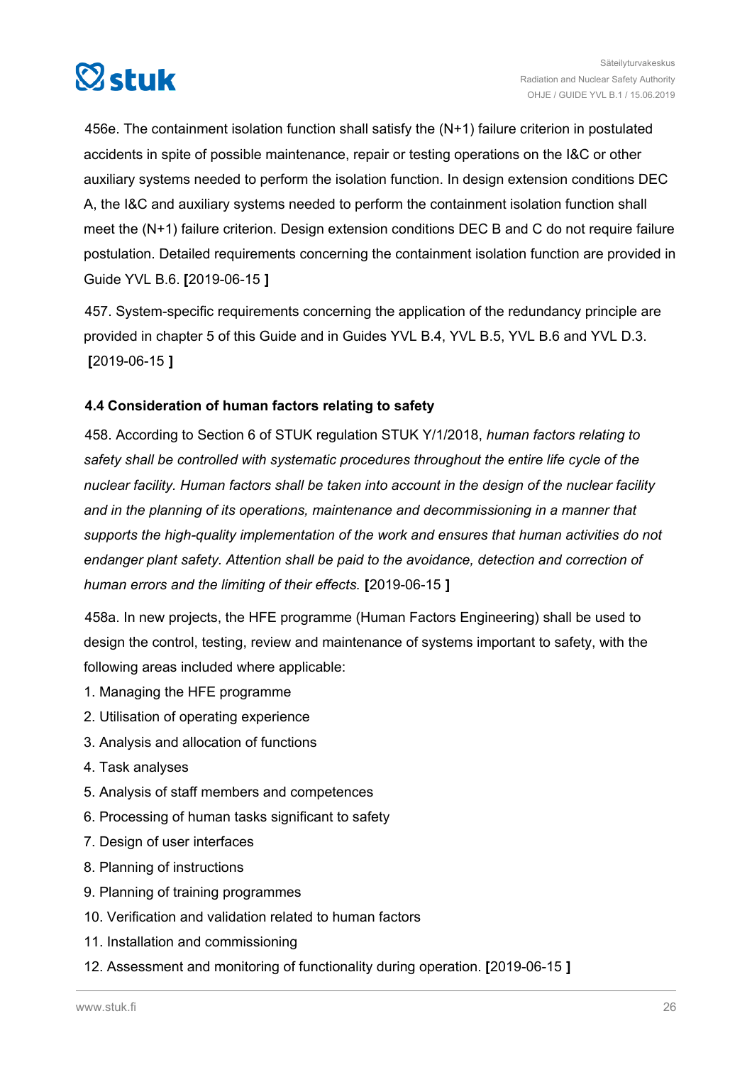<span id="page-25-0"></span>

456e. The containment isolation function shall satisfy the (N+1) failure criterion in postulated accidents in spite of possible maintenance, repair or testing operations on the I&C or other auxiliary systems needed to perform the isolation function. In design extension conditions DEC A, the I&C and auxiliary systems needed to perform the containment isolation function shall meet the (N+1) failure criterion. Design extension conditions DEC B and C do not require failure postulation. Detailed requirements concerning the containment isolation function are provided in Guide YVL B.6. **[**2019-06-15 **]**

457. System-specific requirements concerning the application of the redundancy principle are provided in chapter 5 of this Guide and in Guides YVL B.4, YVL B.5, YVL B.6 and YVL D.3. **[**2019-06-15 **]**

#### **4.4 Consideration of human factors relating to safety**

458. According to Section 6 of STUK regulation STUK Y/1/2018, *human factors relating to safety shall be controlled with systematic procedures throughout the entire life cycle of the nuclear facility. Human factors shall be taken into account in the design of the nuclear facility and in the planning of its operations, maintenance and decommissioning in a manner that supports the high-quality implementation of the work and ensures that human activities do not endanger plant safety. Attention shall be paid to the avoidance, detection and correction of human errors and the limiting of their effects.* **[**2019-06-15 **]**

458a. In new projects, the HFE programme (Human Factors Engineering) shall be used to design the control, testing, review and maintenance of systems important to safety, with the following areas included where applicable:

- 1. Managing the HFE programme
- 2. Utilisation of operating experience
- 3. Analysis and allocation of functions
- 4. Task analyses
- 5. Analysis of staff members and competences
- 6. Processing of human tasks significant to safety
- 7. Design of user interfaces
- 8. Planning of instructions
- 9. Planning of training programmes
- 10. Verification and validation related to human factors
- 11. Installation and commissioning
- 12. Assessment and monitoring of functionality during operation. **[**2019-06-15 **]**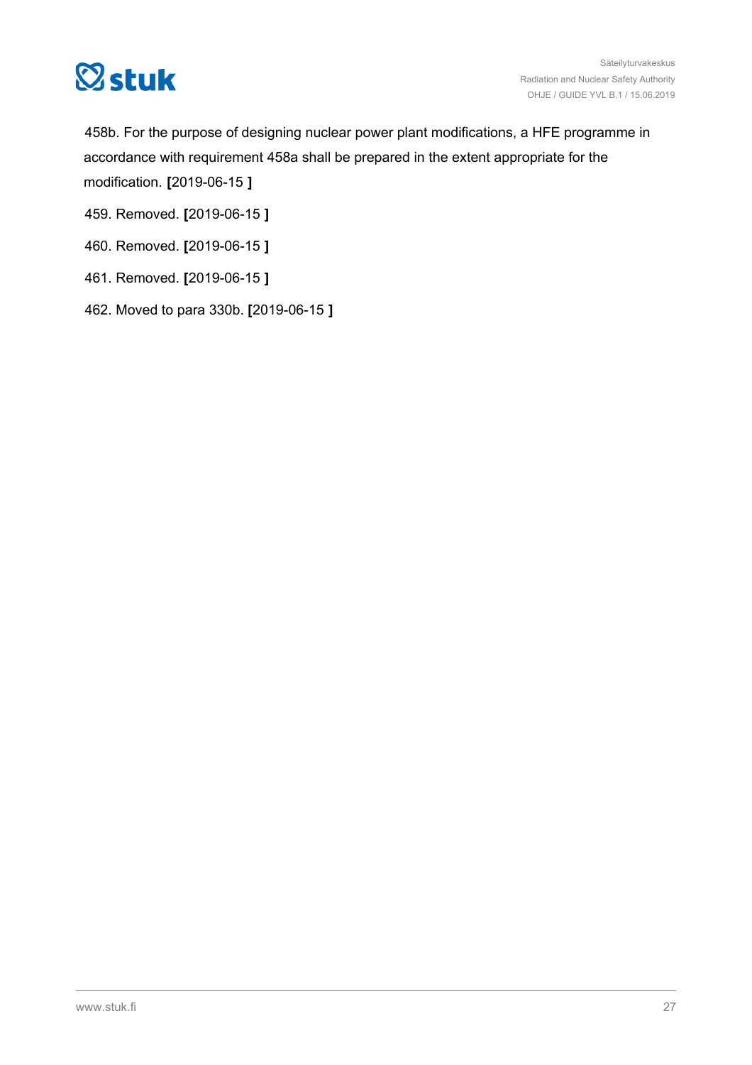

458b. For the purpose of designing nuclear power plant modifications, a HFE programme in accordance with requirement 458a shall be prepared in the extent appropriate for the modification. **[**2019-06-15 **]**

- 459. Removed. **[**2019-06-15 **]**
- 460. Removed. **[**2019-06-15 **]**
- 461. Removed. **[**2019-06-15 **]**
- 462. Moved to para 330b. **[**2019-06-15 **]**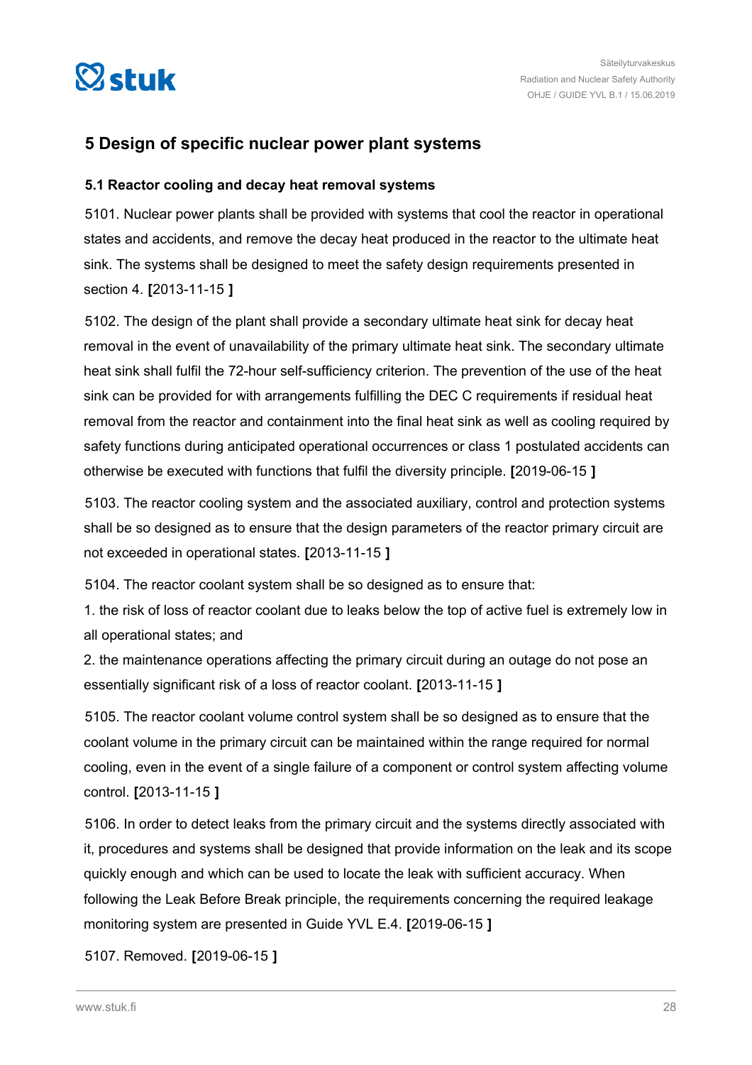<span id="page-27-0"></span>

### **5 Design of specific nuclear power plant systems**

#### **5.1 Reactor cooling and decay heat removal systems**

5101. Nuclear power plants shall be provided with systems that cool the reactor in operational states and accidents, and remove the decay heat produced in the reactor to the ultimate heat sink. The systems shall be designed to meet the safety design requirements presented in section 4. **[**2013-11-15 **]**

5102. The design of the plant shall provide a secondary ultimate heat sink for decay heat removal in the event of unavailability of the primary ultimate heat sink. The secondary ultimate heat sink shall fulfil the 72-hour self-sufficiency criterion. The prevention of the use of the heat sink can be provided for with arrangements fulfilling the DEC C requirements if residual heat removal from the reactor and containment into the final heat sink as well as cooling required by safety functions during anticipated operational occurrences or class 1 postulated accidents can otherwise be executed with functions that fulfil the diversity principle. **[**2019-06-15 **]**

5103. The reactor cooling system and the associated auxiliary, control and protection systems shall be so designed as to ensure that the design parameters of the reactor primary circuit are not exceeded in operational states. **[**2013-11-15 **]**

5104. The reactor coolant system shall be so designed as to ensure that:

1. the risk of loss of reactor coolant due to leaks below the top of active fuel is extremely low in all operational states; and

2. the maintenance operations affecting the primary circuit during an outage do not pose an essentially significant risk of a loss of reactor coolant. **[**2013-11-15 **]**

5105. The reactor coolant volume control system shall be so designed as to ensure that the coolant volume in the primary circuit can be maintained within the range required for normal cooling, even in the event of a single failure of a component or control system affecting volume control. **[**2013-11-15 **]**

5106. In order to detect leaks from the primary circuit and the systems directly associated with it, procedures and systems shall be designed that provide information on the leak and its scope quickly enough and which can be used to locate the leak with sufficient accuracy. When following the Leak Before Break principle, the requirements concerning the required leakage monitoring system are presented in Guide YVL E.4. **[**2019-06-15 **]**

5107. Removed. **[**2019-06-15 **]**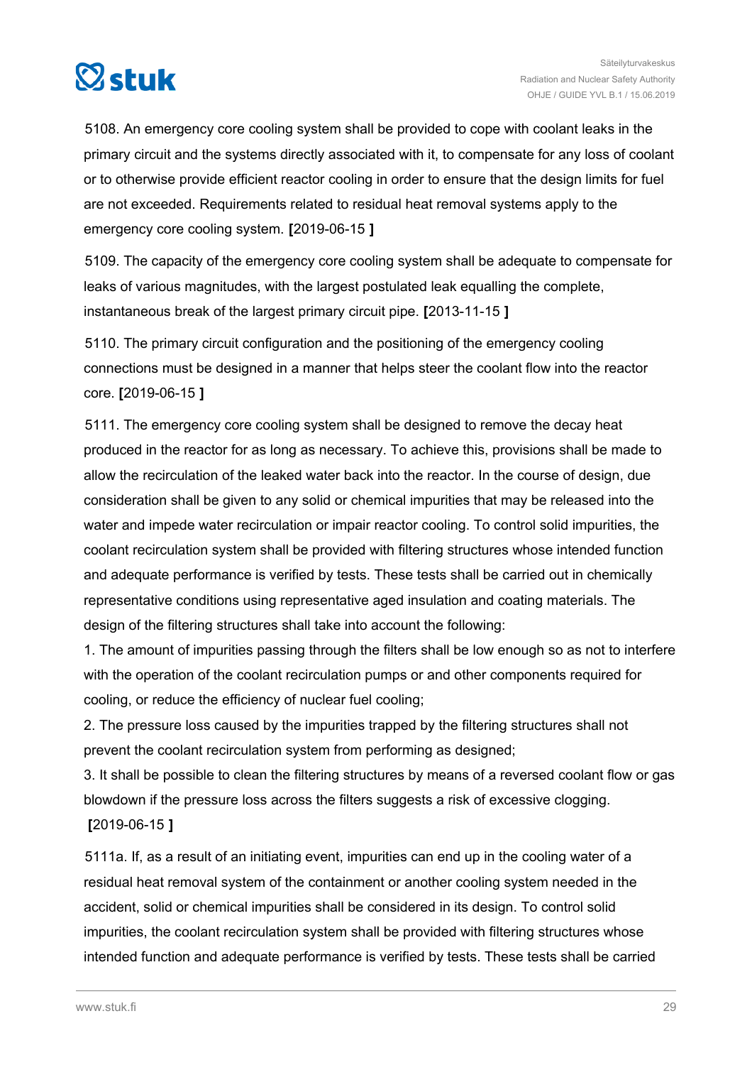

5108. An emergency core cooling system shall be provided to cope with coolant leaks in the primary circuit and the systems directly associated with it, to compensate for any loss of coolant or to otherwise provide efficient reactor cooling in order to ensure that the design limits for fuel are not exceeded. Requirements related to residual heat removal systems apply to the emergency core cooling system. **[**2019-06-15 **]**

5109. The capacity of the emergency core cooling system shall be adequate to compensate for leaks of various magnitudes, with the largest postulated leak equalling the complete, instantaneous break of the largest primary circuit pipe. **[**2013-11-15 **]**

5110. The primary circuit configuration and the positioning of the emergency cooling connections must be designed in a manner that helps steer the coolant flow into the reactor core. **[**2019-06-15 **]**

5111. The emergency core cooling system shall be designed to remove the decay heat produced in the reactor for as long as necessary. To achieve this, provisions shall be made to allow the recirculation of the leaked water back into the reactor. In the course of design, due consideration shall be given to any solid or chemical impurities that may be released into the water and impede water recirculation or impair reactor cooling. To control solid impurities, the coolant recirculation system shall be provided with filtering structures whose intended function and adequate performance is verified by tests. These tests shall be carried out in chemically representative conditions using representative aged insulation and coating materials. The design of the filtering structures shall take into account the following:

1. The amount of impurities passing through the filters shall be low enough so as not to interfere with the operation of the coolant recirculation pumps or and other components required for cooling, or reduce the efficiency of nuclear fuel cooling;

2. The pressure loss caused by the impurities trapped by the filtering structures shall not prevent the coolant recirculation system from performing as designed;

3. It shall be possible to clean the filtering structures by means of a reversed coolant flow or gas blowdown if the pressure loss across the filters suggests a risk of excessive clogging. **[**2019-06-15 **]**

5111a. If, as a result of an initiating event, impurities can end up in the cooling water of a residual heat removal system of the containment or another cooling system needed in the accident, solid or chemical impurities shall be considered in its design. To control solid impurities, the coolant recirculation system shall be provided with filtering structures whose intended function and adequate performance is verified by tests. These tests shall be carried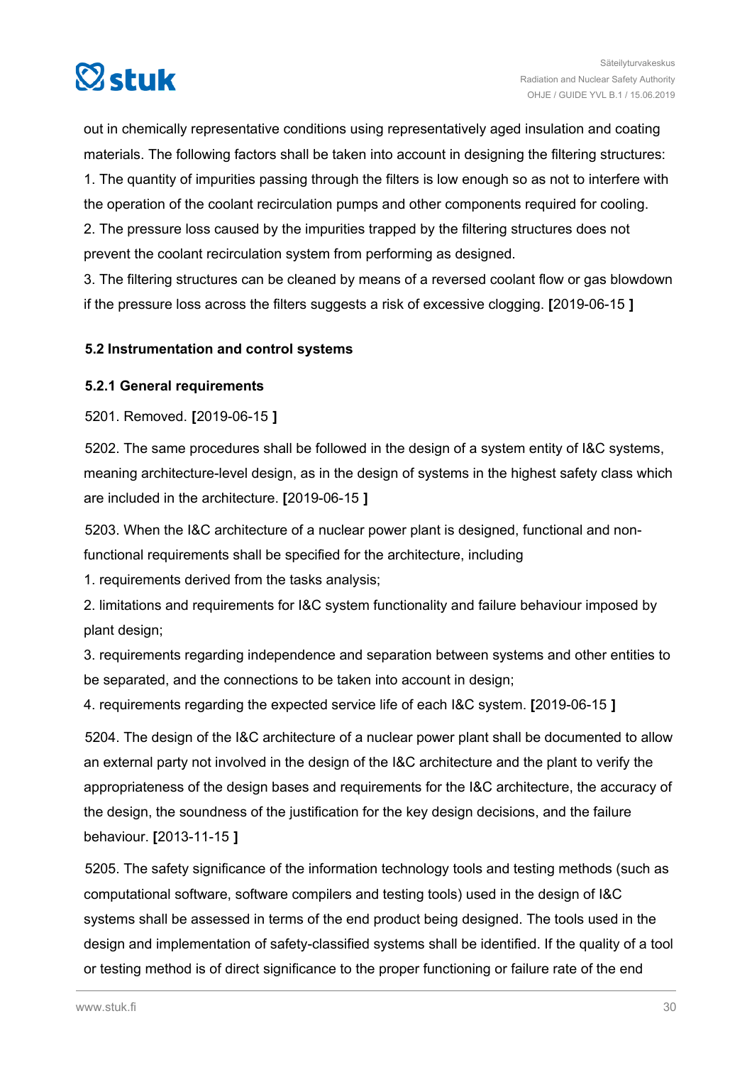<span id="page-29-0"></span>

out in chemically representative conditions using representatively aged insulation and coating materials. The following factors shall be taken into account in designing the filtering structures: 1. The quantity of impurities passing through the filters is low enough so as not to interfere with the operation of the coolant recirculation pumps and other components required for cooling. 2. The pressure loss caused by the impurities trapped by the filtering structures does not prevent the coolant recirculation system from performing as designed.

3. The filtering structures can be cleaned by means of a reversed coolant flow or gas blowdown if the pressure loss across the filters suggests a risk of excessive clogging. **[**2019-06-15 **]**

#### **5.2 Instrumentation and control systems**

#### **5.2.1 General requirements**

5201. Removed. **[**2019-06-15 **]**

5202. The same procedures shall be followed in the design of a system entity of I&C systems, meaning architecture-level design, as in the design of systems in the highest safety class which are included in the architecture. **[**2019-06-15 **]**

5203. When the I&C architecture of a nuclear power plant is designed, functional and nonfunctional requirements shall be specified for the architecture, including

1. requirements derived from the tasks analysis;

2. limitations and requirements for I&C system functionality and failure behaviour imposed by plant design;

3. requirements regarding independence and separation between systems and other entities to be separated, and the connections to be taken into account in design;

4. requirements regarding the expected service life of each I&C system. **[**2019-06-15 **]**

5204. The design of the I&C architecture of a nuclear power plant shall be documented to allow an external party not involved in the design of the I&C architecture and the plant to verify the appropriateness of the design bases and requirements for the I&C architecture, the accuracy of the design, the soundness of the justification for the key design decisions, and the failure behaviour. **[**2013-11-15 **]**

5205. The safety significance of the information technology tools and testing methods (such as computational software, software compilers and testing tools) used in the design of I&C systems shall be assessed in terms of the end product being designed. The tools used in the design and implementation of safety-classified systems shall be identified. If the quality of a tool or testing method is of direct significance to the proper functioning or failure rate of the end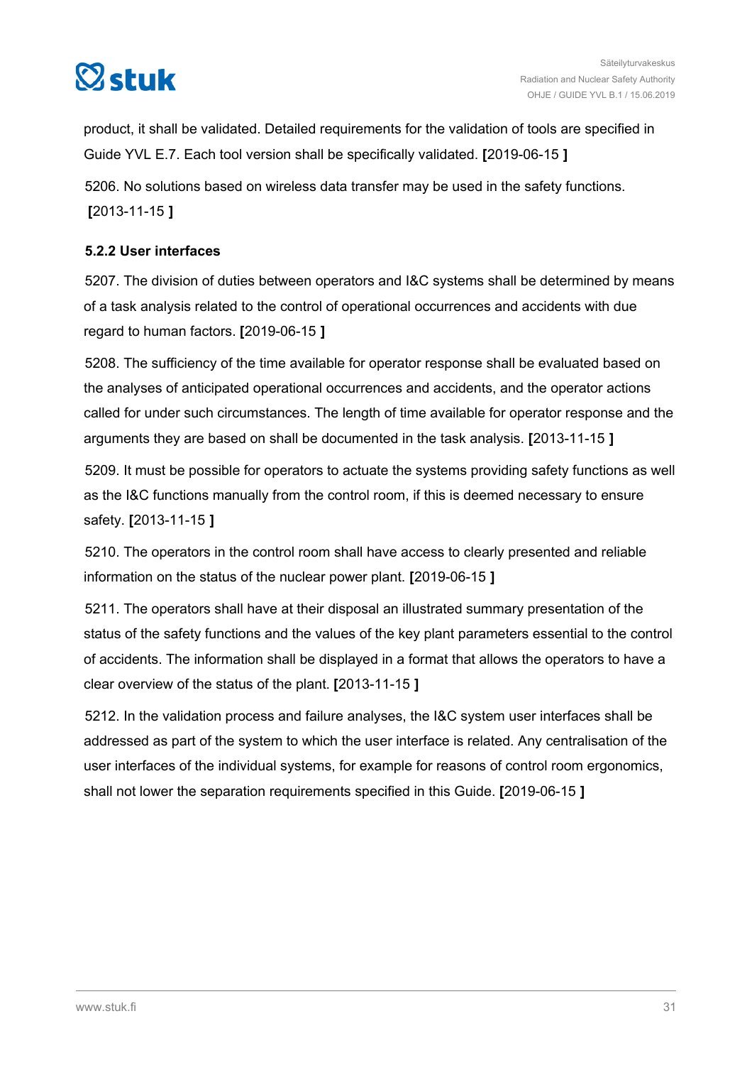<span id="page-30-0"></span>

product, it shall be validated. Detailed requirements for the validation of tools are specified in Guide YVL E.7. Each tool version shall be specifically validated. **[**2019-06-15 **]**

5206. No solutions based on wireless data transfer may be used in the safety functions. **[**2013-11-15 **]**

#### **5.2.2 User interfaces**

5207. The division of duties between operators and I&C systems shall be determined by means of a task analysis related to the control of operational occurrences and accidents with due regard to human factors. **[**2019-06-15 **]**

5208. The sufficiency of the time available for operator response shall be evaluated based on the analyses of anticipated operational occurrences and accidents, and the operator actions called for under such circumstances. The length of time available for operator response and the arguments they are based on shall be documented in the task analysis. **[**2013-11-15 **]**

5209. It must be possible for operators to actuate the systems providing safety functions as well as the I&C functions manually from the control room, if this is deemed necessary to ensure safety. **[**2013-11-15 **]**

5210. The operators in the control room shall have access to clearly presented and reliable information on the status of the nuclear power plant. **[**2019-06-15 **]**

5211. The operators shall have at their disposal an illustrated summary presentation of the status of the safety functions and the values of the key plant parameters essential to the control of accidents. The information shall be displayed in a format that allows the operators to have a clear overview of the status of the plant. **[**2013-11-15 **]**

5212. In the validation process and failure analyses, the I&C system user interfaces shall be addressed as part of the system to which the user interface is related. Any centralisation of the user interfaces of the individual systems, for example for reasons of control room ergonomics, shall not lower the separation requirements specified in this Guide. **[**2019-06-15 **]**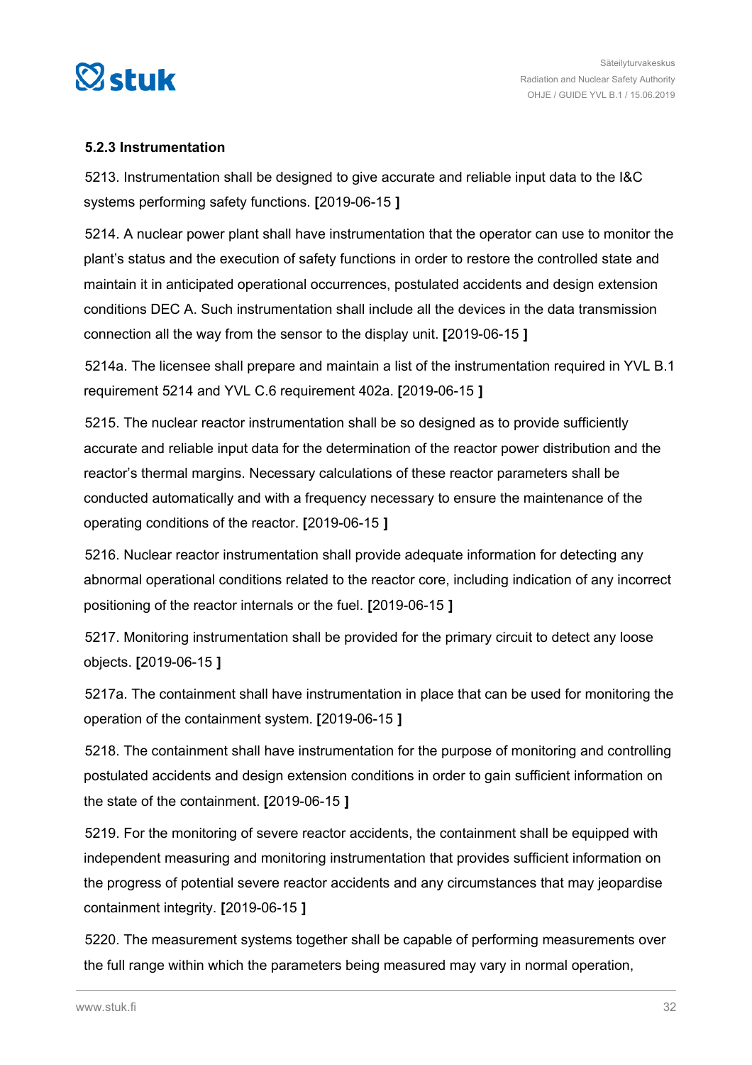<span id="page-31-0"></span>

#### **5.2.3 Instrumentation**

5213. Instrumentation shall be designed to give accurate and reliable input data to the I&C systems performing safety functions. **[**2019-06-15 **]**

5214. A nuclear power plant shall have instrumentation that the operator can use to monitor the plant's status and the execution of safety functions in order to restore the controlled state and maintain it in anticipated operational occurrences, postulated accidents and design extension conditions DEC A. Such instrumentation shall include all the devices in the data transmission connection all the way from the sensor to the display unit. **[**2019-06-15 **]**

5214a. The licensee shall prepare and maintain a list of the instrumentation required in YVL B.1 requirement 5214 and YVL C.6 requirement 402a. **[**2019-06-15 **]**

5215. The nuclear reactor instrumentation shall be so designed as to provide sufficiently accurate and reliable input data for the determination of the reactor power distribution and the reactor's thermal margins. Necessary calculations of these reactor parameters shall be conducted automatically and with a frequency necessary to ensure the maintenance of the operating conditions of the reactor. **[**2019-06-15 **]**

5216. Nuclear reactor instrumentation shall provide adequate information for detecting any abnormal operational conditions related to the reactor core, including indication of any incorrect positioning of the reactor internals or the fuel. **[**2019-06-15 **]**

5217. Monitoring instrumentation shall be provided for the primary circuit to detect any loose objects. **[**2019-06-15 **]**

5217a. The containment shall have instrumentation in place that can be used for monitoring the operation of the containment system. **[**2019-06-15 **]**

5218. The containment shall have instrumentation for the purpose of monitoring and controlling postulated accidents and design extension conditions in order to gain sufficient information on the state of the containment. **[**2019-06-15 **]**

5219. For the monitoring of severe reactor accidents, the containment shall be equipped with independent measuring and monitoring instrumentation that provides sufficient information on the progress of potential severe reactor accidents and any circumstances that may jeopardise containment integrity. **[**2019-06-15 **]**

5220. The measurement systems together shall be capable of performing measurements over the full range within which the parameters being measured may vary in normal operation,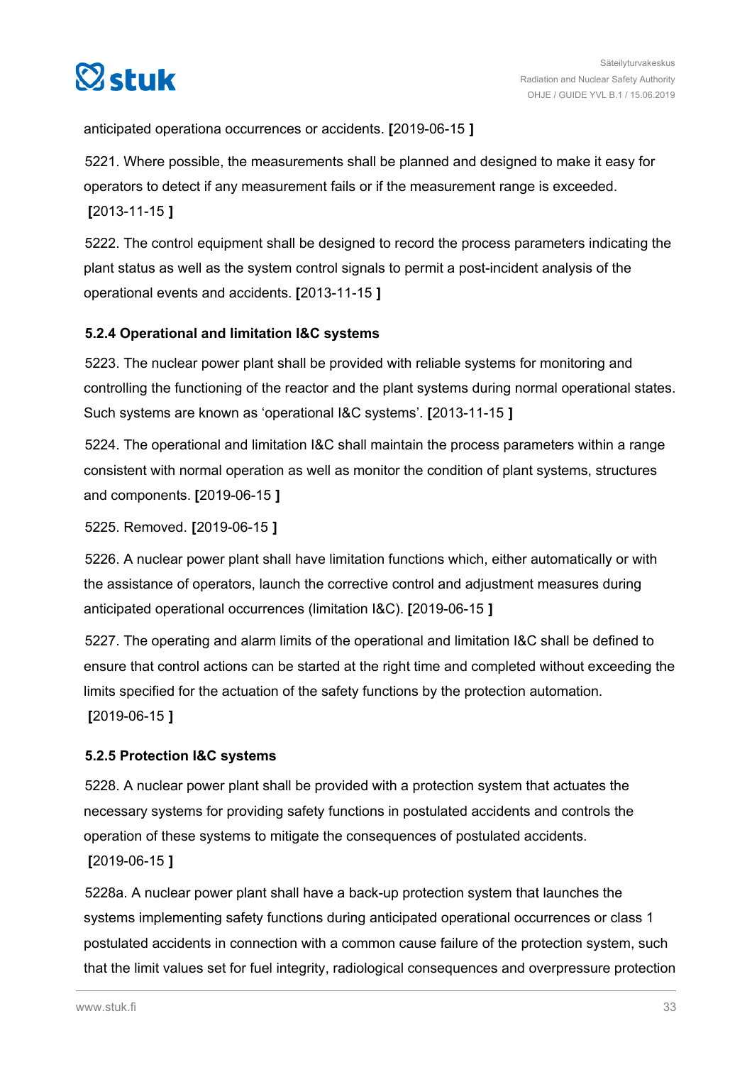<span id="page-32-0"></span>

anticipated operationa occurrences or accidents. **[**2019-06-15 **]**

5221. Where possible, the measurements shall be planned and designed to make it easy for operators to detect if any measurement fails or if the measurement range is exceeded. **[**2013-11-15 **]**

5222. The control equipment shall be designed to record the process parameters indicating the plant status as well as the system control signals to permit a post-incident analysis of the operational events and accidents. **[**2013-11-15 **]**

#### **5.2.4 Operational and limitation I&C systems**

5223. The nuclear power plant shall be provided with reliable systems for monitoring and controlling the functioning of the reactor and the plant systems during normal operational states. Such systems are known as 'operational I&C systems'. **[**2013-11-15 **]**

5224. The operational and limitation I&C shall maintain the process parameters within a range consistent with normal operation as well as monitor the condition of plant systems, structures and components. **[**2019-06-15 **]**

5225. Removed. **[**2019-06-15 **]**

5226. A nuclear power plant shall have limitation functions which, either automatically or with the assistance of operators, launch the corrective control and adjustment measures during anticipated operational occurrences (limitation I&C). **[**2019-06-15 **]**

5227. The operating and alarm limits of the operational and limitation I&C shall be defined to ensure that control actions can be started at the right time and completed without exceeding the limits specified for the actuation of the safety functions by the protection automation. **[**2019-06-15 **]**

#### **5.2.5 Protection I&C systems**

5228. A nuclear power plant shall be provided with a protection system that actuates the necessary systems for providing safety functions in postulated accidents and controls the operation of these systems to mitigate the consequences of postulated accidents. **[**2019-06-15 **]**

5228a. A nuclear power plant shall have a back-up protection system that launches the systems implementing safety functions during anticipated operational occurrences or class 1 postulated accidents in connection with a common cause failure of the protection system, such that the limit values set for fuel integrity, radiological consequences and overpressure protection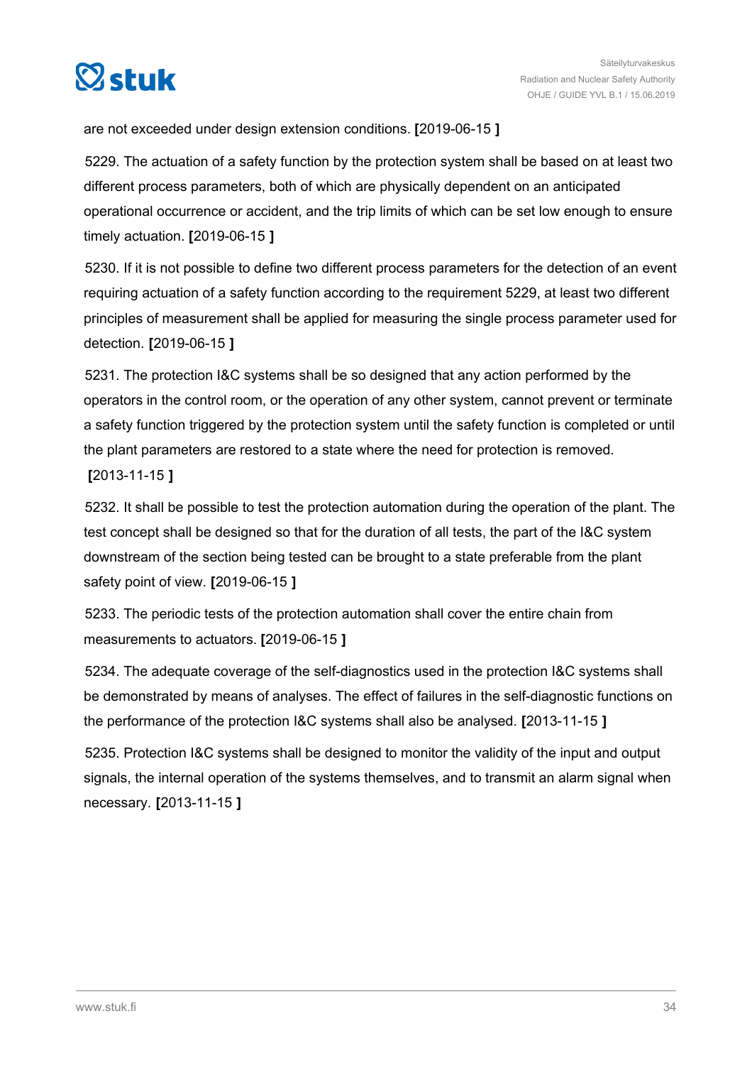

are not exceeded under design extension conditions. **[**2019-06-15 **]**

5229. The actuation of a safety function by the protection system shall be based on at least two different process parameters, both of which are physically dependent on an anticipated operational occurrence or accident, and the trip limits of which can be set low enough to ensure timely actuation. **[**2019-06-15 **]**

5230. If it is not possible to define two different process parameters for the detection of an event requiring actuation of a safety function according to the requirement 5229, at least two different principles of measurement shall be applied for measuring the single process parameter used for detection. **[**2019-06-15 **]**

5231. The protection I&C systems shall be so designed that any action performed by the operators in the control room, or the operation of any other system, cannot prevent or terminate a safety function triggered by the protection system until the safety function is completed or until the plant parameters are restored to a state where the need for protection is removed. **[**2013-11-15 **]**

5232. It shall be possible to test the protection automation during the operation of the plant. The test concept shall be designed so that for the duration of all tests, the part of the I&C system downstream of the section being tested can be brought to a state preferable from the plant safety point of view. **[**2019-06-15 **]**

5233. The periodic tests of the protection automation shall cover the entire chain from measurements to actuators. **[**2019-06-15 **]**

5234. The adequate coverage of the self-diagnostics used in the protection I&C systems shall be demonstrated by means of analyses. The effect of failures in the self-diagnostic functions on the performance of the protection I&C systems shall also be analysed. **[**2013-11-15 **]**

5235. Protection I&C systems shall be designed to monitor the validity of the input and output signals, the internal operation of the systems themselves, and to transmit an alarm signal when necessary. **[**2013-11-15 **]**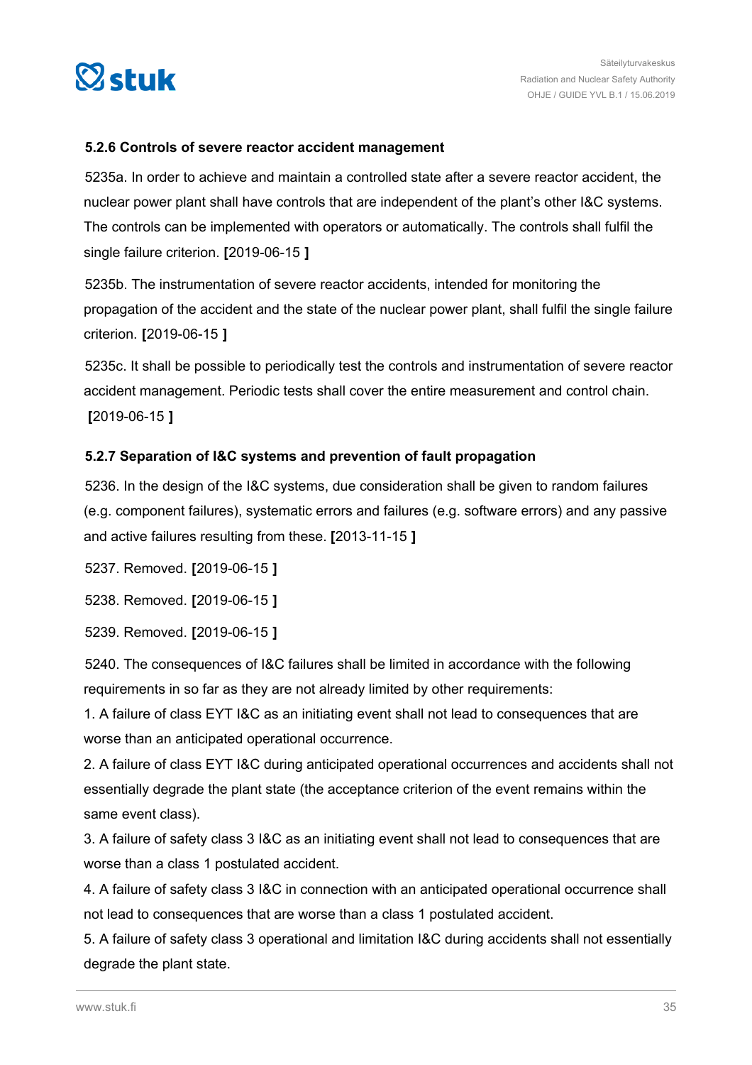<span id="page-34-0"></span>

#### **5.2.6 Controls of severe reactor accident management**

5235a. In order to achieve and maintain a controlled state after a severe reactor accident, the nuclear power plant shall have controls that are independent of the plant's other I&C systems. The controls can be implemented with operators or automatically. The controls shall fulfil the single failure criterion. **[**2019-06-15 **]**

5235b. The instrumentation of severe reactor accidents, intended for monitoring the propagation of the accident and the state of the nuclear power plant, shall fulfil the single failure criterion. **[**2019-06-15 **]**

5235c. It shall be possible to periodically test the controls and instrumentation of severe reactor accident management. Periodic tests shall cover the entire measurement and control chain. **[**2019-06-15 **]**

#### **5.2.7 Separation of I&C systems and prevention of fault propagation**

5236. In the design of the I&C systems, due consideration shall be given to random failures (e.g. component failures), systematic errors and failures (e.g. software errors) and any passive and active failures resulting from these. **[**2013-11-15 **]**

5237. Removed. **[**2019-06-15 **]**

5238. Removed. **[**2019-06-15 **]**

5239. Removed. **[**2019-06-15 **]**

5240. The consequences of I&C failures shall be limited in accordance with the following requirements in so far as they are not already limited by other requirements:

1. A failure of class EYT I&C as an initiating event shall not lead to consequences that are worse than an anticipated operational occurrence.

2. A failure of class EYT I&C during anticipated operational occurrences and accidents shall not essentially degrade the plant state (the acceptance criterion of the event remains within the same event class).

3. A failure of safety class 3 I&C as an initiating event shall not lead to consequences that are worse than a class 1 postulated accident.

4. A failure of safety class 3 I&C in connection with an anticipated operational occurrence shall not lead to consequences that are worse than a class 1 postulated accident.

5. A failure of safety class 3 operational and limitation I&C during accidents shall not essentially degrade the plant state.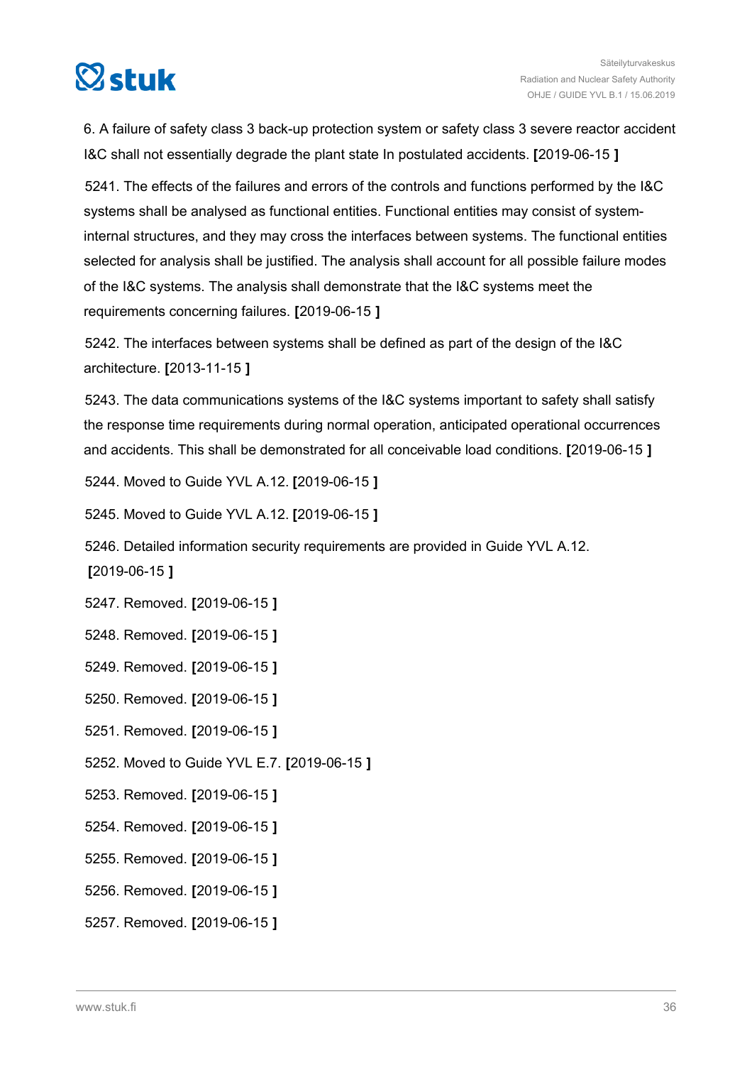

6. A failure of safety class 3 back-up protection system or safety class 3 severe reactor accident I&C shall not essentially degrade the plant state In postulated accidents. **[**2019-06-15 **]**

5241. The effects of the failures and errors of the controls and functions performed by the I&C systems shall be analysed as functional entities. Functional entities may consist of systeminternal structures, and they may cross the interfaces between systems. The functional entities selected for analysis shall be justified. The analysis shall account for all possible failure modes of the I&C systems. The analysis shall demonstrate that the I&C systems meet the requirements concerning failures. **[**2019-06-15 **]**

5242. The interfaces between systems shall be defined as part of the design of the I&C architecture. **[**2013-11-15 **]**

5243. The data communications systems of the I&C systems important to safety shall satisfy the response time requirements during normal operation, anticipated operational occurrences and accidents. This shall be demonstrated for all conceivable load conditions. **[**2019-06-15 **]**

5244. Moved to Guide YVL A.12. **[**2019-06-15 **]**

5245. Moved to Guide YVL A.12. **[**2019-06-15 **]**

5246. Detailed information security requirements are provided in Guide YVL A.12. **[**2019-06-15 **]**

5247. Removed. **[**2019-06-15 **]**

5248. Removed. **[**2019-06-15 **]**

5249. Removed. **[**2019-06-15 **]**

5250. Removed. **[**2019-06-15 **]**

5251. Removed. **[**2019-06-15 **]**

5252. Moved to Guide YVL E.7. **[**2019-06-15 **]**

5253. Removed. **[**2019-06-15 **]**

5254. Removed. **[**2019-06-15 **]**

5255. Removed. **[**2019-06-15 **]**

5256. Removed. **[**2019-06-15 **]**

5257. Removed. **[**2019-06-15 **]**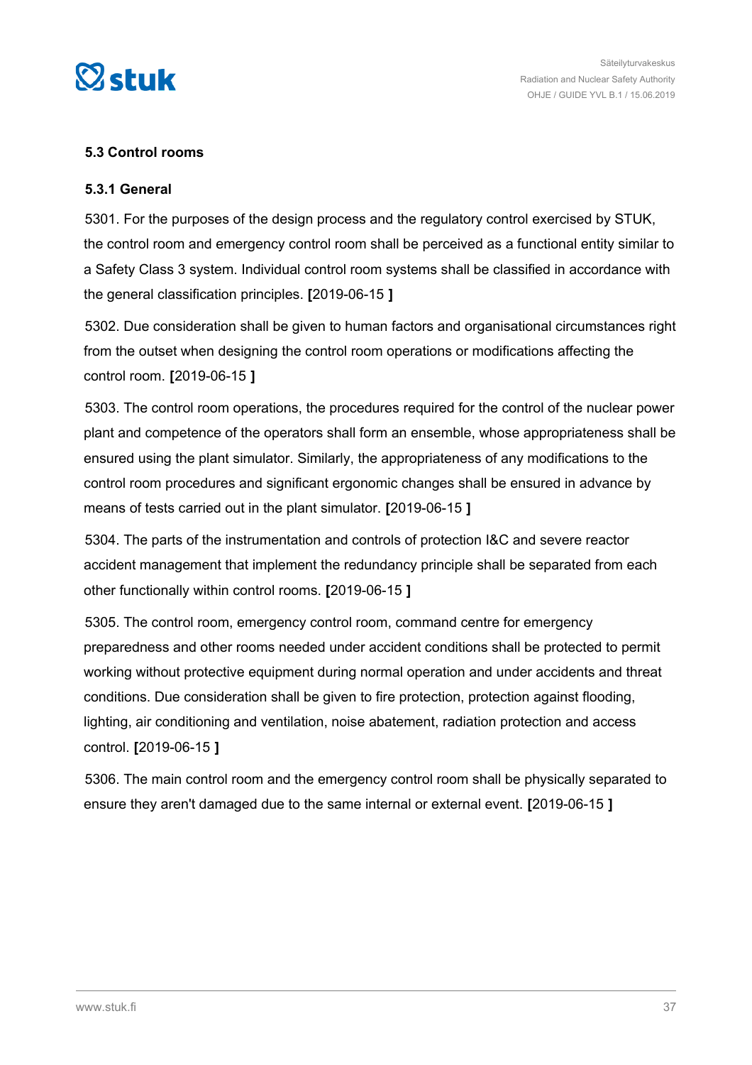

# **5.3 Control rooms**

# **5.3.1 General**

5301. For the purposes of the design process and the regulatory control exercised by STUK, the control room and emergency control room shall be perceived as a functional entity similar to a Safety Class 3 system. Individual control room systems shall be classified in accordance with the general classification principles. **[**2019-06-15 **]**

5302. Due consideration shall be given to human factors and organisational circumstances right from the outset when designing the control room operations or modifications affecting the control room. **[**2019-06-15 **]**

5303. The control room operations, the procedures required for the control of the nuclear power plant and competence of the operators shall form an ensemble, whose appropriateness shall be ensured using the plant simulator. Similarly, the appropriateness of any modifications to the control room procedures and significant ergonomic changes shall be ensured in advance by means of tests carried out in the plant simulator. **[**2019-06-15 **]**

5304. The parts of the instrumentation and controls of protection I&C and severe reactor accident management that implement the redundancy principle shall be separated from each other functionally within control rooms. **[**2019-06-15 **]**

5305. The control room, emergency control room, command centre for emergency preparedness and other rooms needed under accident conditions shall be protected to permit working without protective equipment during normal operation and under accidents and threat conditions. Due consideration shall be given to fire protection, protection against flooding, lighting, air conditioning and ventilation, noise abatement, radiation protection and access control. **[**2019-06-15 **]**

5306. The main control room and the emergency control room shall be physically separated to ensure they aren't damaged due to the same internal or external event. **[**2019-06-15 **]**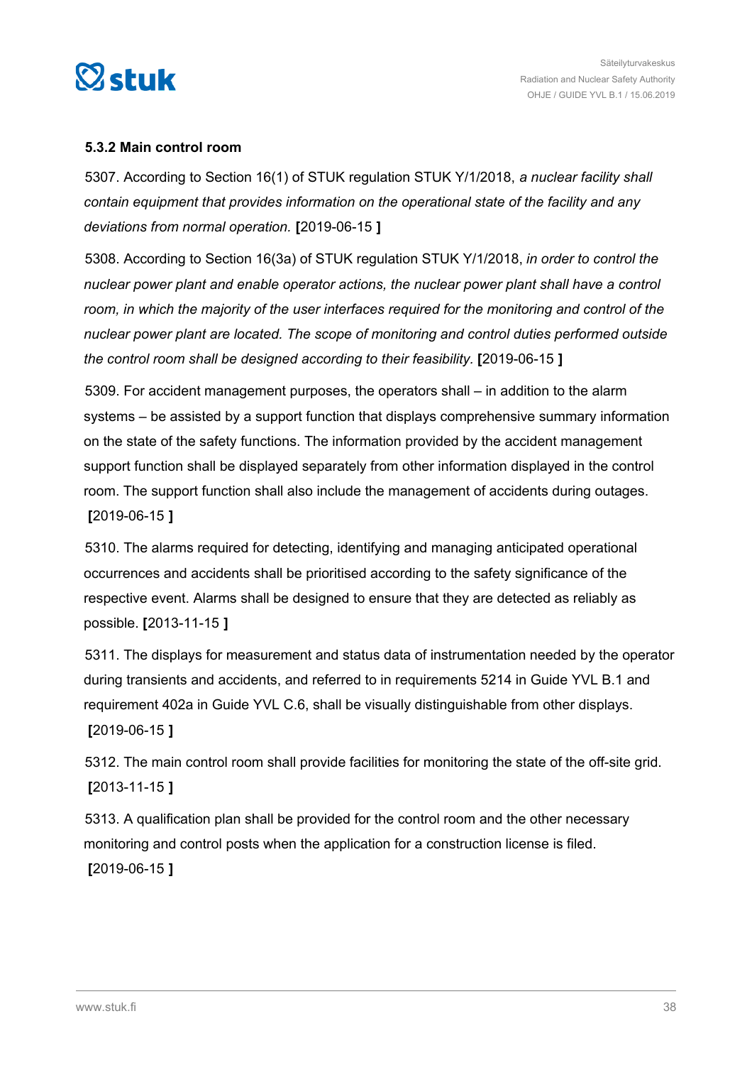

# **5.3.2 Main control room**

5307. According to Section 16(1) of STUK regulation STUK Y/1/2018, *a nuclear facility shall contain equipment that provides information on the operational state of the facility and any deviations from normal operation.* **[**2019-06-15 **]**

5308. According to Section 16(3a) of STUK regulation STUK Y/1/2018, *in order to control the nuclear power plant and enable operator actions, the nuclear power plant shall have a control room, in which the majority of the user interfaces required for the monitoring and control of the nuclear power plant are located. The scope of monitoring and control duties performed outside the control room shall be designed according to their feasibility.* **[**2019-06-15 **]**

5309. For accident management purposes, the operators shall – in addition to the alarm systems – be assisted by a support function that displays comprehensive summary information on the state of the safety functions. The information provided by the accident management support function shall be displayed separately from other information displayed in the control room. The support function shall also include the management of accidents during outages. **[**2019-06-15 **]**

5310. The alarms required for detecting, identifying and managing anticipated operational occurrences and accidents shall be prioritised according to the safety significance of the respective event. Alarms shall be designed to ensure that they are detected as reliably as possible. **[**2013-11-15 **]**

5311. The displays for measurement and status data of instrumentation needed by the operator during transients and accidents, and referred to in requirements 5214 in Guide YVL B.1 and requirement 402a in Guide YVL C.6, shall be visually distinguishable from other displays. **[**2019-06-15 **]**

5312. The main control room shall provide facilities for monitoring the state of the off-site grid. **[**2013-11-15 **]**

5313. A qualification plan shall be provided for the control room and the other necessary monitoring and control posts when the application for a construction license is filed. **[**2019-06-15 **]**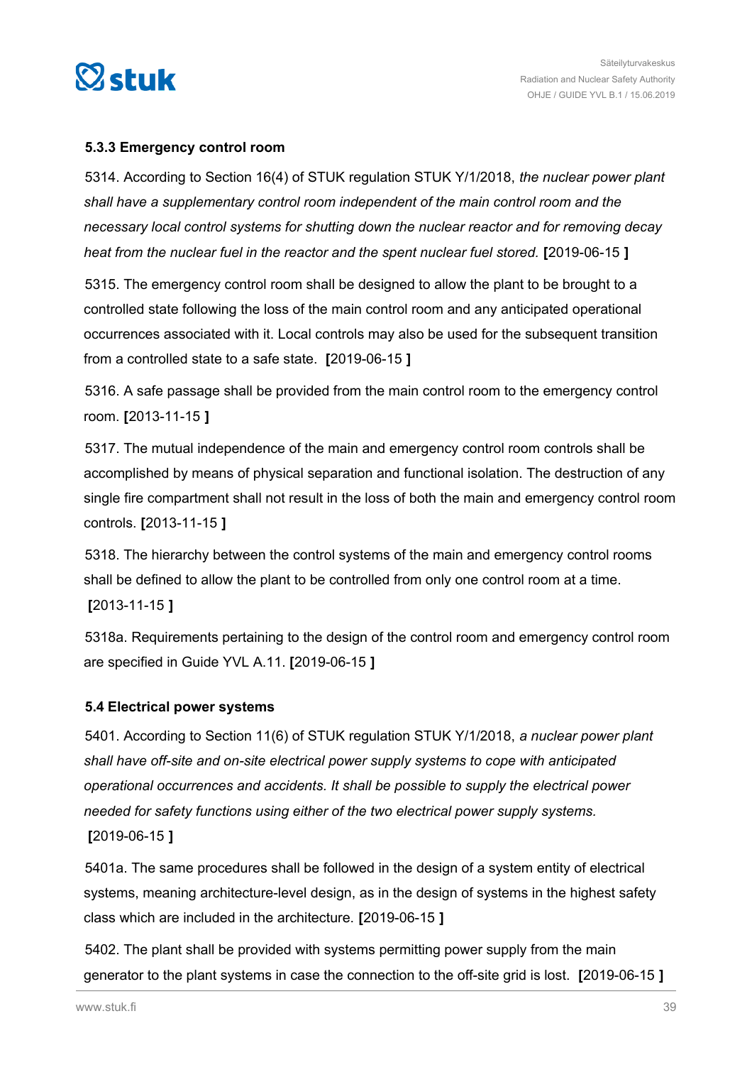

# **5.3.3 Emergency control room**

5314. According to Section 16(4) of STUK regulation STUK Y/1/2018, *the nuclear power plant shall have a supplementary control room independent of the main control room and the necessary local control systems for shutting down the nuclear reactor and for removing decay heat from the nuclear fuel in the reactor and the spent nuclear fuel stored.* **[**2019-06-15 **]**

5315. The emergency control room shall be designed to allow the plant to be brought to a controlled state following the loss of the main control room and any anticipated operational occurrences associated with it. Local controls may also be used for the subsequent transition from a controlled state to a safe state. **[**2019-06-15 **]**

5316. A safe passage shall be provided from the main control room to the emergency control room. **[**2013-11-15 **]**

5317. The mutual independence of the main and emergency control room controls shall be accomplished by means of physical separation and functional isolation. The destruction of any single fire compartment shall not result in the loss of both the main and emergency control room controls. **[**2013-11-15 **]**

5318. The hierarchy between the control systems of the main and emergency control rooms shall be defined to allow the plant to be controlled from only one control room at a time. **[**2013-11-15 **]**

5318a. Requirements pertaining to the design of the control room and emergency control room are specified in Guide YVL A.11. **[**2019-06-15 **]**

# **5.4 Electrical power systems**

5401. According to Section 11(6) of STUK regulation STUK Y/1/2018, *a nuclear power plant shall have off-site and on-site electrical power supply systems to cope with anticipated operational occurrences and accidents. It shall be possible to supply the electrical power needed for safety functions using either of the two electrical power supply systems.*

**[**2019-06-15 **]**

5401a. The same procedures shall be followed in the design of a system entity of electrical systems, meaning architecture-level design, as in the design of systems in the highest safety class which are included in the architecture. **[**2019-06-15 **]**

5402. The plant shall be provided with systems permitting power supply from the main generator to the plant systems in case the connection to the off-site grid is lost. **[**2019-06-15 **]**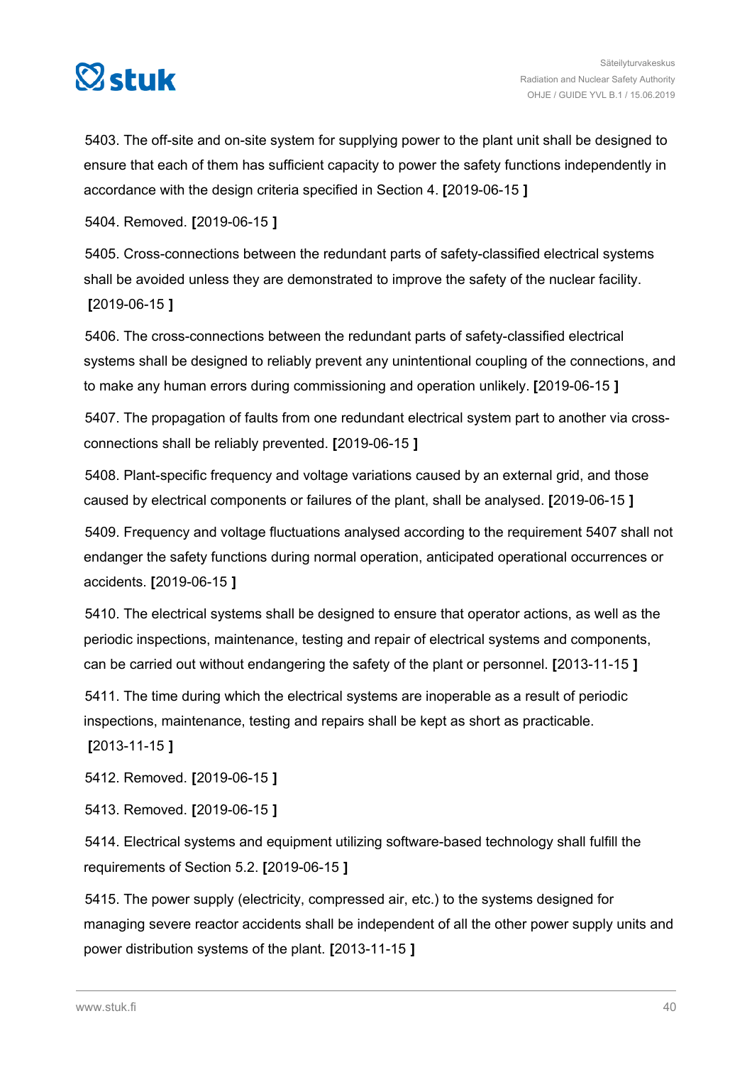

5403. The off-site and on-site system for supplying power to the plant unit shall be designed to ensure that each of them has sufficient capacity to power the safety functions independently in accordance with the design criteria specified in Section 4. **[**2019-06-15 **]**

5404. Removed. **[**2019-06-15 **]**

5405. Cross-connections between the redundant parts of safety-classified electrical systems shall be avoided unless they are demonstrated to improve the safety of the nuclear facility. **[**2019-06-15 **]**

5406. The cross-connections between the redundant parts of safety-classified electrical systems shall be designed to reliably prevent any unintentional coupling of the connections, and to make any human errors during commissioning and operation unlikely. **[**2019-06-15 **]**

5407. The propagation of faults from one redundant electrical system part to another via crossconnections shall be reliably prevented. **[**2019-06-15 **]**

5408. Plant-specific frequency and voltage variations caused by an external grid, and those caused by electrical components or failures of the plant, shall be analysed. **[**2019-06-15 **]**

5409. Frequency and voltage fluctuations analysed according to the requirement 5407 shall not endanger the safety functions during normal operation, anticipated operational occurrences or accidents. **[**2019-06-15 **]**

5410. The electrical systems shall be designed to ensure that operator actions, as well as the periodic inspections, maintenance, testing and repair of electrical systems and components, can be carried out without endangering the safety of the plant or personnel. **[**2013-11-15 **]**

5411. The time during which the electrical systems are inoperable as a result of periodic inspections, maintenance, testing and repairs shall be kept as short as practicable.

**[**2013-11-15 **]**

5412. Removed. **[**2019-06-15 **]**

5413. Removed. **[**2019-06-15 **]**

5414. Electrical systems and equipment utilizing software-based technology shall fulfill the requirements of Section 5.2. **[**2019-06-15 **]**

5415. The power supply (electricity, compressed air, etc.) to the systems designed for managing severe reactor accidents shall be independent of all the other power supply units and power distribution systems of the plant. **[**2013-11-15 **]**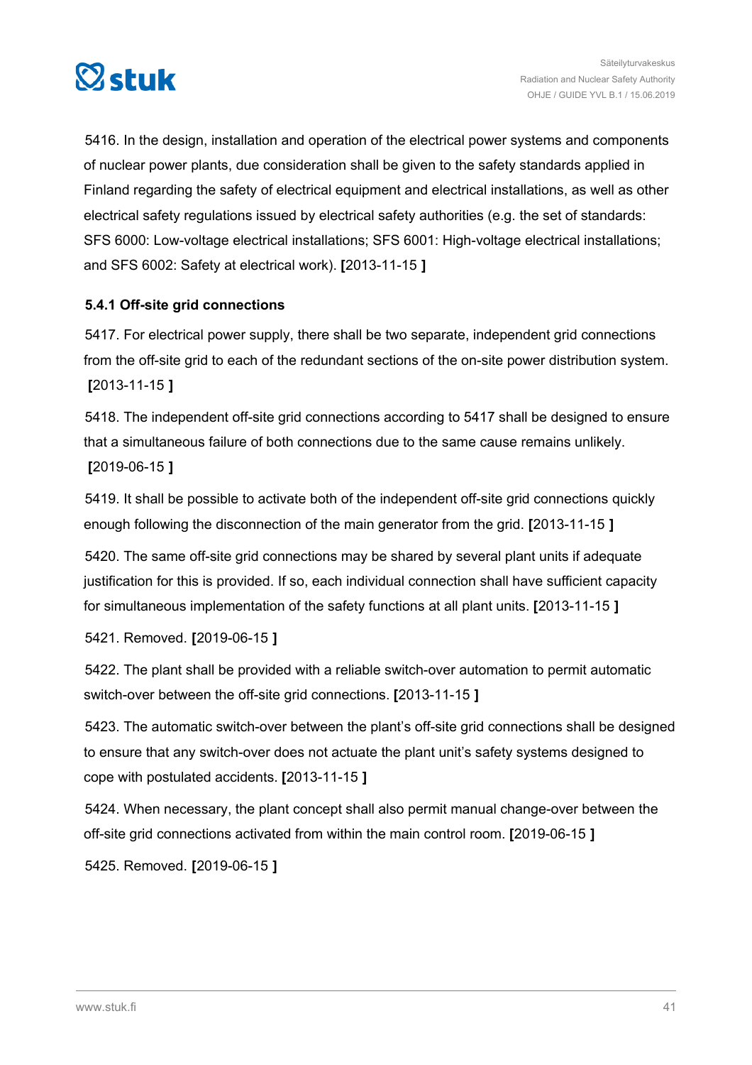

5416. In the design, installation and operation of the electrical power systems and components of nuclear power plants, due consideration shall be given to the safety standards applied in Finland regarding the safety of electrical equipment and electrical installations, as well as other electrical safety regulations issued by electrical safety authorities (e.g. the set of standards: SFS 6000: Low-voltage electrical installations; SFS 6001: High-voltage electrical installations; and SFS 6002: Safety at electrical work). **[**2013-11-15 **]**

# **5.4.1 Off-site grid connections**

5417. For electrical power supply, there shall be two separate, independent grid connections from the off-site grid to each of the redundant sections of the on-site power distribution system. **[**2013-11-15 **]**

5418. The independent off-site grid connections according to 5417 shall be designed to ensure that a simultaneous failure of both connections due to the same cause remains unlikely. **[**2019-06-15 **]**

5419. It shall be possible to activate both of the independent off-site grid connections quickly enough following the disconnection of the main generator from the grid. **[**2013-11-15 **]**

5420. The same off-site grid connections may be shared by several plant units if adequate justification for this is provided. If so, each individual connection shall have sufficient capacity for simultaneous implementation of the safety functions at all plant units. **[**2013-11-15 **]**

5421. Removed. **[**2019-06-15 **]**

5422. The plant shall be provided with a reliable switch-over automation to permit automatic switch-over between the off-site grid connections. **[**2013-11-15 **]**

5423. The automatic switch-over between the plant's off-site grid connections shall be designed to ensure that any switch-over does not actuate the plant unit's safety systems designed to cope with postulated accidents. **[**2013-11-15 **]**

5424. When necessary, the plant concept shall also permit manual change-over between the off-site grid connections activated from within the main control room. **[**2019-06-15 **]**

5425. Removed. **[**2019-06-15 **]**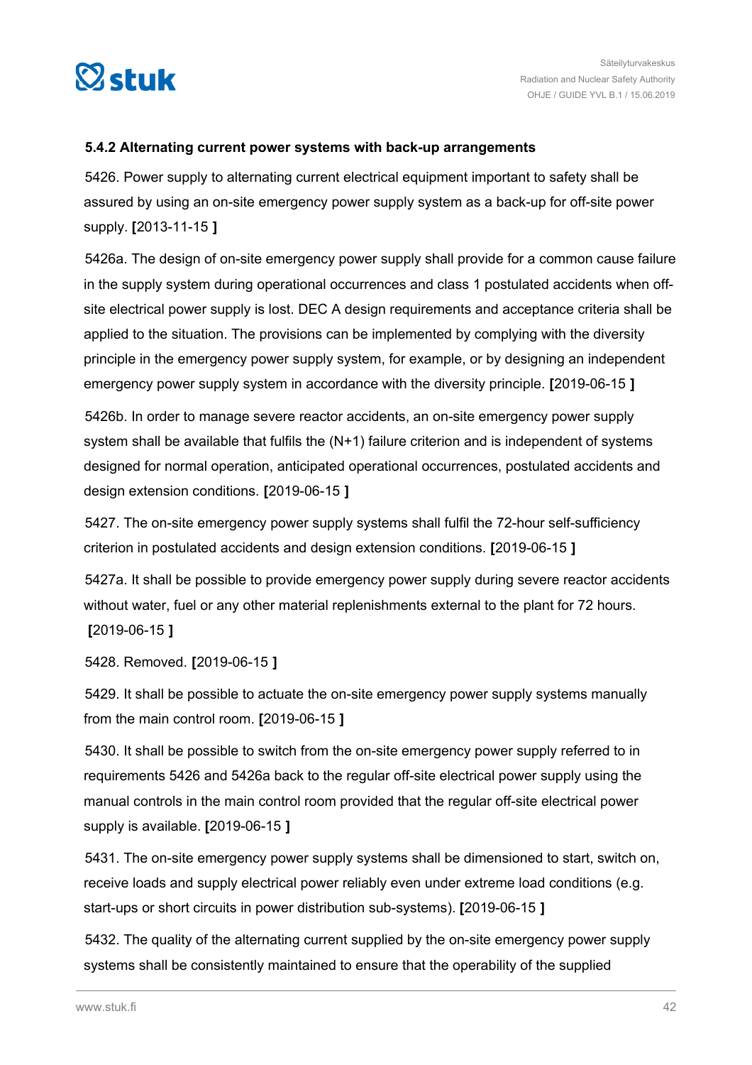

# **5.4.2 Alternating current power systems with back-up arrangements**

5426. Power supply to alternating current electrical equipment important to safety shall be assured by using an on-site emergency power supply system as a back-up for off-site power supply. **[**2013-11-15 **]**

5426a. The design of on-site emergency power supply shall provide for a common cause failure in the supply system during operational occurrences and class 1 postulated accidents when offsite electrical power supply is lost. DEC A design requirements and acceptance criteria shall be applied to the situation. The provisions can be implemented by complying with the diversity principle in the emergency power supply system, for example, or by designing an independent emergency power supply system in accordance with the diversity principle. **[**2019-06-15 **]**

5426b. In order to manage severe reactor accidents, an on-site emergency power supply system shall be available that fulfils the (N+1) failure criterion and is independent of systems designed for normal operation, anticipated operational occurrences, postulated accidents and design extension conditions. **[**2019-06-15 **]**

5427. The on-site emergency power supply systems shall fulfil the 72-hour self-sufficiency criterion in postulated accidents and design extension conditions. **[**2019-06-15 **]**

5427a. It shall be possible to provide emergency power supply during severe reactor accidents without water, fuel or any other material replenishments external to the plant for 72 hours. **[**2019-06-15 **]**

5428. Removed. **[**2019-06-15 **]**

5429. It shall be possible to actuate the on-site emergency power supply systems manually from the main control room. **[**2019-06-15 **]**

5430. It shall be possible to switch from the on-site emergency power supply referred to in requirements 5426 and 5426a back to the regular off-site electrical power supply using the manual controls in the main control room provided that the regular off-site electrical power supply is available. **[**2019-06-15 **]**

5431. The on-site emergency power supply systems shall be dimensioned to start, switch on, receive loads and supply electrical power reliably even under extreme load conditions (e.g. start-ups or short circuits in power distribution sub-systems). **[**2019-06-15 **]**

5432. The quality of the alternating current supplied by the on-site emergency power supply systems shall be consistently maintained to ensure that the operability of the supplied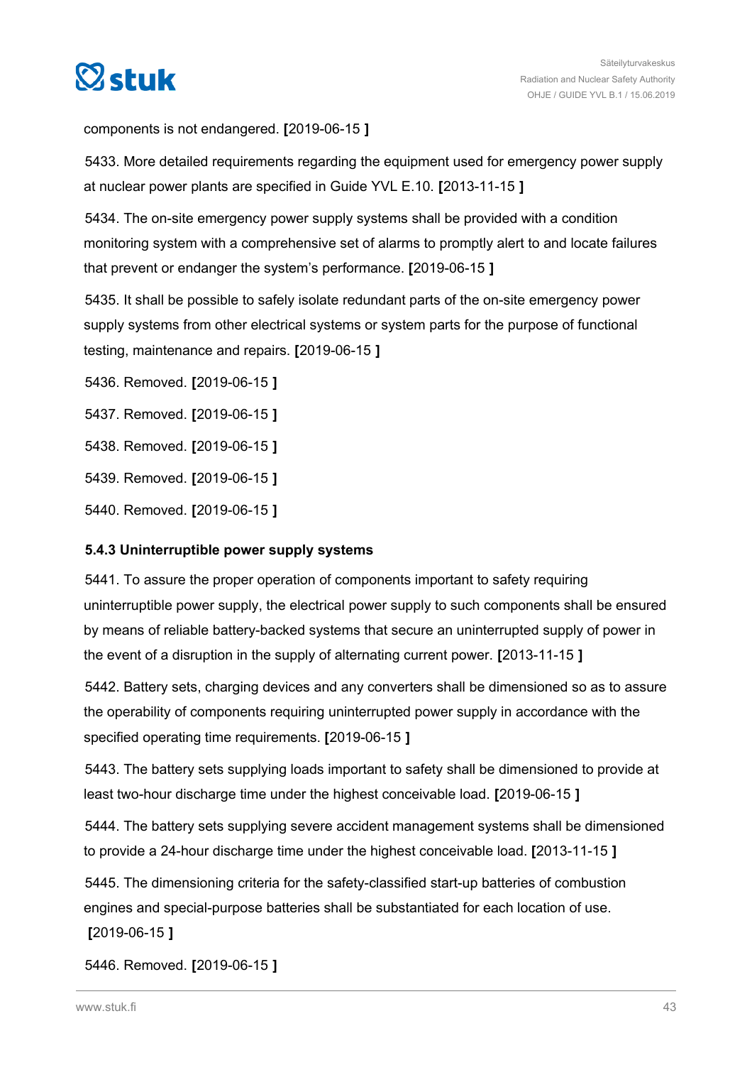

components is not endangered. **[**2019-06-15 **]**

5433. More detailed requirements regarding the equipment used for emergency power supply at nuclear power plants are specified in Guide YVL E.10. **[**2013-11-15 **]**

5434. The on-site emergency power supply systems shall be provided with a condition monitoring system with a comprehensive set of alarms to promptly alert to and locate failures that prevent or endanger the system's performance. **[**2019-06-15 **]**

5435. It shall be possible to safely isolate redundant parts of the on-site emergency power supply systems from other electrical systems or system parts for the purpose of functional testing, maintenance and repairs. **[**2019-06-15 **]**

5436. Removed. **[**2019-06-15 **]**

5437. Removed. **[**2019-06-15 **]**

5438. Removed. **[**2019-06-15 **]**

5439. Removed. **[**2019-06-15 **]**

5440. Removed. **[**2019-06-15 **]**

#### **5.4.3 Uninterruptible power supply systems**

5441. To assure the proper operation of components important to safety requiring uninterruptible power supply, the electrical power supply to such components shall be ensured by means of reliable battery-backed systems that secure an uninterrupted supply of power in the event of a disruption in the supply of alternating current power. **[**2013-11-15 **]**

5442. Battery sets, charging devices and any converters shall be dimensioned so as to assure the operability of components requiring uninterrupted power supply in accordance with the specified operating time requirements. **[**2019-06-15 **]**

5443. The battery sets supplying loads important to safety shall be dimensioned to provide at least two-hour discharge time under the highest conceivable load. **[**2019-06-15 **]**

5444. The battery sets supplying severe accident management systems shall be dimensioned to provide a 24-hour discharge time under the highest conceivable load. **[**2013-11-15 **]**

5445. The dimensioning criteria for the safety-classified start-up batteries of combustion engines and special-purpose batteries shall be substantiated for each location of use. **[**2019-06-15 **]**

5446. Removed. **[**2019-06-15 **]**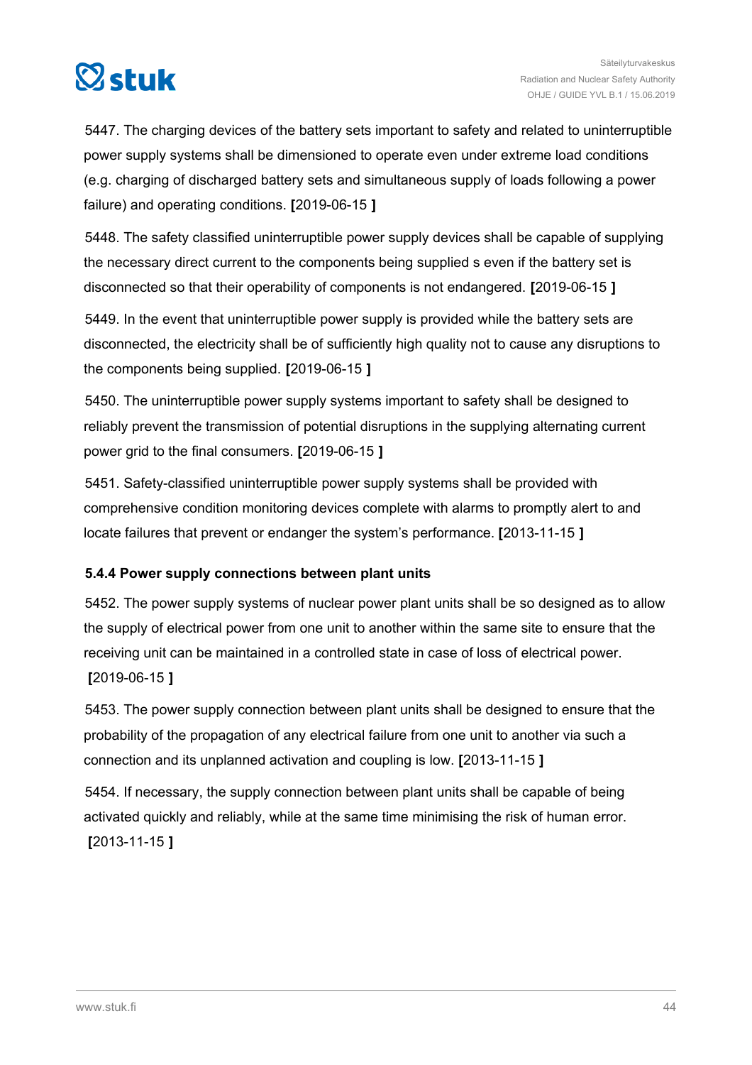

5447. The charging devices of the battery sets important to safety and related to uninterruptible power supply systems shall be dimensioned to operate even under extreme load conditions (e.g. charging of discharged battery sets and simultaneous supply of loads following a power failure) and operating conditions. **[**2019-06-15 **]**

5448. The safety classified uninterruptible power supply devices shall be capable of supplying the necessary direct current to the components being supplied s even if the battery set is disconnected so that their operability of components is not endangered. **[**2019-06-15 **]**

5449. In the event that uninterruptible power supply is provided while the battery sets are disconnected, the electricity shall be of sufficiently high quality not to cause any disruptions to the components being supplied. **[**2019-06-15 **]**

5450. The uninterruptible power supply systems important to safety shall be designed to reliably prevent the transmission of potential disruptions in the supplying alternating current power grid to the final consumers. **[**2019-06-15 **]**

5451. Safety-classified uninterruptible power supply systems shall be provided with comprehensive condition monitoring devices complete with alarms to promptly alert to and locate failures that prevent or endanger the system's performance. **[**2013-11-15 **]**

# **5.4.4 Power supply connections between plant units**

5452. The power supply systems of nuclear power plant units shall be so designed as to allow the supply of electrical power from one unit to another within the same site to ensure that the receiving unit can be maintained in a controlled state in case of loss of electrical power. **[**2019-06-15 **]**

5453. The power supply connection between plant units shall be designed to ensure that the probability of the propagation of any electrical failure from one unit to another via such a connection and its unplanned activation and coupling is low. **[**2013-11-15 **]**

5454. If necessary, the supply connection between plant units shall be capable of being activated quickly and reliably, while at the same time minimising the risk of human error. **[**2013-11-15 **]**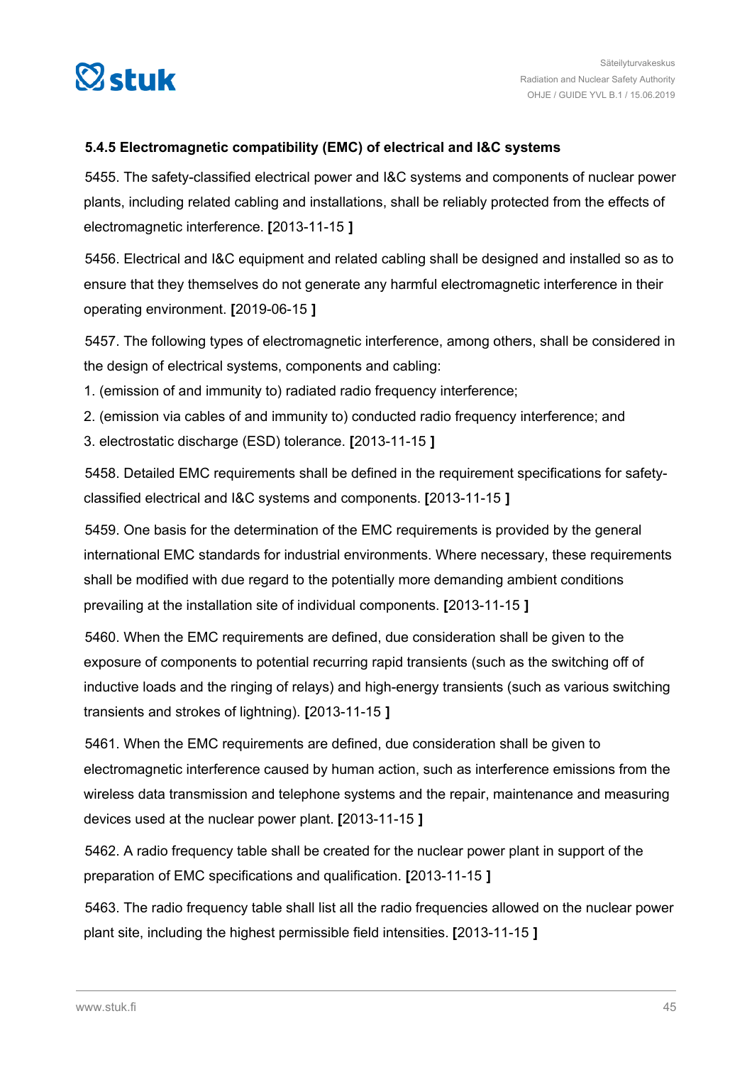

# **5.4.5 Electromagnetic compatibility (EMC) of electrical and I&C systems**

5455. The safety-classified electrical power and I&C systems and components of nuclear power plants, including related cabling and installations, shall be reliably protected from the effects of electromagnetic interference. **[**2013-11-15 **]**

5456. Electrical and I&C equipment and related cabling shall be designed and installed so as to ensure that they themselves do not generate any harmful electromagnetic interference in their operating environment. **[**2019-06-15 **]**

5457. The following types of electromagnetic interference, among others, shall be considered in the design of electrical systems, components and cabling:

1. (emission of and immunity to) radiated radio frequency interference;

2. (emission via cables of and immunity to) conducted radio frequency interference; and

3. electrostatic discharge (ESD) tolerance. **[**2013-11-15 **]**

5458. Detailed EMC requirements shall be defined in the requirement specifications for safetyclassified electrical and I&C systems and components. **[**2013-11-15 **]**

5459. One basis for the determination of the EMC requirements is provided by the general international EMC standards for industrial environments. Where necessary, these requirements shall be modified with due regard to the potentially more demanding ambient conditions prevailing at the installation site of individual components. **[**2013-11-15 **]**

5460. When the EMC requirements are defined, due consideration shall be given to the exposure of components to potential recurring rapid transients (such as the switching off of inductive loads and the ringing of relays) and high-energy transients (such as various switching transients and strokes of lightning). **[**2013-11-15 **]**

5461. When the EMC requirements are defined, due consideration shall be given to electromagnetic interference caused by human action, such as interference emissions from the wireless data transmission and telephone systems and the repair, maintenance and measuring devices used at the nuclear power plant. **[**2013-11-15 **]**

5462. A radio frequency table shall be created for the nuclear power plant in support of the preparation of EMC specifications and qualification. **[**2013-11-15 **]**

5463. The radio frequency table shall list all the radio frequencies allowed on the nuclear power plant site, including the highest permissible field intensities. **[**2013-11-15 **]**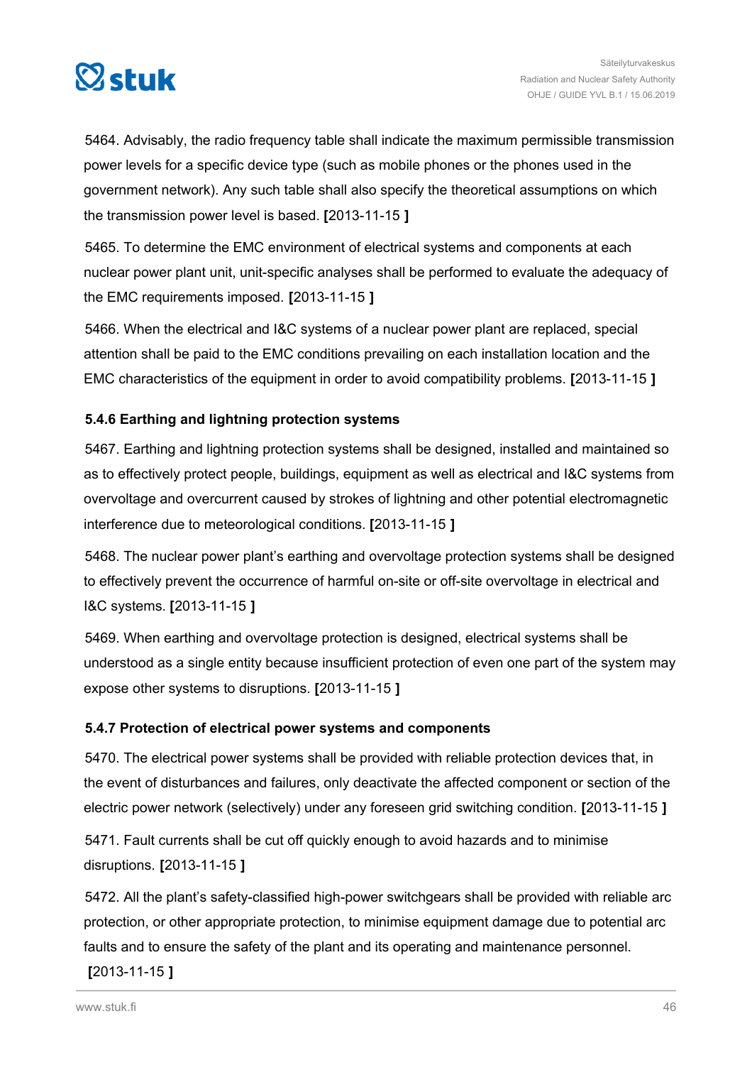

5464. Advisably, the radio frequency table shall indicate the maximum permissible transmission power levels for a specific device type (such as mobile phones or the phones used in the government network). Any such table shall also specify the theoretical assumptions on which the transmission power level is based. **[**2013-11-15 **]**

5465. To determine the EMC environment of electrical systems and components at each nuclear power plant unit, unit-specific analyses shall be performed to evaluate the adequacy of the EMC requirements imposed. **[**2013-11-15 **]**

5466. When the electrical and I&C systems of a nuclear power plant are replaced, special attention shall be paid to the EMC conditions prevailing on each installation location and the EMC characteristics of the equipment in order to avoid compatibility problems. **[**2013-11-15 **]**

# **5.4.6 Earthing and lightning protection systems**

5467. Earthing and lightning protection systems shall be designed, installed and maintained so as to effectively protect people, buildings, equipment as well as electrical and I&C systems from overvoltage and overcurrent caused by strokes of lightning and other potential electromagnetic interference due to meteorological conditions. **[**2013-11-15 **]**

5468. The nuclear power plant's earthing and overvoltage protection systems shall be designed to effectively prevent the occurrence of harmful on-site or off-site overvoltage in electrical and I&C systems. **[**2013-11-15 **]**

5469. When earthing and overvoltage protection is designed, electrical systems shall be understood as a single entity because insufficient protection of even one part of the system may expose other systems to disruptions. **[**2013-11-15 **]**

# **5.4.7 Protection of electrical power systems and components**

5470. The electrical power systems shall be provided with reliable protection devices that, in the event of disturbances and failures, only deactivate the affected component or section of the electric power network (selectively) under any foreseen grid switching condition. **[**2013-11-15 **]**

5471. Fault currents shall be cut off quickly enough to avoid hazards and to minimise disruptions. **[**2013-11-15 **]**

5472. All the plant's safety-classified high-power switchgears shall be provided with reliable arc protection, or other appropriate protection, to minimise equipment damage due to potential arc faults and to ensure the safety of the plant and its operating and maintenance personnel.

# **[**2013-11-15 **]**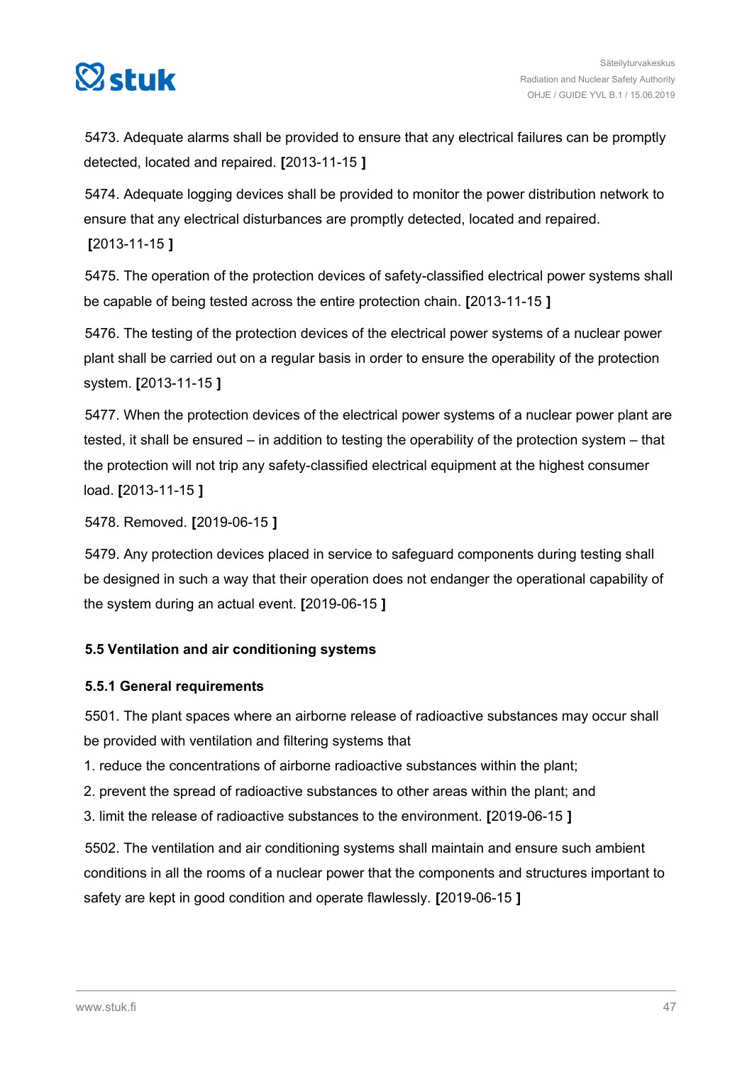

5473. Adequate alarms shall be provided to ensure that any electrical failures can be promptly detected, located and repaired. **[**2013-11-15 **]**

5474. Adequate logging devices shall be provided to monitor the power distribution network to ensure that any electrical disturbances are promptly detected, located and repaired.

# **[**2013-11-15 **]**

5475. The operation of the protection devices of safety-classified electrical power systems shall be capable of being tested across the entire protection chain. **[**2013-11-15 **]**

5476. The testing of the protection devices of the electrical power systems of a nuclear power plant shall be carried out on a regular basis in order to ensure the operability of the protection system. **[**2013-11-15 **]**

5477. When the protection devices of the electrical power systems of a nuclear power plant are tested, it shall be ensured – in addition to testing the operability of the protection system – that the protection will not trip any safety-classified electrical equipment at the highest consumer load. **[**2013-11-15 **]**

5478. Removed. **[**2019-06-15 **]**

5479. Any protection devices placed in service to safeguard components during testing shall be designed in such a way that their operation does not endanger the operational capability of the system during an actual event. **[**2019-06-15 **]**

# **5.5 Ventilation and air conditioning systems**

# **5.5.1 General requirements**

5501. The plant spaces where an airborne release of radioactive substances may occur shall be provided with ventilation and filtering systems that

1. reduce the concentrations of airborne radioactive substances within the plant;

2. prevent the spread of radioactive substances to other areas within the plant; and

3. limit the release of radioactive substances to the environment. **[**2019-06-15 **]**

5502. The ventilation and air conditioning systems shall maintain and ensure such ambient conditions in all the rooms of a nuclear power that the components and structures important to safety are kept in good condition and operate flawlessly. **[**2019-06-15 **]**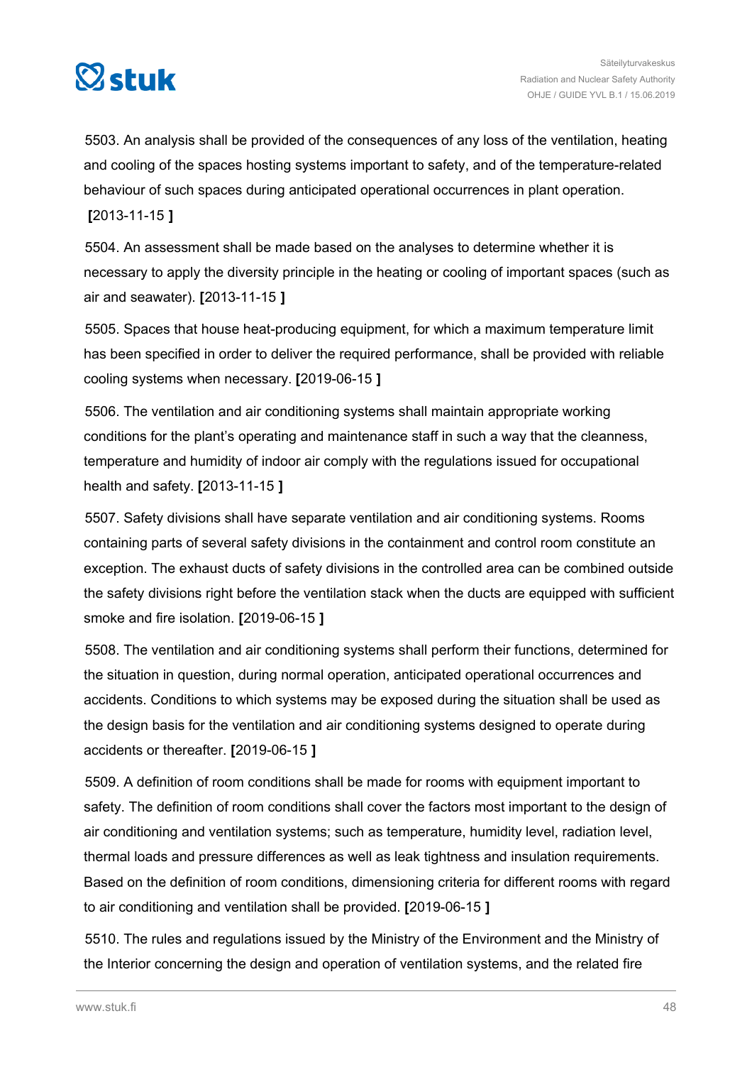

5503. An analysis shall be provided of the consequences of any loss of the ventilation, heating and cooling of the spaces hosting systems important to safety, and of the temperature-related behaviour of such spaces during anticipated operational occurrences in plant operation. **[**2013-11-15 **]**

5504. An assessment shall be made based on the analyses to determine whether it is necessary to apply the diversity principle in the heating or cooling of important spaces (such as air and seawater). **[**2013-11-15 **]**

5505. Spaces that house heat-producing equipment, for which a maximum temperature limit has been specified in order to deliver the required performance, shall be provided with reliable cooling systems when necessary. **[**2019-06-15 **]**

5506. The ventilation and air conditioning systems shall maintain appropriate working conditions for the plant's operating and maintenance staff in such a way that the cleanness, temperature and humidity of indoor air comply with the regulations issued for occupational health and safety. **[**2013-11-15 **]**

5507. Safety divisions shall have separate ventilation and air conditioning systems. Rooms containing parts of several safety divisions in the containment and control room constitute an exception. The exhaust ducts of safety divisions in the controlled area can be combined outside the safety divisions right before the ventilation stack when the ducts are equipped with sufficient smoke and fire isolation. **[**2019-06-15 **]**

5508. The ventilation and air conditioning systems shall perform their functions, determined for the situation in question, during normal operation, anticipated operational occurrences and accidents. Conditions to which systems may be exposed during the situation shall be used as the design basis for the ventilation and air conditioning systems designed to operate during accidents or thereafter. **[**2019-06-15 **]**

5509. A definition of room conditions shall be made for rooms with equipment important to safety. The definition of room conditions shall cover the factors most important to the design of air conditioning and ventilation systems; such as temperature, humidity level, radiation level, thermal loads and pressure differences as well as leak tightness and insulation requirements. Based on the definition of room conditions, dimensioning criteria for different rooms with regard to air conditioning and ventilation shall be provided. **[**2019-06-15 **]**

5510. The rules and regulations issued by the Ministry of the Environment and the Ministry of the Interior concerning the design and operation of ventilation systems, and the related fire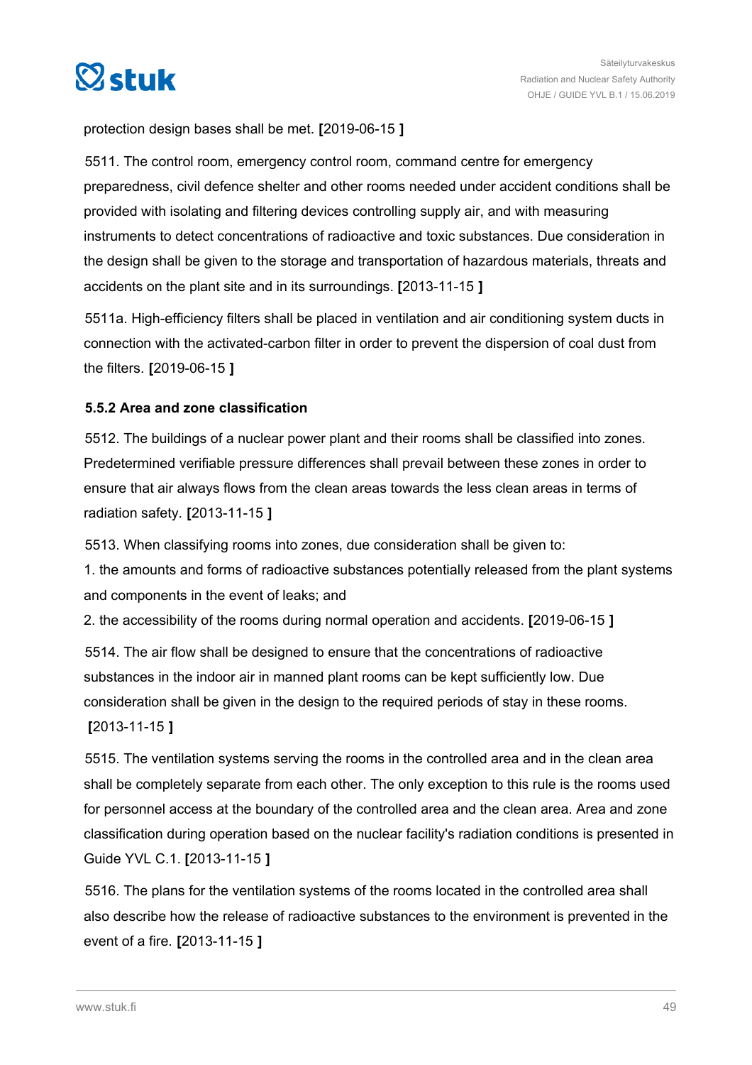

protection design bases shall be met. **[**2019-06-15 **]**

5511. The control room, emergency control room, command centre for emergency preparedness, civil defence shelter and other rooms needed under accident conditions shall be provided with isolating and filtering devices controlling supply air, and with measuring instruments to detect concentrations of radioactive and toxic substances. Due consideration in the design shall be given to the storage and transportation of hazardous materials, threats and accidents on the plant site and in its surroundings. **[**2013-11-15 **]**

5511a. High-efficiency filters shall be placed in ventilation and air conditioning system ducts in connection with the activated-carbon filter in order to prevent the dispersion of coal dust from the filters. **[**2019-06-15 **]**

# **5.5.2 Area and zone classification**

5512. The buildings of a nuclear power plant and their rooms shall be classified into zones. Predetermined verifiable pressure differences shall prevail between these zones in order to ensure that air always flows from the clean areas towards the less clean areas in terms of radiation safety. **[**2013-11-15 **]**

5513. When classifying rooms into zones, due consideration shall be given to:

1. the amounts and forms of radioactive substances potentially released from the plant systems and components in the event of leaks; and

2. the accessibility of the rooms during normal operation and accidents. **[**2019-06-15 **]**

5514. The air flow shall be designed to ensure that the concentrations of radioactive substances in the indoor air in manned plant rooms can be kept sufficiently low. Due consideration shall be given in the design to the required periods of stay in these rooms. **[**2013-11-15 **]**

5515. The ventilation systems serving the rooms in the controlled area and in the clean area shall be completely separate from each other. The only exception to this rule is the rooms used for personnel access at the boundary of the controlled area and the clean area. Area and zone classification during operation based on the nuclear facility's radiation conditions is presented in Guide YVL C.1. **[**2013-11-15 **]**

5516. The plans for the ventilation systems of the rooms located in the controlled area shall also describe how the release of radioactive substances to the environment is prevented in the event of a fire. **[**2013-11-15 **]**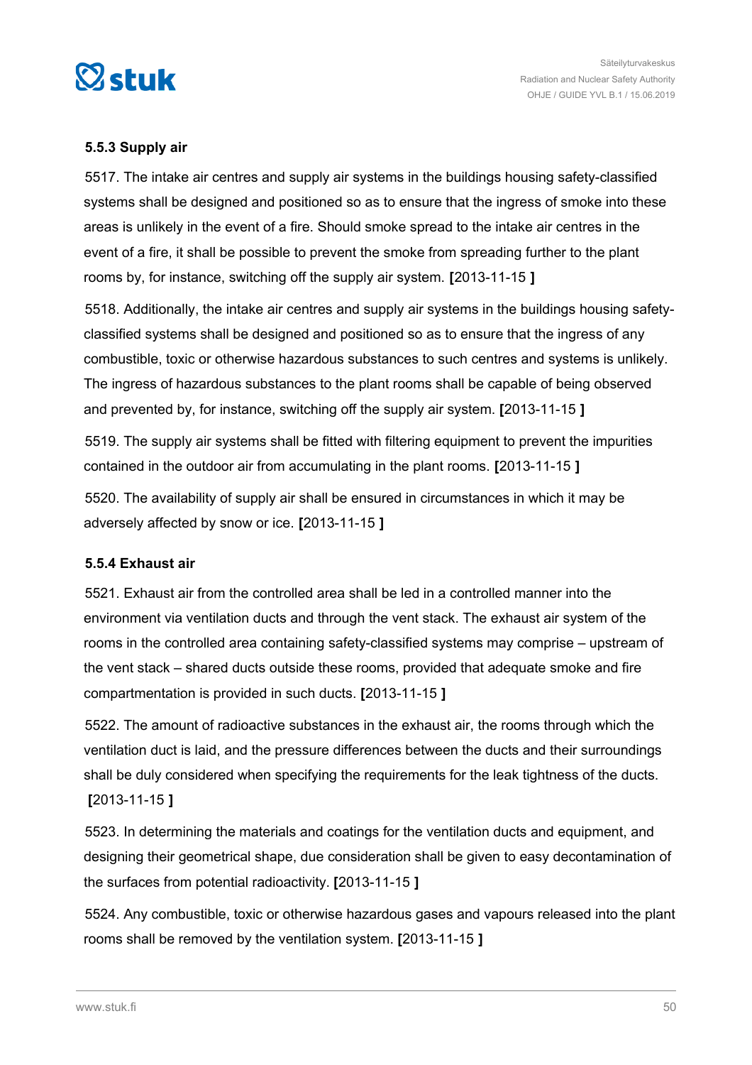

# **5.5.3 Supply air**

5517. The intake air centres and supply air systems in the buildings housing safety-classified systems shall be designed and positioned so as to ensure that the ingress of smoke into these areas is unlikely in the event of a fire. Should smoke spread to the intake air centres in the event of a fire, it shall be possible to prevent the smoke from spreading further to the plant rooms by, for instance, switching off the supply air system. **[**2013-11-15 **]**

5518. Additionally, the intake air centres and supply air systems in the buildings housing safetyclassified systems shall be designed and positioned so as to ensure that the ingress of any combustible, toxic or otherwise hazardous substances to such centres and systems is unlikely. The ingress of hazardous substances to the plant rooms shall be capable of being observed and prevented by, for instance, switching off the supply air system. **[**2013-11-15 **]**

5519. The supply air systems shall be fitted with filtering equipment to prevent the impurities contained in the outdoor air from accumulating in the plant rooms. **[**2013-11-15 **]**

5520. The availability of supply air shall be ensured in circumstances in which it may be adversely affected by snow or ice. **[**2013-11-15 **]**

#### **5.5.4 Exhaust air**

5521. Exhaust air from the controlled area shall be led in a controlled manner into the environment via ventilation ducts and through the vent stack. The exhaust air system of the rooms in the controlled area containing safety-classified systems may comprise – upstream of the vent stack – shared ducts outside these rooms, provided that adequate smoke and fire compartmentation is provided in such ducts. **[**2013-11-15 **]**

5522. The amount of radioactive substances in the exhaust air, the rooms through which the ventilation duct is laid, and the pressure differences between the ducts and their surroundings shall be duly considered when specifying the requirements for the leak tightness of the ducts. **[**2013-11-15 **]**

5523. In determining the materials and coatings for the ventilation ducts and equipment, and designing their geometrical shape, due consideration shall be given to easy decontamination of the surfaces from potential radioactivity. **[**2013-11-15 **]**

5524. Any combustible, toxic or otherwise hazardous gases and vapours released into the plant rooms shall be removed by the ventilation system. **[**2013-11-15 **]**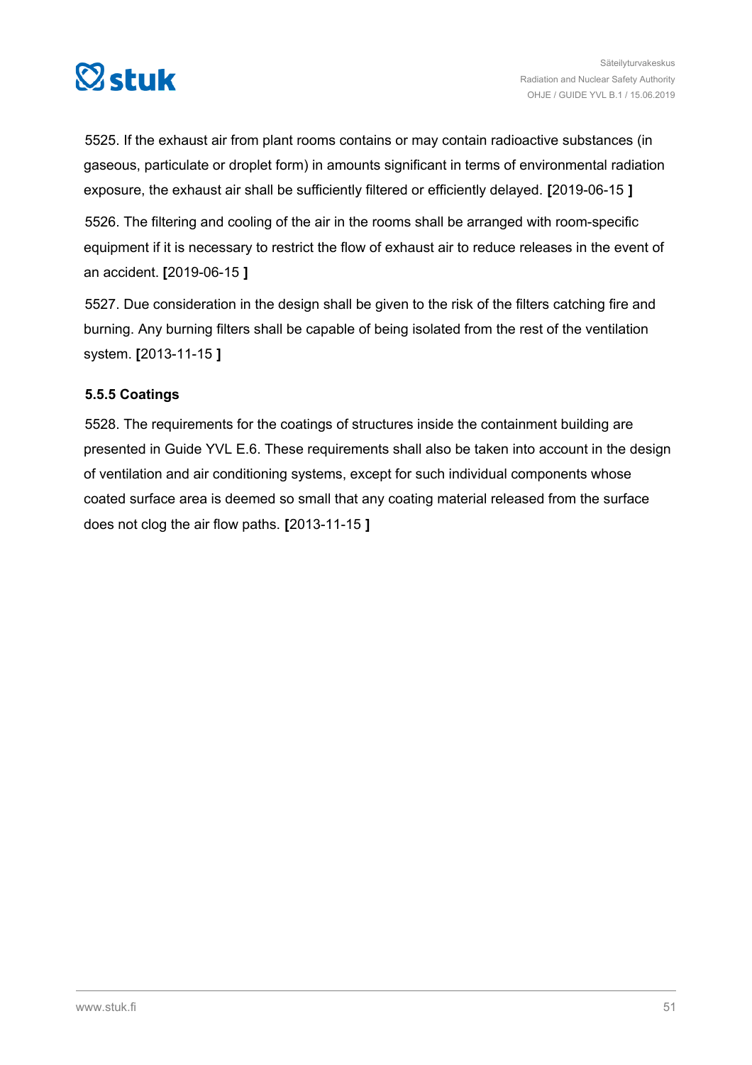

5525. If the exhaust air from plant rooms contains or may contain radioactive substances (in gaseous, particulate or droplet form) in amounts significant in terms of environmental radiation exposure, the exhaust air shall be sufficiently filtered or efficiently delayed. **[**2019-06-15 **]**

5526. The filtering and cooling of the air in the rooms shall be arranged with room-specific equipment if it is necessary to restrict the flow of exhaust air to reduce releases in the event of an accident. **[**2019-06-15 **]**

5527. Due consideration in the design shall be given to the risk of the filters catching fire and burning. Any burning filters shall be capable of being isolated from the rest of the ventilation system. **[**2013-11-15 **]**

# **5.5.5 Coatings**

5528. The requirements for the coatings of structures inside the containment building are presented in Guide YVL E.6. These requirements shall also be taken into account in the design of ventilation and air conditioning systems, except for such individual components whose coated surface area is deemed so small that any coating material released from the surface does not clog the air flow paths. **[**2013-11-15 **]**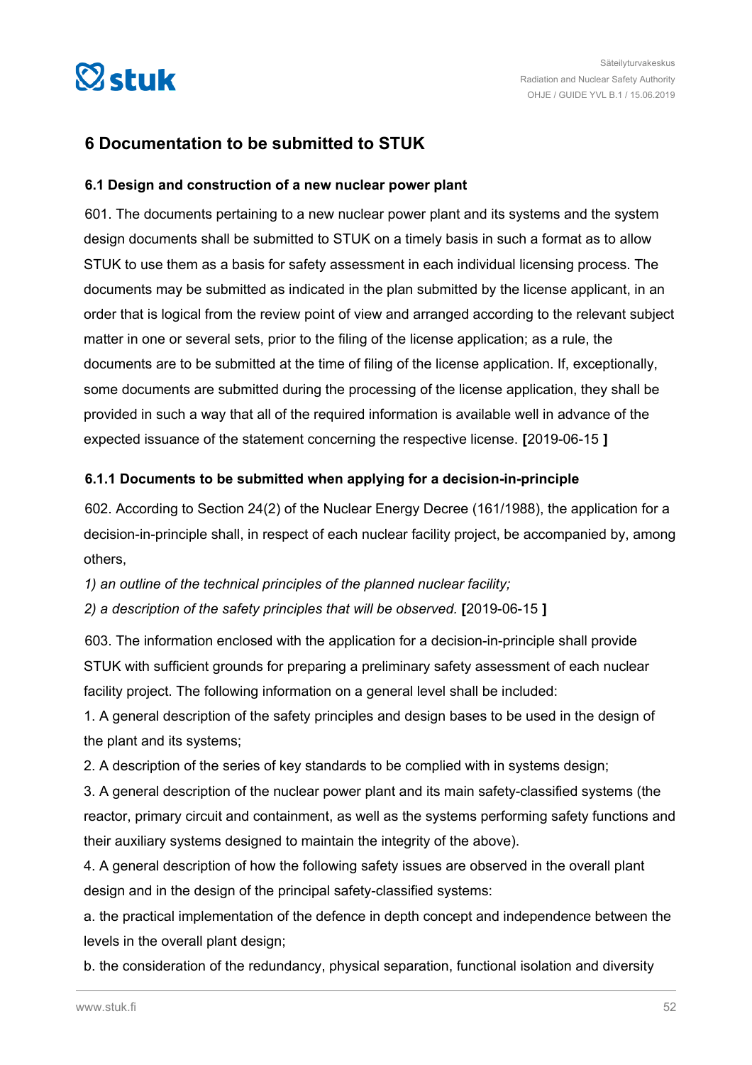

# **6 Documentation to be submitted to STUK**

# **6.1 Design and construction of a new nuclear power plant**

601. The documents pertaining to a new nuclear power plant and its systems and the system design documents shall be submitted to STUK on a timely basis in such a format as to allow STUK to use them as a basis for safety assessment in each individual licensing process. The documents may be submitted as indicated in the plan submitted by the license applicant, in an order that is logical from the review point of view and arranged according to the relevant subject matter in one or several sets, prior to the filing of the license application; as a rule, the documents are to be submitted at the time of filing of the license application. If, exceptionally, some documents are submitted during the processing of the license application, they shall be provided in such a way that all of the required information is available well in advance of the expected issuance of the statement concerning the respective license. **[**2019-06-15 **]**

# **6.1.1 Documents to be submitted when applying for a decision-in-principle**

602. According to Section 24(2) of the Nuclear Energy Decree (161/1988), the application for a decision-in-principle shall, in respect of each nuclear facility project, be accompanied by, among others,

*1) an outline of the technical principles of the planned nuclear facility;*

*2) a description of the safety principles that will be observed.* **[**2019-06-15 **]**

603. The information enclosed with the application for a decision-in-principle shall provide STUK with sufficient grounds for preparing a preliminary safety assessment of each nuclear facility project. The following information on a general level shall be included:

1. A general description of the safety principles and design bases to be used in the design of the plant and its systems;

2. A description of the series of key standards to be complied with in systems design;

3. A general description of the nuclear power plant and its main safety-classified systems (the reactor, primary circuit and containment, as well as the systems performing safety functions and their auxiliary systems designed to maintain the integrity of the above).

4. A general description of how the following safety issues are observed in the overall plant design and in the design of the principal safety-classified systems:

a. the practical implementation of the defence in depth concept and independence between the levels in the overall plant design:

b. the consideration of the redundancy, physical separation, functional isolation and diversity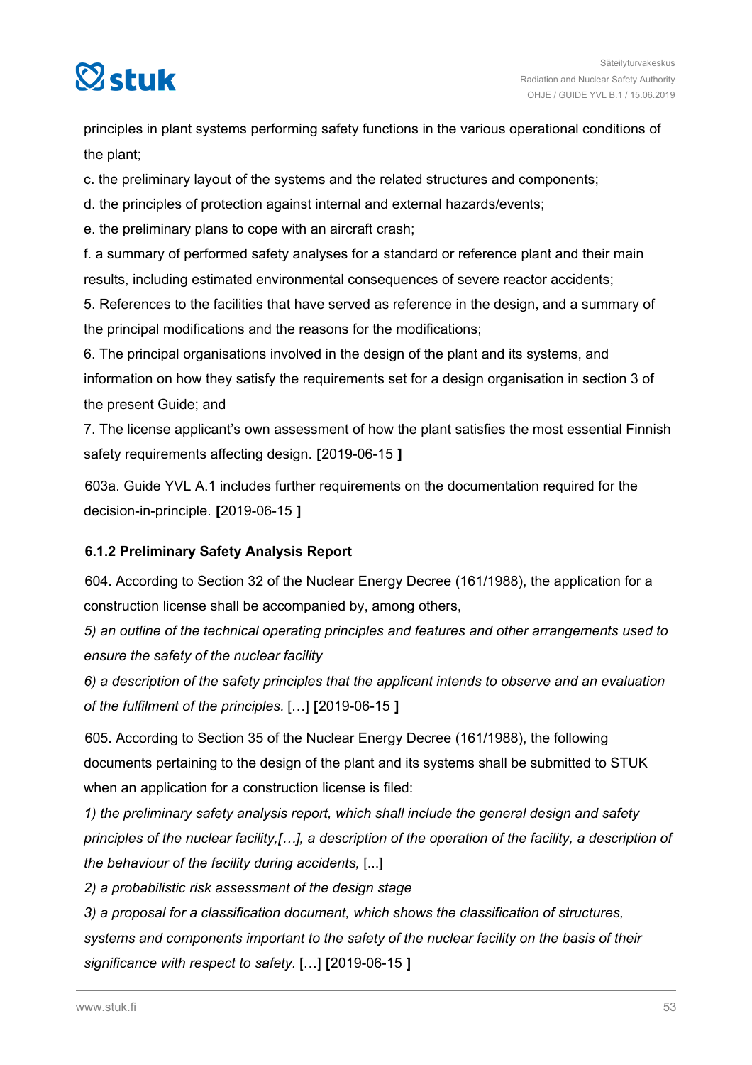

principles in plant systems performing safety functions in the various operational conditions of the plant;

c. the preliminary layout of the systems and the related structures and components;

d. the principles of protection against internal and external hazards/events;

e. the preliminary plans to cope with an aircraft crash;

f. a summary of performed safety analyses for a standard or reference plant and their main results, including estimated environmental consequences of severe reactor accidents;

5. References to the facilities that have served as reference in the design, and a summary of the principal modifications and the reasons for the modifications;

6. The principal organisations involved in the design of the plant and its systems, and information on how they satisfy the requirements set for a design organisation in section 3 of the present Guide; and

7. The license applicant's own assessment of how the plant satisfies the most essential Finnish safety requirements affecting design. **[**2019-06-15 **]**

603a. Guide YVL A.1 includes further requirements on the documentation required for the decision-in-principle. **[**2019-06-15 **]**

# **6.1.2 Preliminary Safety Analysis Report**

604. According to Section 32 of the Nuclear Energy Decree (161/1988), the application for a construction license shall be accompanied by, among others,

*5) an outline of the technical operating principles and features and other arrangements used to ensure the safety of the nuclear facility*

*6) a description of the safety principles that the applicant intends to observe and an evaluation of the fulfilment of the principles.* […] **[**2019-06-15 **]**

605. According to Section 35 of the Nuclear Energy Decree (161/1988), the following documents pertaining to the design of the plant and its systems shall be submitted to STUK when an application for a construction license is filed:

*1) the preliminary safety analysis report, which shall include the general design and safety principles of the nuclear facility,[…], a description of the operation of the facility, a description of the behaviour of the facility during accidents,* [...]

*2) a probabilistic risk assessment of the design stage*

*3) a proposal for a classification document, which shows the classification of structures, systems and components important to the safety of the nuclear facility on the basis of their significance with respect to safety.* […] **[**2019-06-15 **]**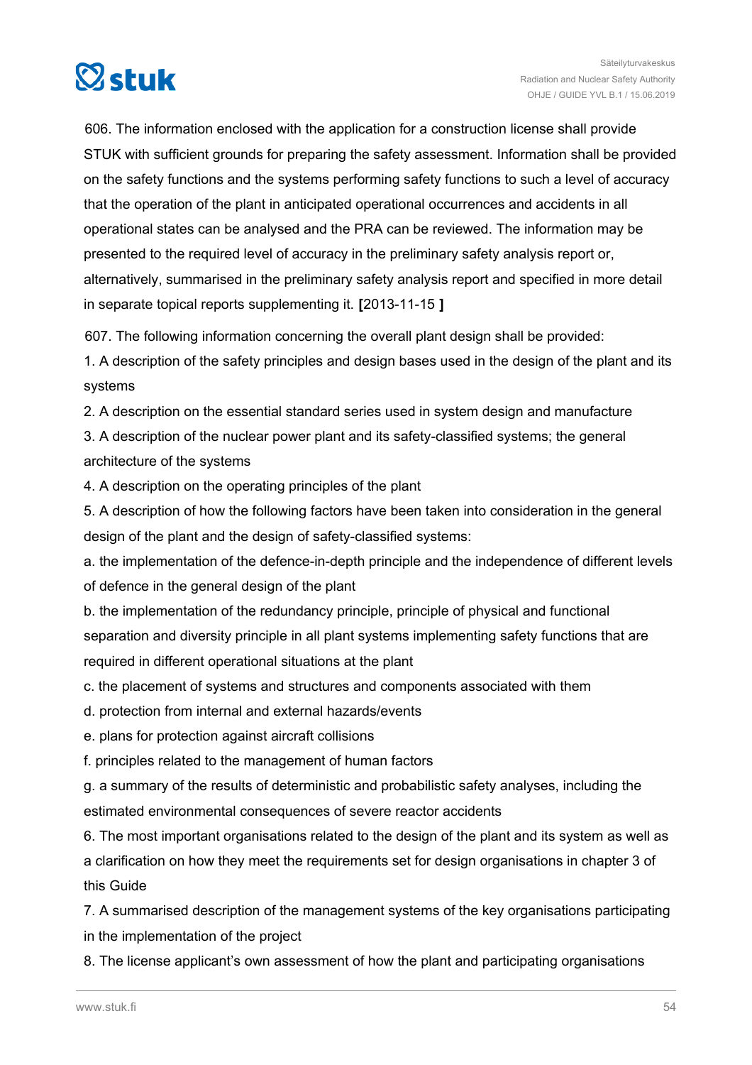

606. The information enclosed with the application for a construction license shall provide STUK with sufficient grounds for preparing the safety assessment. Information shall be provided on the safety functions and the systems performing safety functions to such a level of accuracy that the operation of the plant in anticipated operational occurrences and accidents in all operational states can be analysed and the PRA can be reviewed. The information may be presented to the required level of accuracy in the preliminary safety analysis report or, alternatively, summarised in the preliminary safety analysis report and specified in more detail in separate topical reports supplementing it. **[**2013-11-15 **]**

607. The following information concerning the overall plant design shall be provided:

1. A description of the safety principles and design bases used in the design of the plant and its systems

2. A description on the essential standard series used in system design and manufacture

3. A description of the nuclear power plant and its safety-classified systems; the general architecture of the systems

4. A description on the operating principles of the plant

5. A description of how the following factors have been taken into consideration in the general design of the plant and the design of safety-classified systems:

a. the implementation of the defence-in-depth principle and the independence of different levels of defence in the general design of the plant

b. the implementation of the redundancy principle, principle of physical and functional separation and diversity principle in all plant systems implementing safety functions that are required in different operational situations at the plant

c. the placement of systems and structures and components associated with them

d. protection from internal and external hazards/events

e. plans for protection against aircraft collisions

f. principles related to the management of human factors

g. a summary of the results of deterministic and probabilistic safety analyses, including the estimated environmental consequences of severe reactor accidents

6. The most important organisations related to the design of the plant and its system as well as a clarification on how they meet the requirements set for design organisations in chapter 3 of this Guide

7. A summarised description of the management systems of the key organisations participating in the implementation of the project

8. The license applicant's own assessment of how the plant and participating organisations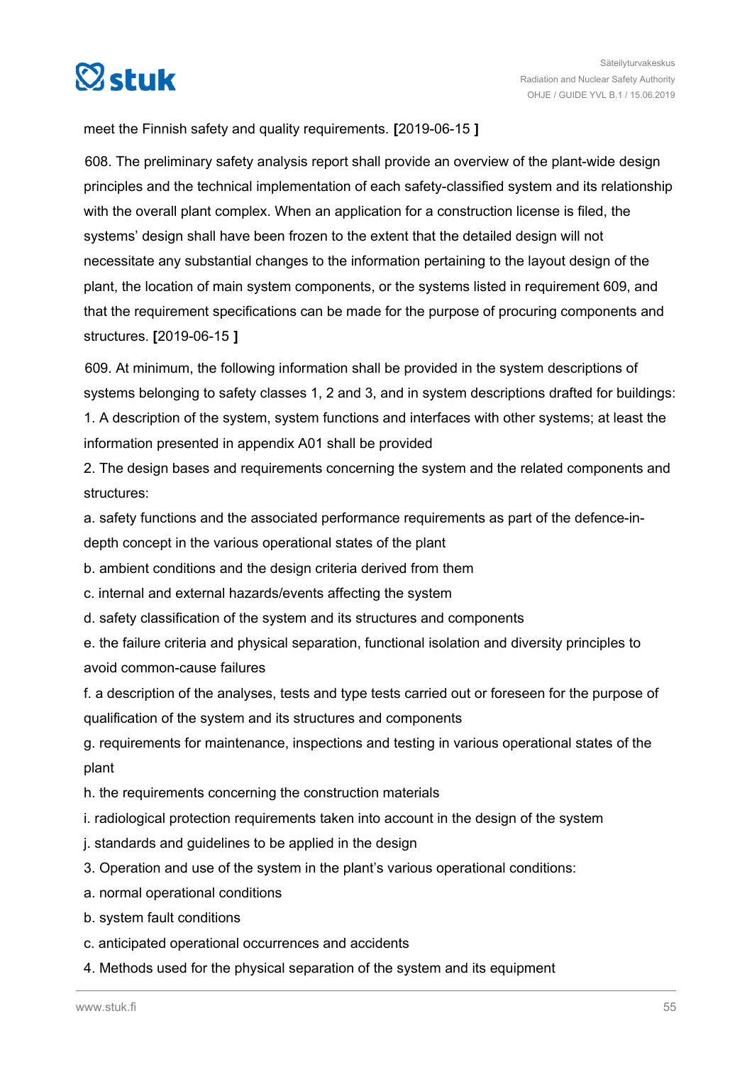

meet the Finnish safety and quality requirements. **[**2019-06-15 **]**

608. The preliminary safety analysis report shall provide an overview of the plant-wide design principles and the technical implementation of each safety-classified system and its relationship with the overall plant complex. When an application for a construction license is filed, the systems' design shall have been frozen to the extent that the detailed design will not necessitate any substantial changes to the information pertaining to the layout design of the plant, the location of main system components, or the systems listed in requirement 609, and that the requirement specifications can be made for the purpose of procuring components and structures. **[**2019-06-15 **]**

609. At minimum, the following information shall be provided in the system descriptions of systems belonging to safety classes 1, 2 and 3, and in system descriptions drafted for buildings: 1. A description of the system, system functions and interfaces with other systems; at least the information presented in appendix A01 shall be provided

2. The design bases and requirements concerning the system and the related components and structures:

a. safety functions and the associated performance requirements as part of the defence-indepth concept in the various operational states of the plant

b. ambient conditions and the design criteria derived from them

c. internal and external hazards/events affecting the system

d. safety classification of the system and its structures and components

e. the failure criteria and physical separation, functional isolation and diversity principles to avoid common-cause failures

f. a description of the analyses, tests and type tests carried out or foreseen for the purpose of qualification of the system and its structures and components

g. requirements for maintenance, inspections and testing in various operational states of the plant

- h. the requirements concerning the construction materials
- i. radiological protection requirements taken into account in the design of the system
- j. standards and guidelines to be applied in the design
- 3. Operation and use of the system in the plant's various operational conditions:
- a. normal operational conditions
- b. system fault conditions
- c. anticipated operational occurrences and accidents
- 4. Methods used for the physical separation of the system and its equipment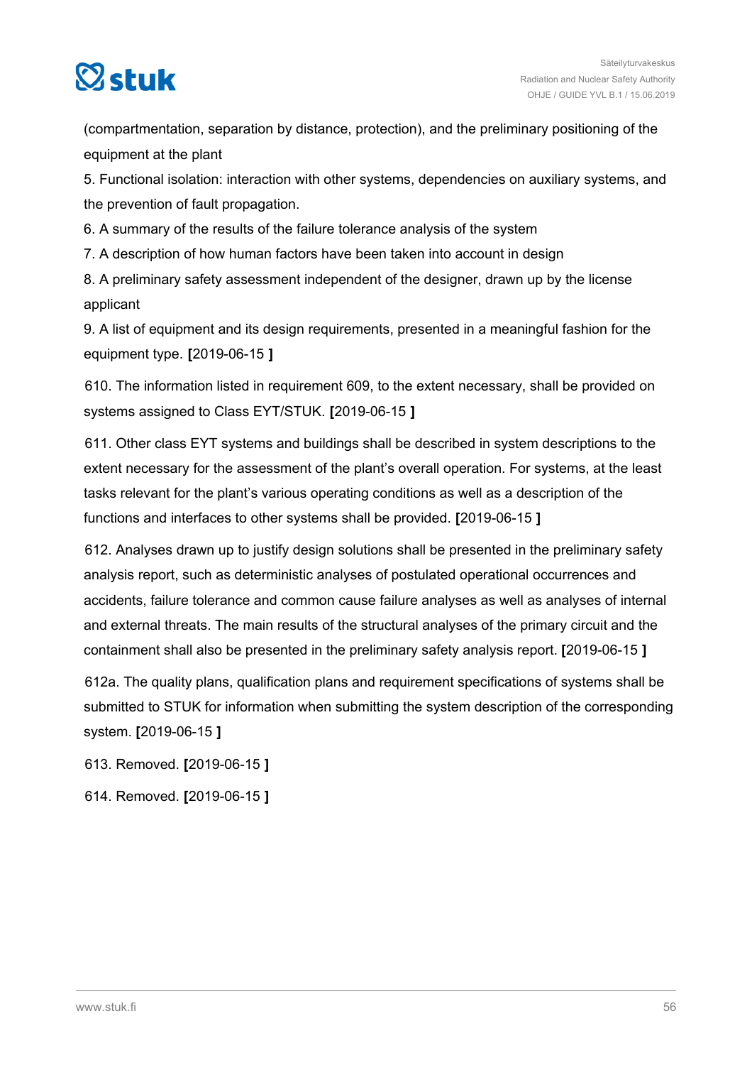

(compartmentation, separation by distance, protection), and the preliminary positioning of the equipment at the plant

5. Functional isolation: interaction with other systems, dependencies on auxiliary systems, and the prevention of fault propagation.

6. A summary of the results of the failure tolerance analysis of the system

7. A description of how human factors have been taken into account in design

8. A preliminary safety assessment independent of the designer, drawn up by the license applicant

9. A list of equipment and its design requirements, presented in a meaningful fashion for the equipment type. **[**2019-06-15 **]**

610. The information listed in requirement 609, to the extent necessary, shall be provided on systems assigned to Class EYT/STUK. **[**2019-06-15 **]**

611. Other class EYT systems and buildings shall be described in system descriptions to the extent necessary for the assessment of the plant's overall operation. For systems, at the least tasks relevant for the plant's various operating conditions as well as a description of the functions and interfaces to other systems shall be provided. **[**2019-06-15 **]**

612. Analyses drawn up to justify design solutions shall be presented in the preliminary safety analysis report, such as deterministic analyses of postulated operational occurrences and accidents, failure tolerance and common cause failure analyses as well as analyses of internal and external threats. The main results of the structural analyses of the primary circuit and the containment shall also be presented in the preliminary safety analysis report. **[**2019-06-15 **]**

612a. The quality plans, qualification plans and requirement specifications of systems shall be submitted to STUK for information when submitting the system description of the corresponding system. **[**2019-06-15 **]**

613. Removed. **[**2019-06-15 **]**

614. Removed. **[**2019-06-15 **]**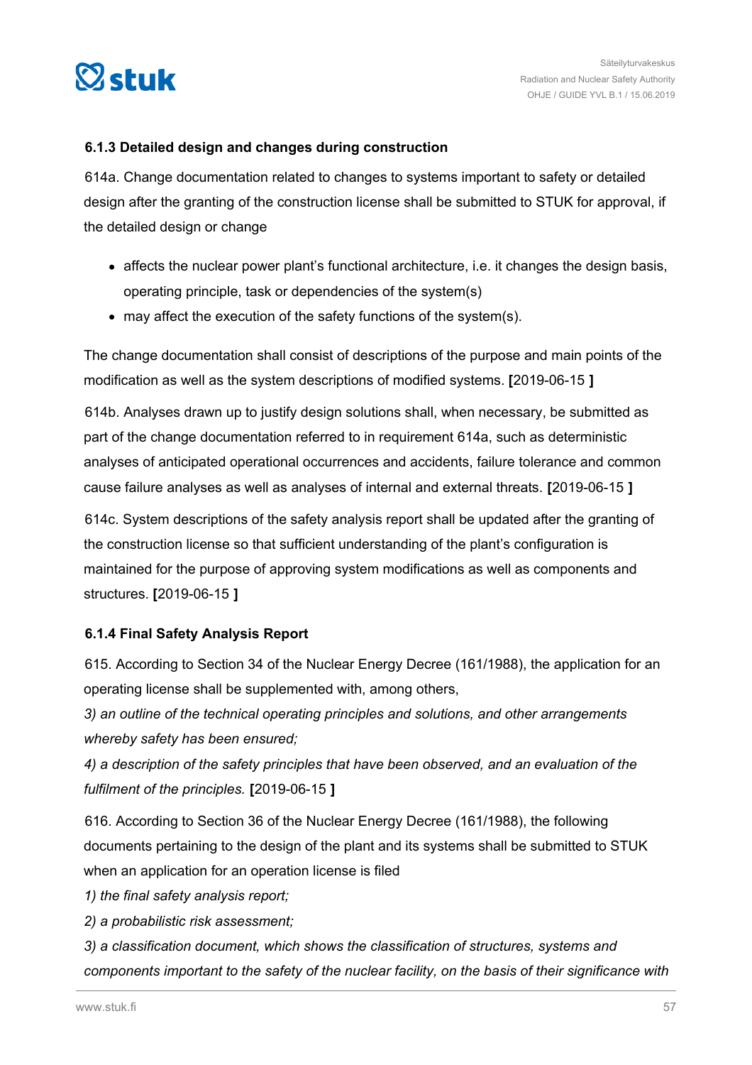

# **6.1.3 Detailed design and changes during construction**

614a. Change documentation related to changes to systems important to safety or detailed design after the granting of the construction license shall be submitted to STUK for approval, if the detailed design or change

- affects the nuclear power plant's functional architecture, i.e. it changes the design basis, operating principle, task or dependencies of the system(s)
- may affect the execution of the safety functions of the system(s).

The change documentation shall consist of descriptions of the purpose and main points of the modification as well as the system descriptions of modified systems. **[**2019-06-15 **]**

614b. Analyses drawn up to justify design solutions shall, when necessary, be submitted as part of the change documentation referred to in requirement 614a, such as deterministic analyses of anticipated operational occurrences and accidents, failure tolerance and common cause failure analyses as well as analyses of internal and external threats. **[**2019-06-15 **]**

614c. System descriptions of the safety analysis report shall be updated after the granting of the construction license so that sufficient understanding of the plant's configuration is maintained for the purpose of approving system modifications as well as components and structures. **[**2019-06-15 **]**

# **6.1.4 Final Safety Analysis Report**

615. According to Section 34 of the Nuclear Energy Decree (161/1988), the application for an operating license shall be supplemented with, among others,

*3) an outline of the technical operating principles and solutions, and other arrangements whereby safety has been ensured;*

*4) a description of the safety principles that have been observed, and an evaluation of the fulfilment of the principles.* **[**2019-06-15 **]**

616. According to Section 36 of the Nuclear Energy Decree (161/1988), the following documents pertaining to the design of the plant and its systems shall be submitted to STUK when an application for an operation license is filed

*1) the final safety analysis report;*

*2) a probabilistic risk assessment;*

*3) a classification document, which shows the classification of structures, systems and components important to the safety of the nuclear facility, on the basis of their significance with*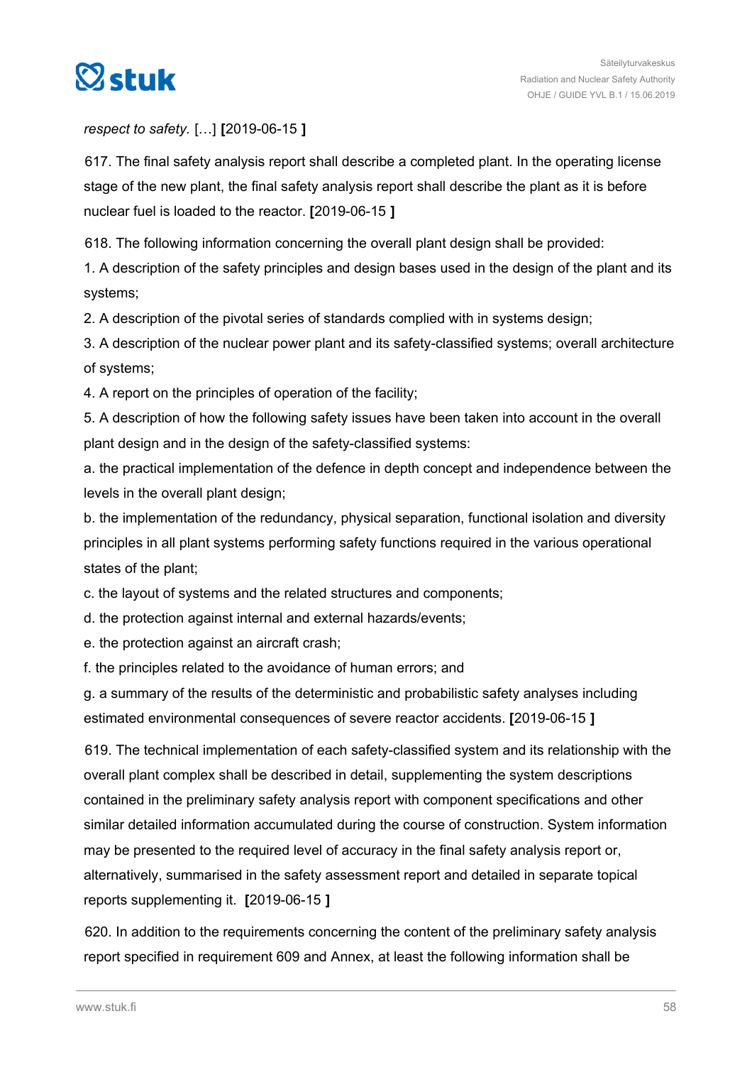

# *respect to safety.* […] **[**2019-06-15 **]**

617. The final safety analysis report shall describe a completed plant. In the operating license stage of the new plant, the final safety analysis report shall describe the plant as it is before nuclear fuel is loaded to the reactor. **[**2019-06-15 **]**

618. The following information concerning the overall plant design shall be provided:

1. A description of the safety principles and design bases used in the design of the plant and its systems;

2. A description of the pivotal series of standards complied with in systems design;

3. A description of the nuclear power plant and its safety-classified systems; overall architecture of systems;

4. A report on the principles of operation of the facility;

5. A description of how the following safety issues have been taken into account in the overall plant design and in the design of the safety-classified systems:

a. the practical implementation of the defence in depth concept and independence between the levels in the overall plant design;

b. the implementation of the redundancy, physical separation, functional isolation and diversity principles in all plant systems performing safety functions required in the various operational states of the plant;

c. the layout of systems and the related structures and components;

d. the protection against internal and external hazards/events;

e. the protection against an aircraft crash;

f. the principles related to the avoidance of human errors; and

g. a summary of the results of the deterministic and probabilistic safety analyses including estimated environmental consequences of severe reactor accidents. **[**2019-06-15 **]**

619. The technical implementation of each safety-classified system and its relationship with the overall plant complex shall be described in detail, supplementing the system descriptions contained in the preliminary safety analysis report with component specifications and other similar detailed information accumulated during the course of construction. System information may be presented to the required level of accuracy in the final safety analysis report or, alternatively, summarised in the safety assessment report and detailed in separate topical reports supplementing it. **[**2019-06-15 **]**

620. In addition to the requirements concerning the content of the preliminary safety analysis report specified in requirement 609 and Annex, at least the following information shall be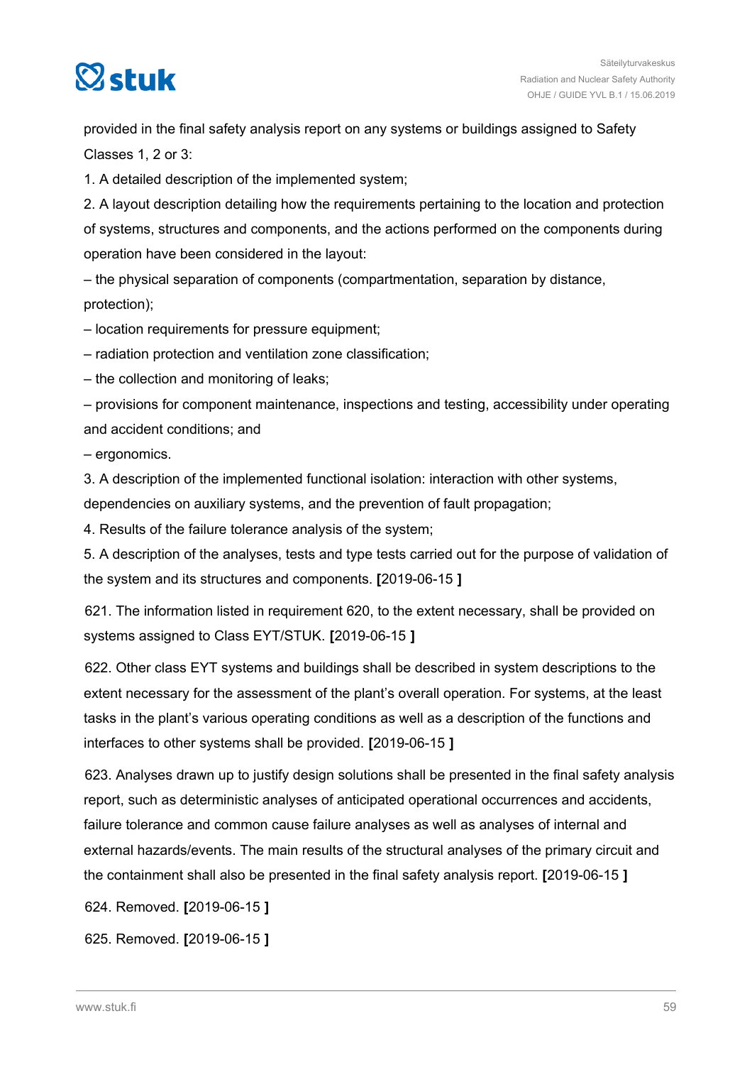

provided in the final safety analysis report on any systems or buildings assigned to Safety Classes 1, 2 or 3:

1. A detailed description of the implemented system;

2. A layout description detailing how the requirements pertaining to the location and protection of systems, structures and components, and the actions performed on the components during operation have been considered in the layout:

– the physical separation of components (compartmentation, separation by distance, protection);

– location requirements for pressure equipment;

– radiation protection and ventilation zone classification;

– the collection and monitoring of leaks;

– provisions for component maintenance, inspections and testing, accessibility under operating and accident conditions; and

– ergonomics.

3. A description of the implemented functional isolation: interaction with other systems,

dependencies on auxiliary systems, and the prevention of fault propagation;

4. Results of the failure tolerance analysis of the system;

5. A description of the analyses, tests and type tests carried out for the purpose of validation of the system and its structures and components. **[**2019-06-15 **]**

621. The information listed in requirement 620, to the extent necessary, shall be provided on systems assigned to Class EYT/STUK. **[**2019-06-15 **]**

622. Other class EYT systems and buildings shall be described in system descriptions to the extent necessary for the assessment of the plant's overall operation. For systems, at the least tasks in the plant's various operating conditions as well as a description of the functions and interfaces to other systems shall be provided. **[**2019-06-15 **]**

623. Analyses drawn up to justify design solutions shall be presented in the final safety analysis report, such as deterministic analyses of anticipated operational occurrences and accidents, failure tolerance and common cause failure analyses as well as analyses of internal and external hazards/events. The main results of the structural analyses of the primary circuit and the containment shall also be presented in the final safety analysis report. **[**2019-06-15 **]**

624. Removed. **[**2019-06-15 **]**

625. Removed. **[**2019-06-15 **]**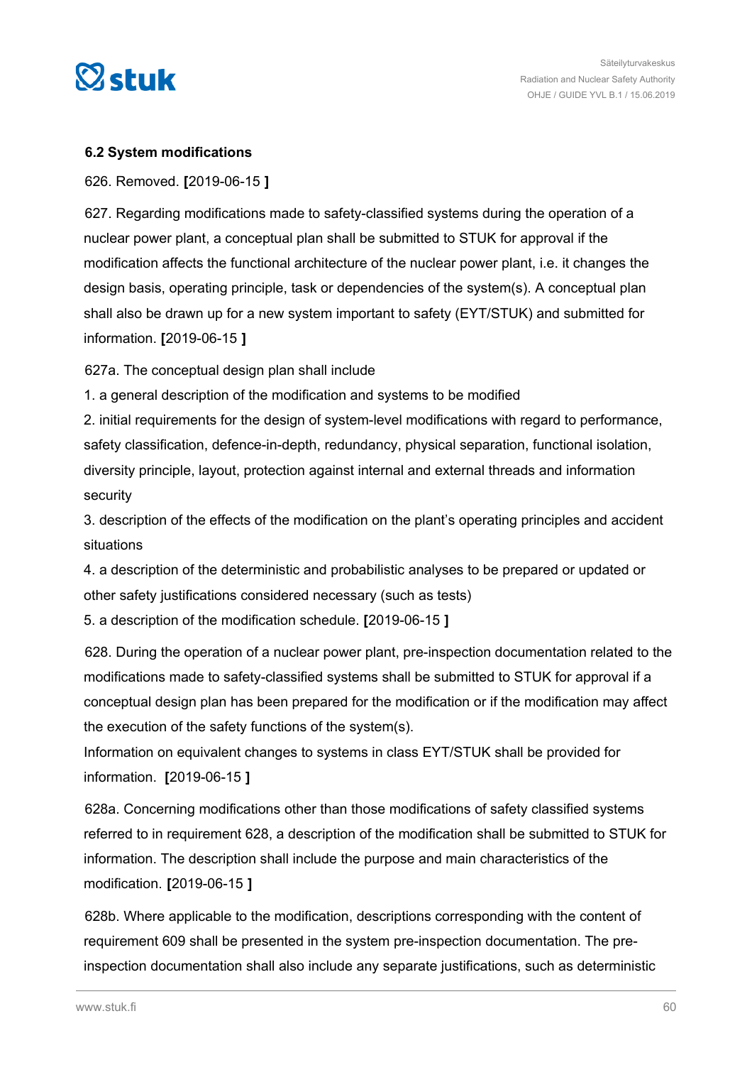

# **6.2 System modifications**

626. Removed. **[**2019-06-15 **]**

627. Regarding modifications made to safety-classified systems during the operation of a nuclear power plant, a conceptual plan shall be submitted to STUK for approval if the modification affects the functional architecture of the nuclear power plant, i.e. it changes the design basis, operating principle, task or dependencies of the system(s). A conceptual plan shall also be drawn up for a new system important to safety (EYT/STUK) and submitted for information. **[**2019-06-15 **]**

627a. The conceptual design plan shall include

1. a general description of the modification and systems to be modified

2. initial requirements for the design of system-level modifications with regard to performance, safety classification, defence-in-depth, redundancy, physical separation, functional isolation, diversity principle, layout, protection against internal and external threads and information security

3. description of the effects of the modification on the plant's operating principles and accident situations

4. a description of the deterministic and probabilistic analyses to be prepared or updated or other safety justifications considered necessary (such as tests)

5. a description of the modification schedule. **[**2019-06-15 **]**

628. During the operation of a nuclear power plant, pre-inspection documentation related to the modifications made to safety-classified systems shall be submitted to STUK for approval if a conceptual design plan has been prepared for the modification or if the modification may affect the execution of the safety functions of the system(s).

Information on equivalent changes to systems in class EYT/STUK shall be provided for information. **[**2019-06-15 **]**

628a. Concerning modifications other than those modifications of safety classified systems referred to in requirement 628, a description of the modification shall be submitted to STUK for information. The description shall include the purpose and main characteristics of the modification. **[**2019-06-15 **]**

628b. Where applicable to the modification, descriptions corresponding with the content of requirement 609 shall be presented in the system pre-inspection documentation. The preinspection documentation shall also include any separate justifications, such as deterministic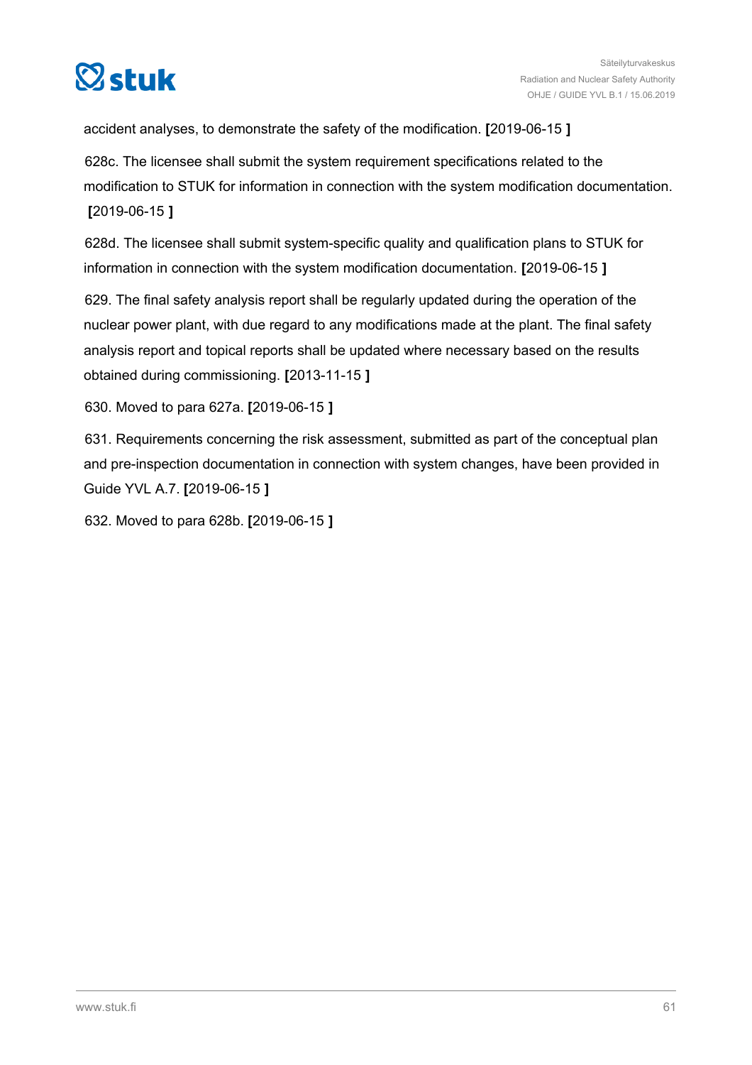

accident analyses, to demonstrate the safety of the modification. **[**2019-06-15 **]**

628c. The licensee shall submit the system requirement specifications related to the modification to STUK for information in connection with the system modification documentation. **[**2019-06-15 **]**

628d. The licensee shall submit system-specific quality and qualification plans to STUK for information in connection with the system modification documentation. **[**2019-06-15 **]**

629. The final safety analysis report shall be regularly updated during the operation of the nuclear power plant, with due regard to any modifications made at the plant. The final safety analysis report and topical reports shall be updated where necessary based on the results obtained during commissioning. **[**2013-11-15 **]**

630. Moved to para 627a. **[**2019-06-15 **]**

631. Requirements concerning the risk assessment, submitted as part of the conceptual plan and pre-inspection documentation in connection with system changes, have been provided in Guide YVL A.7. **[**2019-06-15 **]**

632. Moved to para 628b. **[**2019-06-15 **]**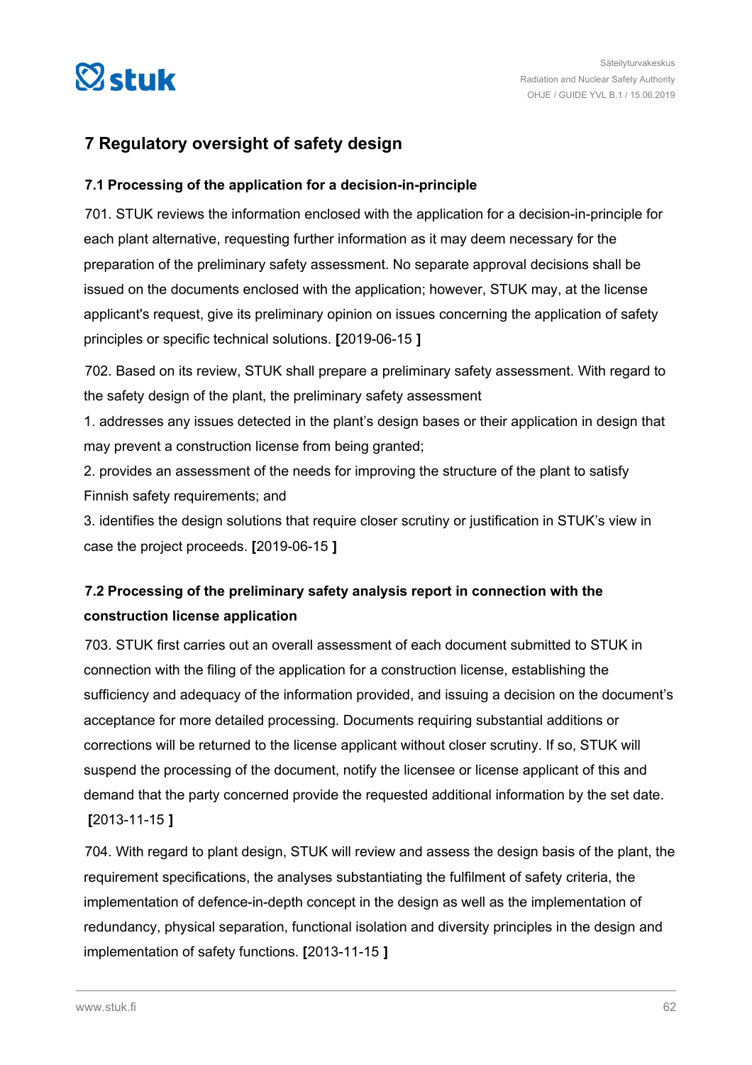

# **7 Regulatory oversight of safety design**

# **7.1 Processing of the application for a decision-in-principle**

701. STUK reviews the information enclosed with the application for a decision-in-principle for each plant alternative, requesting further information as it may deem necessary for the preparation of the preliminary safety assessment. No separate approval decisions shall be issued on the documents enclosed with the application; however, STUK may, at the license applicant's request, give its preliminary opinion on issues concerning the application of safety principles or specific technical solutions. **[**2019-06-15 **]**

702. Based on its review, STUK shall prepare a preliminary safety assessment. With regard to the safety design of the plant, the preliminary safety assessment

1. addresses any issues detected in the plant's design bases or their application in design that may prevent a construction license from being granted;

2. provides an assessment of the needs for improving the structure of the plant to satisfy Finnish safety requirements; and

3. identifies the design solutions that require closer scrutiny or justification in STUK's view in case the project proceeds. **[**2019-06-15 **]**

# **7.2 Processing of the preliminary safety analysis report in connection with the construction license application**

703. STUK first carries out an overall assessment of each document submitted to STUK in connection with the filing of the application for a construction license, establishing the sufficiency and adequacy of the information provided, and issuing a decision on the document's acceptance for more detailed processing. Documents requiring substantial additions or corrections will be returned to the license applicant without closer scrutiny. If so, STUK will suspend the processing of the document, notify the licensee or license applicant of this and demand that the party concerned provide the requested additional information by the set date. **[**2013-11-15 **]**

704. With regard to plant design, STUK will review and assess the design basis of the plant, the requirement specifications, the analyses substantiating the fulfilment of safety criteria, the implementation of defence-in-depth concept in the design as well as the implementation of redundancy, physical separation, functional isolation and diversity principles in the design and implementation of safety functions. **[**2013-11-15 **]**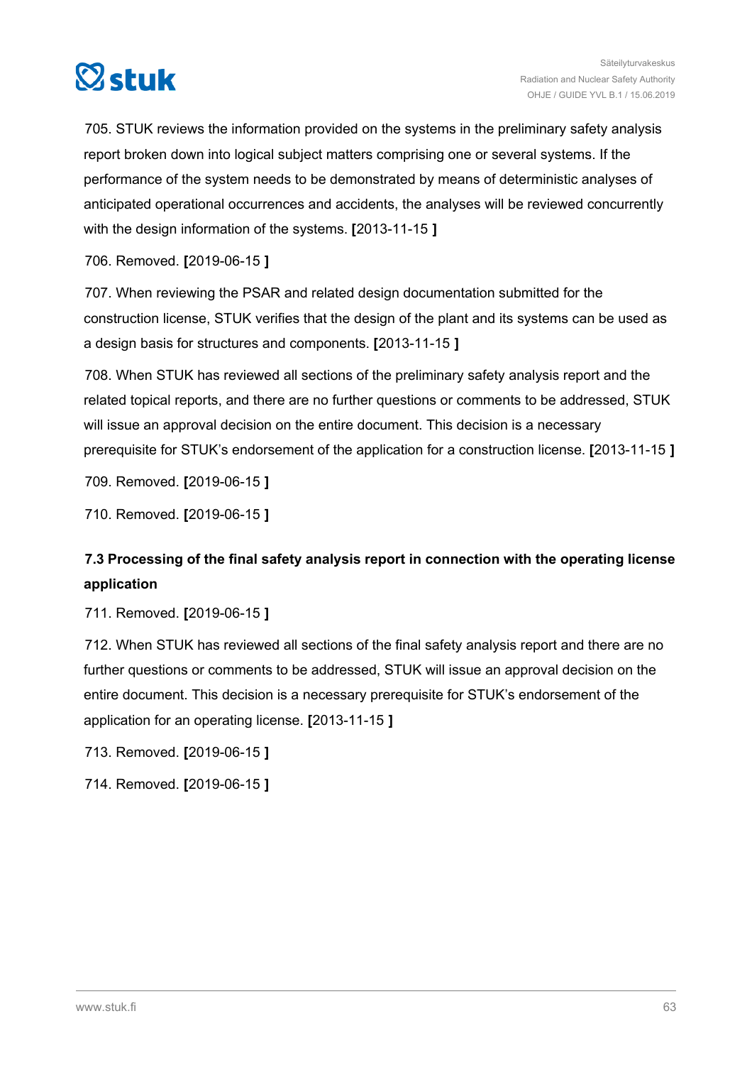

705. STUK reviews the information provided on the systems in the preliminary safety analysis report broken down into logical subject matters comprising one or several systems. If the performance of the system needs to be demonstrated by means of deterministic analyses of anticipated operational occurrences and accidents, the analyses will be reviewed concurrently with the design information of the systems. **[**2013-11-15 **]**

706. Removed. **[**2019-06-15 **]**

707. When reviewing the PSAR and related design documentation submitted for the construction license, STUK verifies that the design of the plant and its systems can be used as a design basis for structures and components. **[**2013-11-15 **]**

708. When STUK has reviewed all sections of the preliminary safety analysis report and the related topical reports, and there are no further questions or comments to be addressed, STUK will issue an approval decision on the entire document. This decision is a necessary prerequisite for STUK's endorsement of the application for a construction license. **[**2013-11-15 **]**

709. Removed. **[**2019-06-15 **]**

710. Removed. **[**2019-06-15 **]**

# **7.3 Processing of the final safety analysis report in connection with the operating license application**

711. Removed. **[**2019-06-15 **]**

712. When STUK has reviewed all sections of the final safety analysis report and there are no further questions or comments to be addressed, STUK will issue an approval decision on the entire document. This decision is a necessary prerequisite for STUK's endorsement of the application for an operating license. **[**2013-11-15 **]**

713. Removed. **[**2019-06-15 **]**

714. Removed. **[**2019-06-15 **]**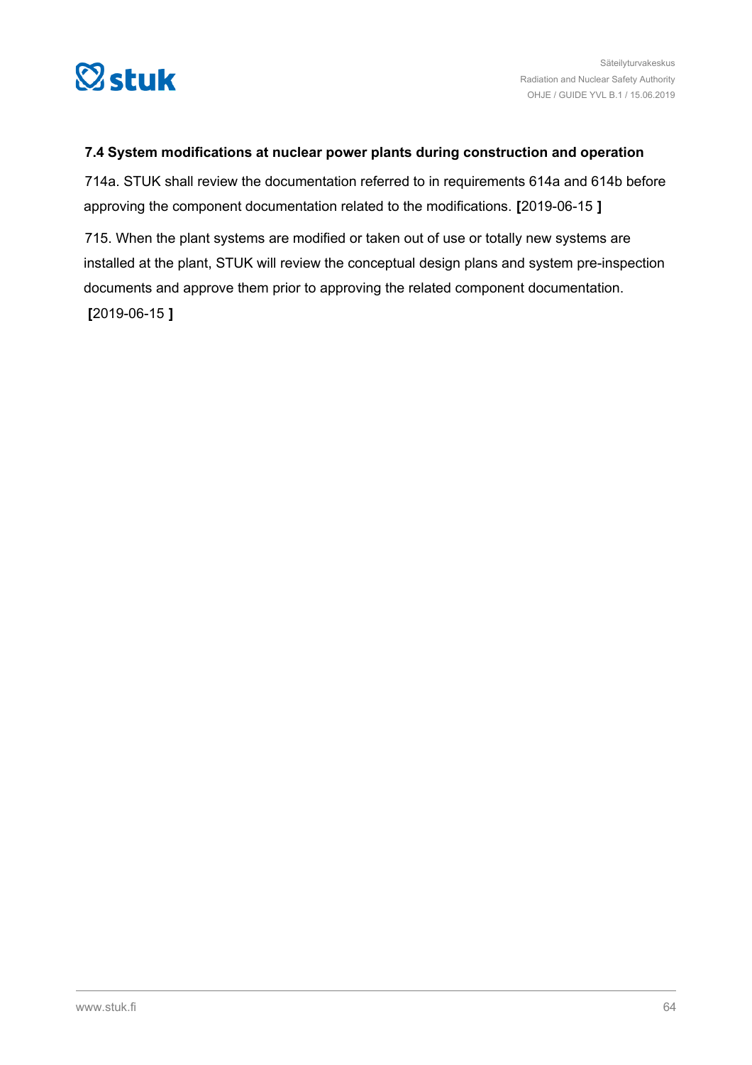

# **7.4 System modifications at nuclear power plants during construction and operation**

714a. STUK shall review the documentation referred to in requirements 614a and 614b before approving the component documentation related to the modifications. **[**2019-06-15 **]**

715. When the plant systems are modified or taken out of use or totally new systems are installed at the plant, STUK will review the conceptual design plans and system pre-inspection documents and approve them prior to approving the related component documentation. **[**2019-06-15 **]**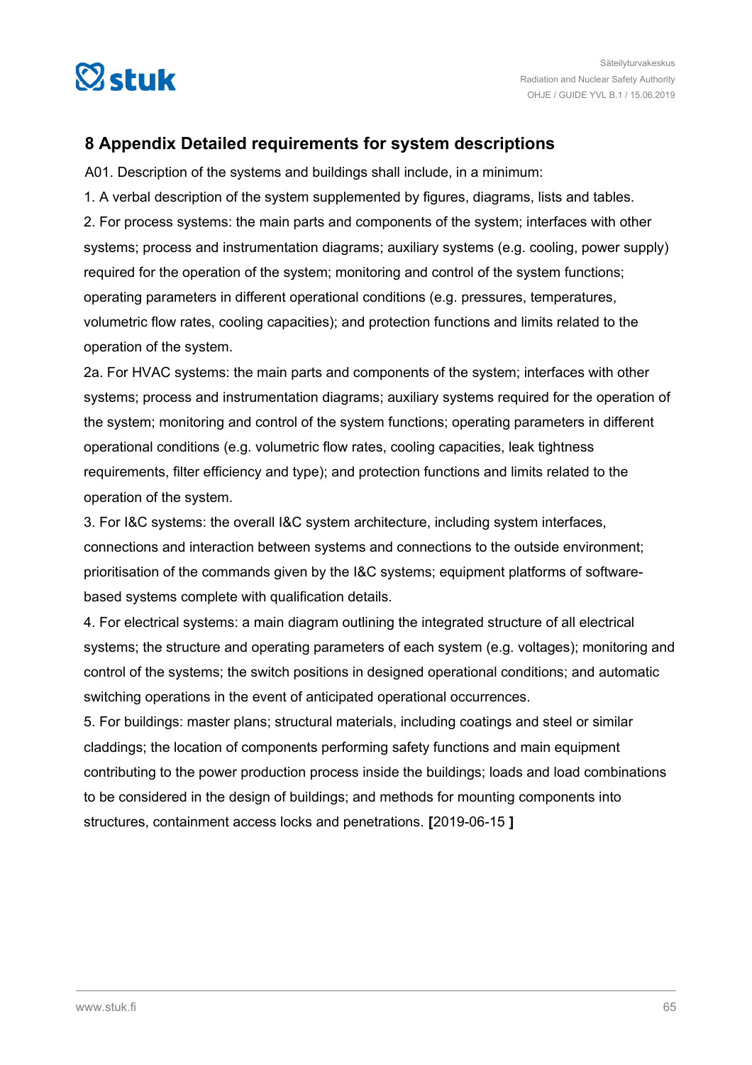

# **8 Appendix Detailed requirements for system descriptions**

A01. Description of the systems and buildings shall include, in a minimum:

1. A verbal description of the system supplemented by figures, diagrams, lists and tables. 2. For process systems: the main parts and components of the system; interfaces with other systems; process and instrumentation diagrams; auxiliary systems (e.g. cooling, power supply) required for the operation of the system; monitoring and control of the system functions; operating parameters in different operational conditions (e.g. pressures, temperatures, volumetric flow rates, cooling capacities); and protection functions and limits related to the operation of the system.

2a. For HVAC systems: the main parts and components of the system; interfaces with other systems; process and instrumentation diagrams; auxiliary systems required for the operation of the system; monitoring and control of the system functions; operating parameters in different operational conditions (e.g. volumetric flow rates, cooling capacities, leak tightness requirements, filter efficiency and type); and protection functions and limits related to the operation of the system.

3. For I&C systems: the overall I&C system architecture, including system interfaces, connections and interaction between systems and connections to the outside environment; prioritisation of the commands given by the I&C systems; equipment platforms of softwarebased systems complete with qualification details.

4. For electrical systems: a main diagram outlining the integrated structure of all electrical systems; the structure and operating parameters of each system (e.g. voltages); monitoring and control of the systems; the switch positions in designed operational conditions; and automatic switching operations in the event of anticipated operational occurrences.

5. For buildings: master plans; structural materials, including coatings and steel or similar claddings; the location of components performing safety functions and main equipment contributing to the power production process inside the buildings; loads and load combinations to be considered in the design of buildings; and methods for mounting components into structures, containment access locks and penetrations. **[**2019-06-15 **]**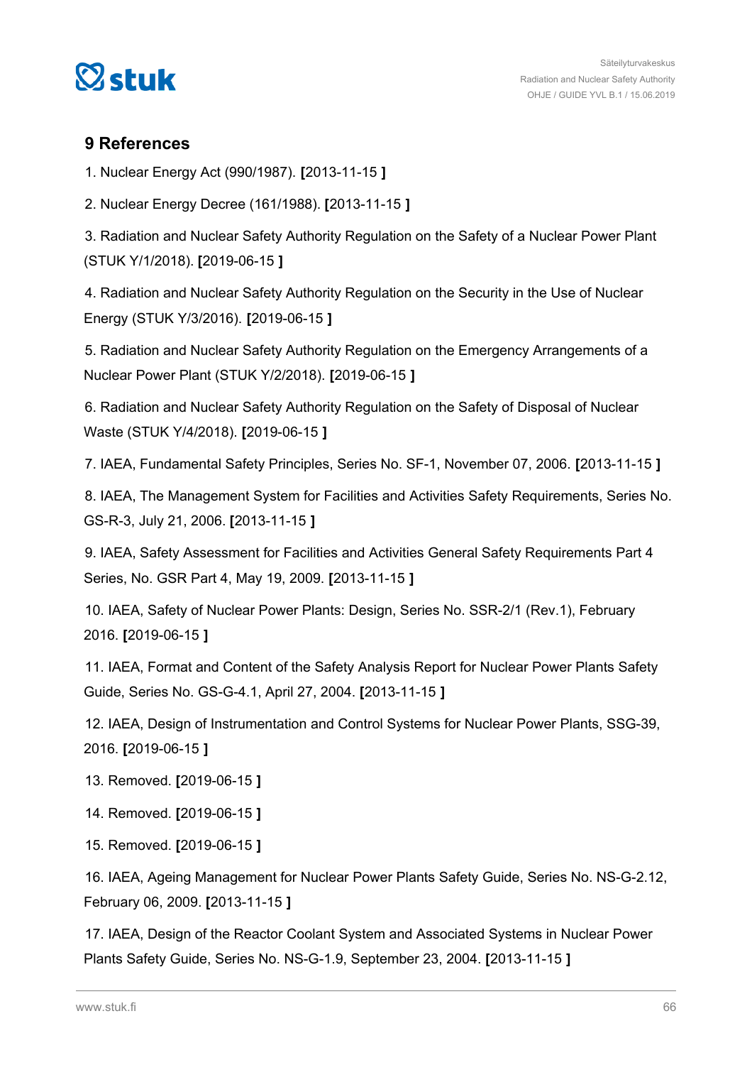

# **9 References**

1. Nuclear Energy Act (990/1987). **[**2013-11-15 **]**

2. Nuclear Energy Decree (161/1988). **[**2013-11-15 **]**

3. Radiation and Nuclear Safety Authority Regulation on the Safety of a Nuclear Power Plant (STUK Y/1/2018). **[**2019-06-15 **]**

4. Radiation and Nuclear Safety Authority Regulation on the Security in the Use of Nuclear Energy (STUK Y/3/2016). **[**2019-06-15 **]**

5. Radiation and Nuclear Safety Authority Regulation on the Emergency Arrangements of a Nuclear Power Plant (STUK Y/2/2018). **[**2019-06-15 **]**

6. Radiation and Nuclear Safety Authority Regulation on the Safety of Disposal of Nuclear Waste (STUK Y/4/2018). **[**2019-06-15 **]**

7. IAEA, Fundamental Safety Principles, Series No. SF-1, November 07, 2006. **[**2013-11-15 **]**

8. IAEA, The Management System for Facilities and Activities Safety Requirements, Series No. GS-R-3, July 21, 2006. **[**2013-11-15 **]**

9. IAEA, Safety Assessment for Facilities and Activities General Safety Requirements Part 4 Series, No. GSR Part 4, May 19, 2009. **[**2013-11-15 **]**

10. IAEA, Safety of Nuclear Power Plants: Design, Series No. SSR-2/1 (Rev.1), February 2016. **[**2019-06-15 **]**

11. IAEA, Format and Content of the Safety Analysis Report for Nuclear Power Plants Safety Guide, Series No. GS-G-4.1, April 27, 2004. **[**2013-11-15 **]**

12. IAEA, Design of Instrumentation and Control Systems for Nuclear Power Plants, SSG-39, 2016. **[**2019-06-15 **]**

13. Removed. **[**2019-06-15 **]**

14. Removed. **[**2019-06-15 **]**

15. Removed. **[**2019-06-15 **]**

16. IAEA, Ageing Management for Nuclear Power Plants Safety Guide, Series No. NS-G-2.12, February 06, 2009. **[**2013-11-15 **]**

17. IAEA, Design of the Reactor Coolant System and Associated Systems in Nuclear Power Plants Safety Guide, Series No. NS-G-1.9, September 23, 2004. **[**2013-11-15 **]**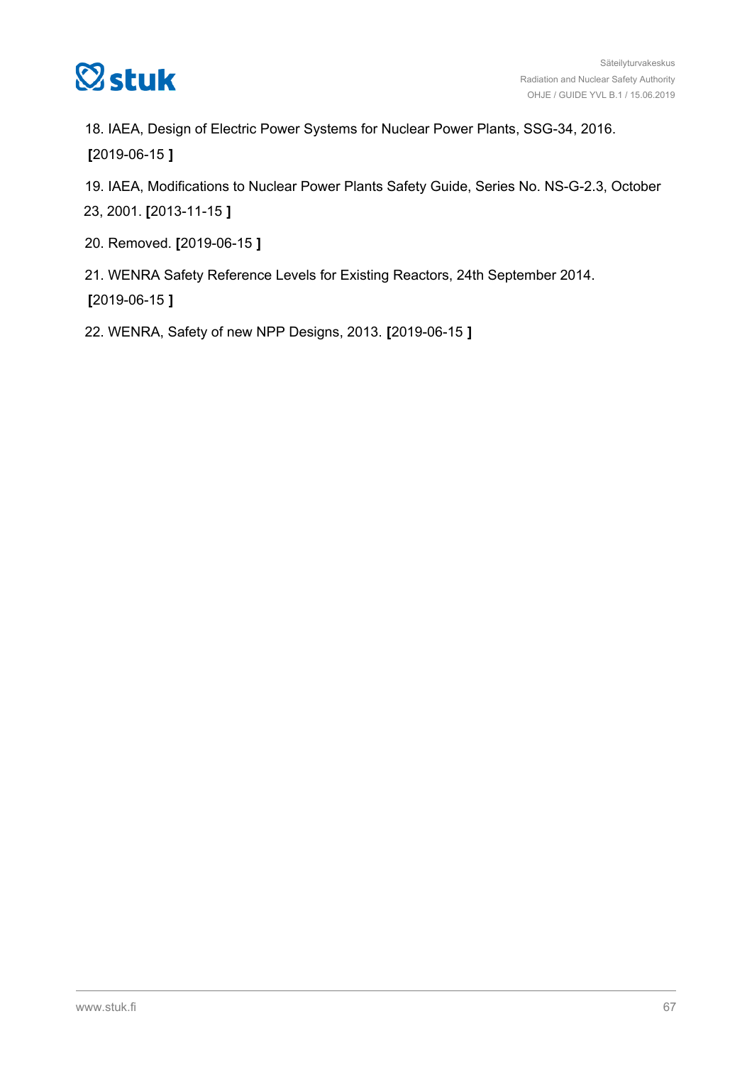

18. IAEA, Design of Electric Power Systems for Nuclear Power Plants, SSG-34, 2016. **[**2019-06-15 **]**

19. IAEA, Modifications to Nuclear Power Plants Safety Guide, Series No. NS-G-2.3, October 23, 2001. **[**2013-11-15 **]**

- 20. Removed. **[**2019-06-15 **]**
- 21. WENRA Safety Reference Levels for Existing Reactors, 24th September 2014. **[**2019-06-15 **]**

22. WENRA, Safety of new NPP Designs, 2013. **[**2019-06-15 **]**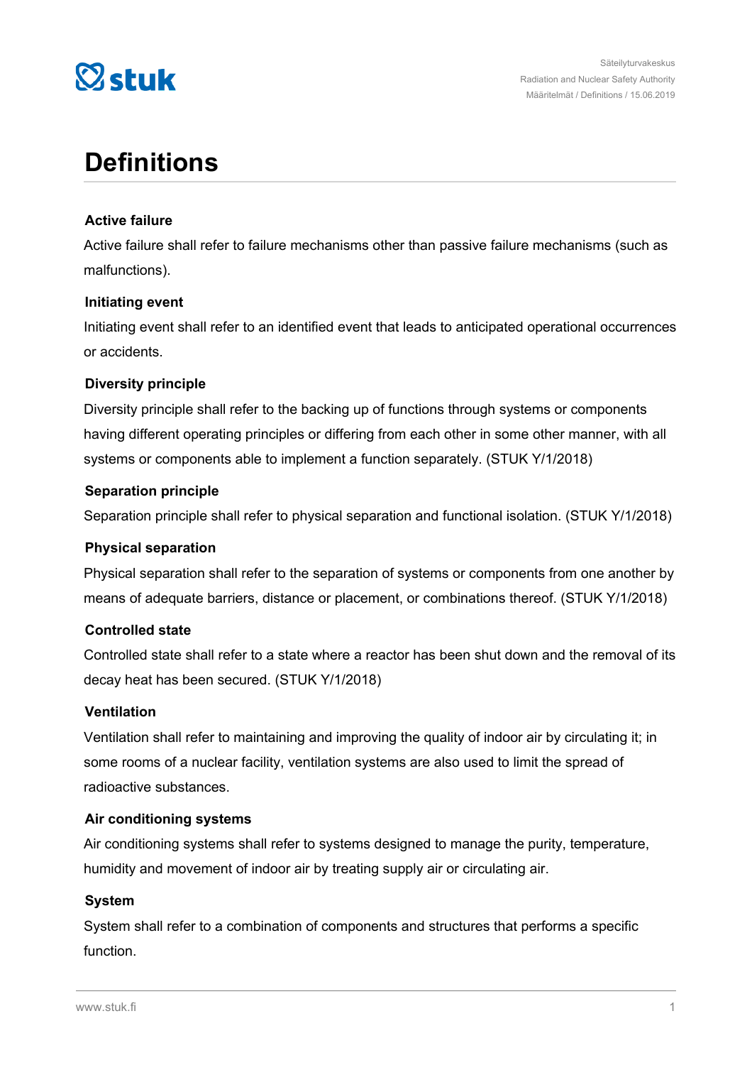

# **Definitions**

# **Active failure**

Active failure shall refer to failure mechanisms other than passive failure mechanisms (such as malfunctions).

# **Initiating event**

Initiating event shall refer to an identified event that leads to anticipated operational occurrences or accidents.

# **Diversity principle**

Diversity principle shall refer to the backing up of functions through systems or components having different operating principles or differing from each other in some other manner, with all systems or components able to implement a function separately. (STUK Y/1/2018)

# **Separation principle**

Separation principle shall refer to physical separation and functional isolation. (STUK Y/1/2018)

#### **Physical separation**

Physical separation shall refer to the separation of systems or components from one another by means of adequate barriers, distance or placement, or combinations thereof. (STUK Y/1/2018)

#### **Controlled state**

Controlled state shall refer to a state where a reactor has been shut down and the removal of its decay heat has been secured. (STUK Y/1/2018)

#### **Ventilation**

Ventilation shall refer to maintaining and improving the quality of indoor air by circulating it; in some rooms of a nuclear facility, ventilation systems are also used to limit the spread of radioactive substances.

#### **Air conditioning systems**

Air conditioning systems shall refer to systems designed to manage the purity, temperature, humidity and movement of indoor air by treating supply air or circulating air.

#### **System**

System shall refer to a combination of components and structures that performs a specific function.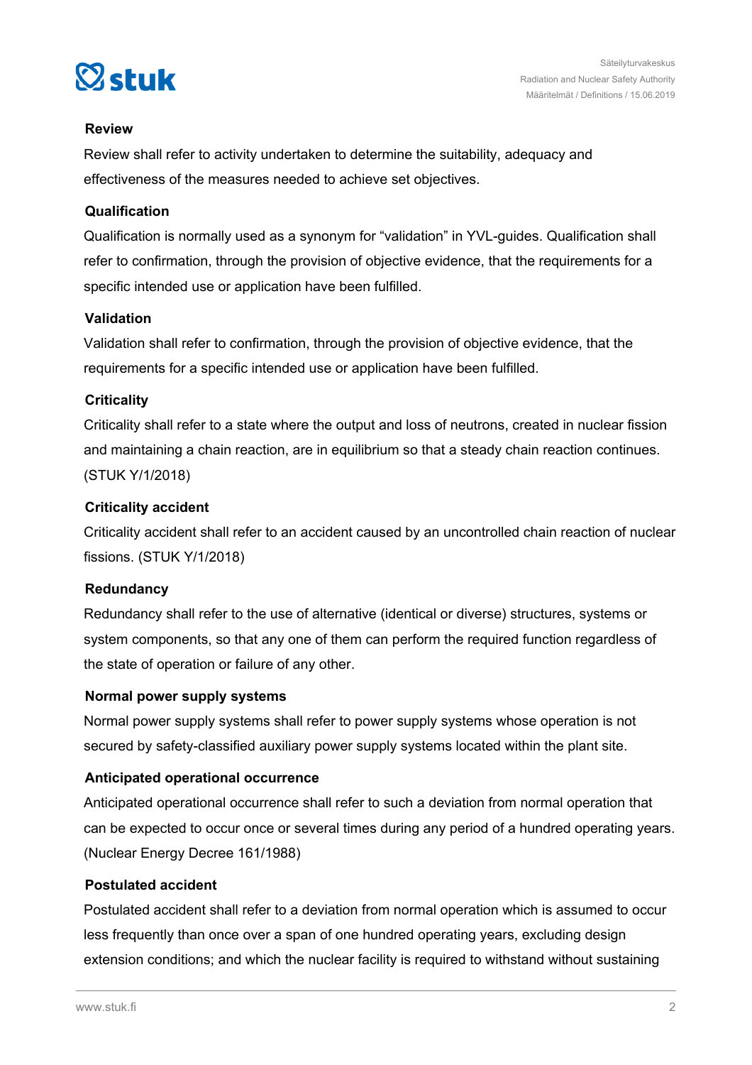

# **Review**

Review shall refer to activity undertaken to determine the suitability, adequacy and effectiveness of the measures needed to achieve set objectives.

# **Qualification**

Qualification is normally used as a synonym for "validation" in YVL-guides. Qualification shall refer to confirmation, through the provision of objective evidence, that the requirements for a specific intended use or application have been fulfilled.

# **Validation**

Validation shall refer to confirmation, through the provision of objective evidence, that the requirements for a specific intended use or application have been fulfilled.

# **Criticality**

Criticality shall refer to a state where the output and loss of neutrons, created in nuclear fission and maintaining a chain reaction, are in equilibrium so that a steady chain reaction continues. (STUK Y/1/2018)

# **Criticality accident**

Criticality accident shall refer to an accident caused by an uncontrolled chain reaction of nuclear fissions. (STUK Y/1/2018)

# **Redundancy**

Redundancy shall refer to the use of alternative (identical or diverse) structures, systems or system components, so that any one of them can perform the required function regardless of the state of operation or failure of any other.

#### **Normal power supply systems**

Normal power supply systems shall refer to power supply systems whose operation is not secured by safety-classified auxiliary power supply systems located within the plant site.

# **Anticipated operational occurrence**

Anticipated operational occurrence shall refer to such a deviation from normal operation that can be expected to occur once or several times during any period of a hundred operating years. (Nuclear Energy Decree 161/1988)

# **Postulated accident**

Postulated accident shall refer to a deviation from normal operation which is assumed to occur less frequently than once over a span of one hundred operating years, excluding design extension conditions; and which the nuclear facility is required to withstand without sustaining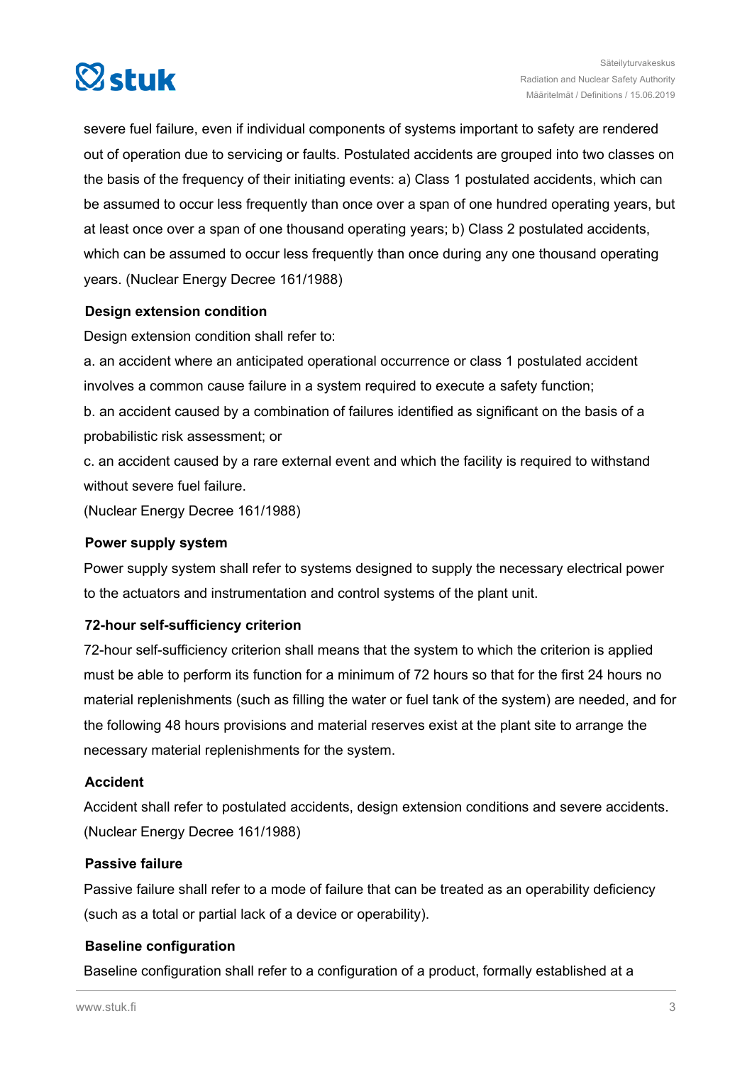

severe fuel failure, even if individual components of systems important to safety are rendered out of operation due to servicing or faults. Postulated accidents are grouped into two classes on the basis of the frequency of their initiating events: a) Class 1 postulated accidents, which can be assumed to occur less frequently than once over a span of one hundred operating years, but at least once over a span of one thousand operating years; b) Class 2 postulated accidents, which can be assumed to occur less frequently than once during any one thousand operating years. (Nuclear Energy Decree 161/1988)

# **Design extension condition**

Design extension condition shall refer to:

a. an accident where an anticipated operational occurrence or class 1 postulated accident involves a common cause failure in a system required to execute a safety function;

b. an accident caused by a combination of failures identified as significant on the basis of a probabilistic risk assessment; or

c. an accident caused by a rare external event and which the facility is required to withstand without severe fuel failure.

(Nuclear Energy Decree 161/1988)

#### **Power supply system**

Power supply system shall refer to systems designed to supply the necessary electrical power to the actuators and instrumentation and control systems of the plant unit.

#### **72-hour self-sufficiency criterion**

72-hour self-sufficiency criterion shall means that the system to which the criterion is applied must be able to perform its function for a minimum of 72 hours so that for the first 24 hours no material replenishments (such as filling the water or fuel tank of the system) are needed, and for the following 48 hours provisions and material reserves exist at the plant site to arrange the necessary material replenishments for the system.

#### **Accident**

Accident shall refer to postulated accidents, design extension conditions and severe accidents. (Nuclear Energy Decree 161/1988)

#### **Passive failure**

Passive failure shall refer to a mode of failure that can be treated as an operability deficiency (such as a total or partial lack of a device or operability).

#### **Baseline configuration**

Baseline configuration shall refer to a configuration of a product, formally established at a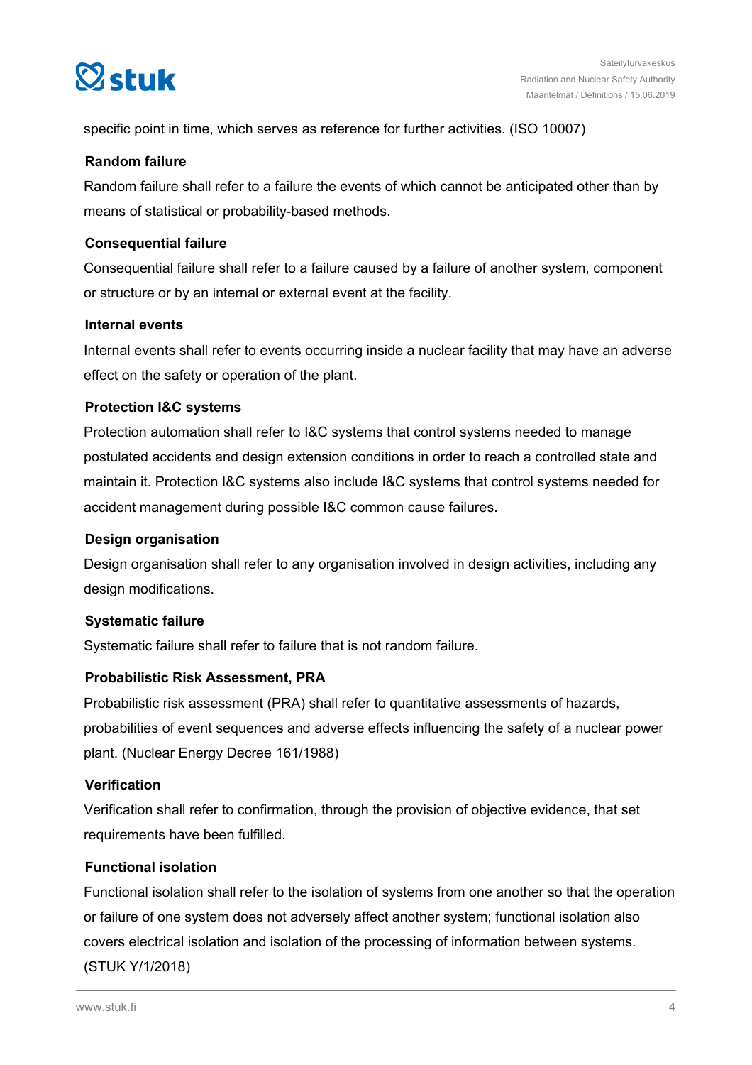

specific point in time, which serves as reference for further activities. (ISO 10007)

#### **Random failure**

Random failure shall refer to a failure the events of which cannot be anticipated other than by means of statistical or probability-based methods.

# **Consequential failure**

Consequential failure shall refer to a failure caused by a failure of another system, component or structure or by an internal or external event at the facility.

# **Internal events**

Internal events shall refer to events occurring inside a nuclear facility that may have an adverse effect on the safety or operation of the plant.

# **Protection I&C systems**

Protection automation shall refer to I&C systems that control systems needed to manage postulated accidents and design extension conditions in order to reach a controlled state and maintain it. Protection I&C systems also include I&C systems that control systems needed for accident management during possible I&C common cause failures.

#### **Design organisation**

Design organisation shall refer to any organisation involved in design activities, including any design modifications.

#### **Systematic failure**

Systematic failure shall refer to failure that is not random failure.

# **Probabilistic Risk Assessment, PRA**

Probabilistic risk assessment (PRA) shall refer to quantitative assessments of hazards, probabilities of event sequences and adverse effects influencing the safety of a nuclear power plant. (Nuclear Energy Decree 161/1988)

#### **Verification**

Verification shall refer to confirmation, through the provision of objective evidence, that set requirements have been fulfilled.

# **Functional isolation**

Functional isolation shall refer to the isolation of systems from one another so that the operation or failure of one system does not adversely affect another system; functional isolation also covers electrical isolation and isolation of the processing of information between systems. (STUK Y/1/2018)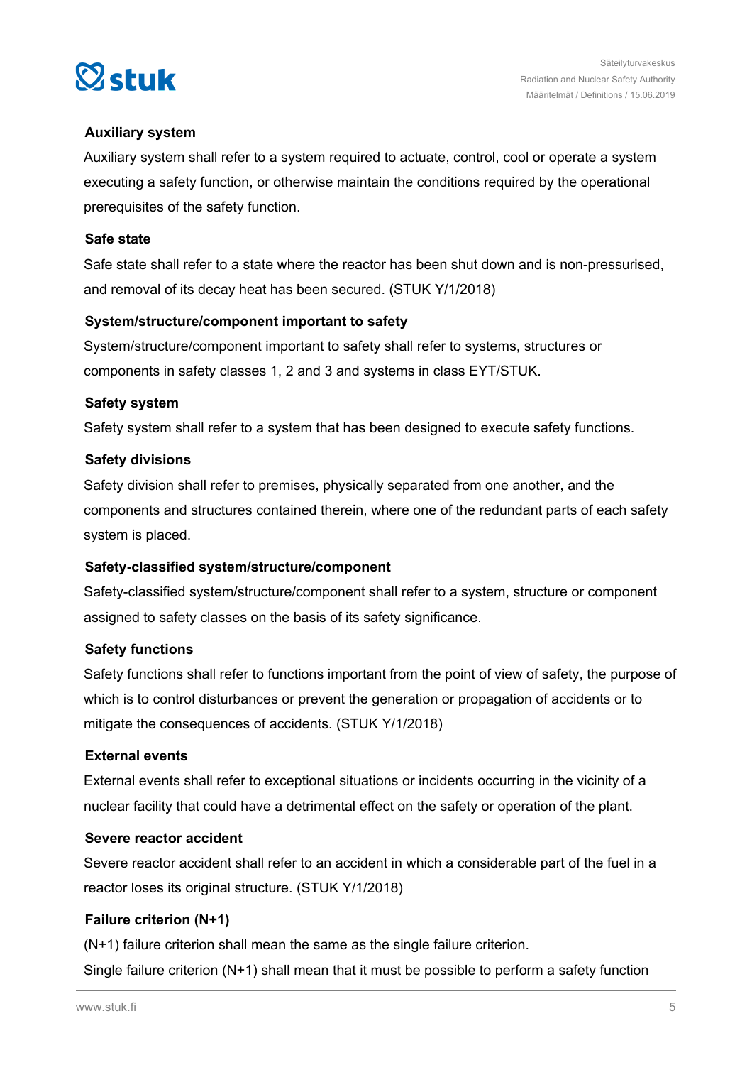

# **Auxiliary system**

Auxiliary system shall refer to a system required to actuate, control, cool or operate a system executing a safety function, or otherwise maintain the conditions required by the operational prerequisites of the safety function.

#### **Safe state**

Safe state shall refer to a state where the reactor has been shut down and is non-pressurised, and removal of its decay heat has been secured. (STUK Y/1/2018)

#### **System/structure/component important to safety**

System/structure/component important to safety shall refer to systems, structures or components in safety classes 1, 2 and 3 and systems in class EYT/STUK.

#### **Safety system**

Safety system shall refer to a system that has been designed to execute safety functions.

#### **Safety divisions**

Safety division shall refer to premises, physically separated from one another, and the components and structures contained therein, where one of the redundant parts of each safety system is placed.

#### **Safety-classified system/structure/component**

Safety-classified system/structure/component shall refer to a system, structure or component assigned to safety classes on the basis of its safety significance.

#### **Safety functions**

Safety functions shall refer to functions important from the point of view of safety, the purpose of which is to control disturbances or prevent the generation or propagation of accidents or to mitigate the consequences of accidents. (STUK Y/1/2018)

#### **External events**

External events shall refer to exceptional situations or incidents occurring in the vicinity of a nuclear facility that could have a detrimental effect on the safety or operation of the plant.

#### **Severe reactor accident**

Severe reactor accident shall refer to an accident in which a considerable part of the fuel in a reactor loses its original structure. (STUK Y/1/2018)

# **Failure criterion (N+1)**

(N+1) failure criterion shall mean the same as the single failure criterion. Single failure criterion (N+1) shall mean that it must be possible to perform a safety function